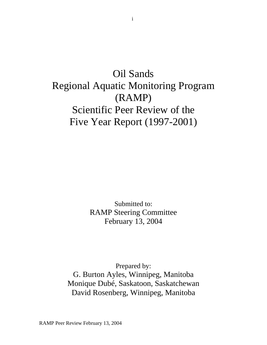# Oil Sands Regional Aquatic Monitoring Program (RAMP) Scientific Peer Review of the Five Year Report (1997-2001)

Submitted to: RAMP Steering Committee February 13, 2004

Prepared by: G. Burton Ayles, Winnipeg, Manitoba Monique Dubé, Saskatoon, Saskatchewan David Rosenberg, Winnipeg, Manitoba

RAMP Peer Review February 13, 2004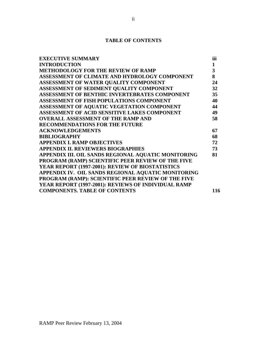# **TABLE OF CONTENTS**

| $\mathbf{1}$<br><b>INTRODUCTION</b><br>3<br><b>METHODOLOGY FOR THE REVIEW OF RAMP</b><br>8<br>ASSESSMENT OF CLIMATE AND HYDROLOGY COMPONENT<br>ASSESSMENT OF WATER QUALITY COMPONENT<br>ASSESSMENT OF SEDIMENT QUALITY COMPONENT<br>ASSESSMENT OF BENTHIC INVERTEBRATES COMPONENT<br>ASSESSMENT OF FISH POPULATIONS COMPONENT<br>ASSESSMENT OF AQUATIC VEGETATION COMPONENT<br>ASSESSMENT OF ACID SENSITIVE LAKES COMPONENT<br><b>OVERALL ASSESSMENT OF THE RAMP AND</b><br><b>RECOMMENDATIONS FOR THE FUTURE</b><br><b>ACKNOWLEDGEMENTS</b><br><b>BIBLIOGRAPHY</b><br><b>APPENDIX I. RAMP OBJECTIVES</b><br><b>APPENDIX II. REVIEWERS BIOGRAPHIES</b><br>APPENDIX III. OIL SANDS REGIONAL AQUATIC MONITORING<br>PROGRAM (RAMP) SCIENTIFIC PEER REVIEW OF THE FIVE<br>YEAR REPORT (1997-2001): REVIEW OF BIOSTATISTICS<br>APPENDIX IV. OIL SANDS REGIONAL AQUATIC MONITORING<br>PROGRAM (RAMP): SCIENTIFIC PEER REVIEW OF THE FIVE<br>YEAR REPORT (1997-2001): REVIEWS OF INDIVIDUAL RAMP<br><b>COMPONENTS. TABLE OF CONTENTS</b> | <b>EXECUTIVE SUMMARY</b> | iii |
|-----------------------------------------------------------------------------------------------------------------------------------------------------------------------------------------------------------------------------------------------------------------------------------------------------------------------------------------------------------------------------------------------------------------------------------------------------------------------------------------------------------------------------------------------------------------------------------------------------------------------------------------------------------------------------------------------------------------------------------------------------------------------------------------------------------------------------------------------------------------------------------------------------------------------------------------------------------------------------------------------------------------------------------|--------------------------|-----|
|                                                                                                                                                                                                                                                                                                                                                                                                                                                                                                                                                                                                                                                                                                                                                                                                                                                                                                                                                                                                                                   |                          |     |
|                                                                                                                                                                                                                                                                                                                                                                                                                                                                                                                                                                                                                                                                                                                                                                                                                                                                                                                                                                                                                                   |                          |     |
|                                                                                                                                                                                                                                                                                                                                                                                                                                                                                                                                                                                                                                                                                                                                                                                                                                                                                                                                                                                                                                   |                          |     |
|                                                                                                                                                                                                                                                                                                                                                                                                                                                                                                                                                                                                                                                                                                                                                                                                                                                                                                                                                                                                                                   |                          | 24  |
|                                                                                                                                                                                                                                                                                                                                                                                                                                                                                                                                                                                                                                                                                                                                                                                                                                                                                                                                                                                                                                   |                          | 32  |
|                                                                                                                                                                                                                                                                                                                                                                                                                                                                                                                                                                                                                                                                                                                                                                                                                                                                                                                                                                                                                                   |                          | 35  |
|                                                                                                                                                                                                                                                                                                                                                                                                                                                                                                                                                                                                                                                                                                                                                                                                                                                                                                                                                                                                                                   |                          | 40  |
|                                                                                                                                                                                                                                                                                                                                                                                                                                                                                                                                                                                                                                                                                                                                                                                                                                                                                                                                                                                                                                   |                          | 44  |
|                                                                                                                                                                                                                                                                                                                                                                                                                                                                                                                                                                                                                                                                                                                                                                                                                                                                                                                                                                                                                                   |                          | 49  |
|                                                                                                                                                                                                                                                                                                                                                                                                                                                                                                                                                                                                                                                                                                                                                                                                                                                                                                                                                                                                                                   |                          | 58  |
|                                                                                                                                                                                                                                                                                                                                                                                                                                                                                                                                                                                                                                                                                                                                                                                                                                                                                                                                                                                                                                   |                          |     |
|                                                                                                                                                                                                                                                                                                                                                                                                                                                                                                                                                                                                                                                                                                                                                                                                                                                                                                                                                                                                                                   |                          | 67  |
|                                                                                                                                                                                                                                                                                                                                                                                                                                                                                                                                                                                                                                                                                                                                                                                                                                                                                                                                                                                                                                   |                          | 68  |
|                                                                                                                                                                                                                                                                                                                                                                                                                                                                                                                                                                                                                                                                                                                                                                                                                                                                                                                                                                                                                                   |                          | 72  |
|                                                                                                                                                                                                                                                                                                                                                                                                                                                                                                                                                                                                                                                                                                                                                                                                                                                                                                                                                                                                                                   |                          | 73  |
|                                                                                                                                                                                                                                                                                                                                                                                                                                                                                                                                                                                                                                                                                                                                                                                                                                                                                                                                                                                                                                   |                          | 81  |
|                                                                                                                                                                                                                                                                                                                                                                                                                                                                                                                                                                                                                                                                                                                                                                                                                                                                                                                                                                                                                                   |                          |     |
|                                                                                                                                                                                                                                                                                                                                                                                                                                                                                                                                                                                                                                                                                                                                                                                                                                                                                                                                                                                                                                   |                          |     |
|                                                                                                                                                                                                                                                                                                                                                                                                                                                                                                                                                                                                                                                                                                                                                                                                                                                                                                                                                                                                                                   |                          |     |
|                                                                                                                                                                                                                                                                                                                                                                                                                                                                                                                                                                                                                                                                                                                                                                                                                                                                                                                                                                                                                                   |                          |     |
|                                                                                                                                                                                                                                                                                                                                                                                                                                                                                                                                                                                                                                                                                                                                                                                                                                                                                                                                                                                                                                   |                          |     |
|                                                                                                                                                                                                                                                                                                                                                                                                                                                                                                                                                                                                                                                                                                                                                                                                                                                                                                                                                                                                                                   |                          | 116 |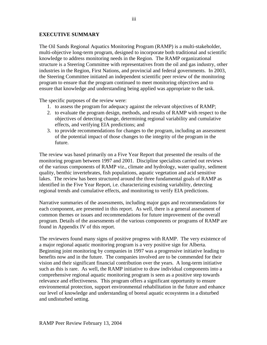# **EXECUTIVE SUMMARY**

The Oil Sands Regional Aquatics Monitoring Program (RAMP) is a multi-stakeholder, multi-objective long-term program, designed to incorporate both traditional and scientific knowledge to address monitoring needs in the Region. The RAMP organizational structure is a Steering Committee with representatives from the oil and gas industry, other industries in the Region, First Nations, and provincial and federal governments. In 2003, the Steering Committee initiated an independent scientific peer review of the monitoring program to ensure that the program continued to meet monitoring objectives and to ensure that knowledge and understanding being applied was appropriate to the task.

The specific purposes of the review were:

- 1. to assess the program for adequacy against the relevant objectives of RAMP;
- 2. to evaluate the program design, methods, and results of RAMP with respect to the objectives of detecting change, determining regional variability and cumulative effects, and verifying EIA predictions; and
- 3. to provide recommendations for changes to the program, including an assessment of the potential impact of those changes to the integrity of the program in the future.

The review was based primarily on a Five Year Report that presented the results of the monitoring program between 1997 and 2001. Discipline specialists carried out reviews of the various components of RAMP viz., climate and hydrology, water quality, sediment quality, benthic invertebrates, fish populations, aquatic vegetation and acid sensitive lakes. The review has been structured around the three fundamental goals of RAMP as identified in the Five Year Report, i.e. characterizing existing variability, detecting regional trends and cumulative effects, and monitoring to verify EIA predictions.

Narrative summaries of the assessments, including major gaps and recommendations for each component, are presented in this report. As well, there is a general assessment of common themes or issues and recommendations for future improvement of the overall program. Details of the assessments of the various components or programs of RAMP are found in Appendix IV of this report.

The reviewers found many signs of positive progress with RAMP. The very existence of a major regional aquatic monitoring program is a very positive sign for Alberta. Beginning joint monitoring by companies in 1997 was a progressive initiative leading to benefits now and in the future. The companies involved are to be commended for their vision and their significant financial contribution over the years. A long-term initiative such as this is rare. As well, the RAMP initiative to draw individual components into a comprehensive regional aquatic monitoring program is seen as a positive step towards relevance and effectiveness. This program offers a significant opportunity to ensure environmental protection, support environmental rehabilitation in the future and enhance our level of knowledge and understanding of boreal aquatic ecosystems in a disturbed and undisturbed setting.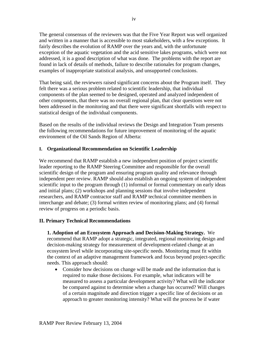The general consensus of the reviewers was that the Five Year Report was well organized and written in a manner that is accessible to most stakeholders, with a few exceptions. It fairly describes the evolution of RAMP over the years and, with the unfortunate exception of the aquatic vegetation and the acid sensitive lakes programs, which were not addressed, it is a good description of what was done. The problems with the report are found in lack of details of methods, failure to describe rationales for program changes, examples of inappropriate statistical analysis, and unsupported conclusions.

That being said, the reviewers raised significant concerns about the Program itself. They felt there was a serious problem related to scientific leadership, that individual components of the plan seemed to be designed, operated and analyzed independent of other components, that there was no overall regional plan, that clear questions were not been addressed in the monitoring and that there were significant shortfalls with respect to statistical design of the individual components.

Based on the results of the individual reviews the Design and Integration Team presents the following recommendations for future improvement of monitoring of the aquatic environment of the Oil Sands Region of Alberta:

# **I. Organizational Recommendation on Scientific Leadership**

We recommend that RAMP establish a new independent position of project scientific leader reporting to the RAMP Steering Committee and responsible for the overall scientific design of the program and ensuring program quality and relevance through independent peer review. RAMP should also establish an ongoing system of independent scientific input to the program through (1) informal or formal commentary on early ideas and initial plans; (2) workshops and planning sessions that involve independent researchers, and RAMP contractor staff and RAMP technical committee members in interchange and debate; (3) formal written review of monitoring plans; and (4) formal review of progress on a periodic basis.

# **II. Primary Technical Recommendations**

**1. Adoption of an Ecosystem Approach and Decision-Making Strategy.** We recommend that RAMP adopt a strategic, integrated, regional monitoring design and decision-making strategy for measurement of development-related change at an ecosystem level while incorporating site-specific needs. Monitoring must fit within the context of an adaptive management framework and focus beyond project-specific needs. This approach should:

• Consider how decisions on change will be made and the information that is required to make those decisions. For example, what indicators will be measured to assess a particular development activity? What will the indicator be compared against to determine when a change has occurred? Will changes of a certain magnitude and direction trigger a specific line of decisions or an approach to greater monitoring intensity? What will the process be if water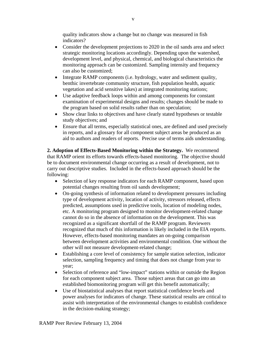quality indicators show a change but no change was measured in fish indicators?

- Consider the development projections to 2020 in the oil sands area and select strategic monitoring locations accordingly. Depending upon the watershed, development level, and physical, chemical, and biological characteristics the monitoring approach can be customized. Sampling intensity and frequency can also be customized;
- Integrate RAMP components (i.e. hydrology, water and sediment quality, benthic invertebrate community structure, fish population health, aquatic vegetation and acid sensitive lakes) at integrated monitoring stations;
- Use adaptive feedback loops within and among components for constant examination of experimental designs and results; changes should be made to the program based on solid results rather than on speculation;
- Show clear links to objectives and have clearly stated hypotheses or testable study objectives; and
- Ensure that all terms, especially statistical ones, are defined and used precisely in reports, and a glossary for all component subject areas be produced as an aid to authors and readers of reports. Precise use of terms aids understanding.

**2. Adoption of Effects-Based Monitoring within the Strategy.** We recommend that RAMP orient its efforts towards effects-based monitoring. The objective should be to document environmental change occurring as a result of development, not to carry out descriptive studies. Included in the effects-based approach should be the following:

- Selection of key response indicators for each RAMP component, based upon potential changes resulting from oil sands development;
- On-going synthesis of information related to development pressures including type of development activity, location of activity, stressors released, effects predicted, assumptions used in predictive tools, location of modeling nodes, etc. A monitoring program designed to monitor development-related change cannot do so in the absence of information on the development. This was recognized as a significant shortfall of the RAMP program. Reviewers recognized that much of this information is likely included in the EIA reports. However, effects-based monitoring mandates an on-going comparison between development activities and environmental condition. One without the other will not measure development-related change;
- Establishing a core level of consistency for sample station selection, indicator selection, sampling frequency and timing that does not change from year to year;
- Selection of reference and "low-impact" stations within or outside the Region for each component subject area. Those subject areas that can go into an established biomonitoring program will get this benefit automatically;
- Use of biostatistical analyses that report statistical confidence levels and power analyses for indicators of change. These statistical results are critical to assist with interpretation of the environmental changes to establish confidence in the decision-making strategy;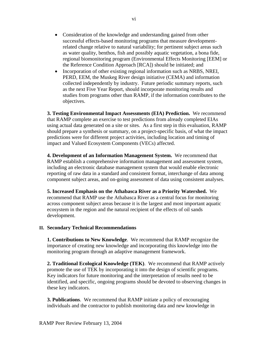- Consideration of the knowledge and understanding gained from other successful effects-based monitoring programs that measure developmentrelated change relative to natural variability; for pertinent subject areas such as water quality, benthos, fish and possibly aquatic vegetation, a bona fide, regional biomonitoring program (Environmental Effects Monitoring [EEM] or the Reference Condition Approach [RCA]) should be initiated; and
- Incorporation of other existing regional information such as NRBS, NREI, PERD, EEM, the Muskeg River design initiative (CEMA) and information collected independently by industry. Future periodic summary reports, such as the next Five Year Report, should incorporate monitoring results and studies from programs other than RAMP, if the information contributes to the objectives.

**3. Testing Environmental Impact Assessments (EIA) Prediction.** We recommend that RAMP complete an exercise to test predictions from already completed EIAs using actual data generated on a site or sites. As a first step in this evaluation, RAMP should prepare a synthesis or summary, on a project-specific basis, of what the impact predictions were for different project activities, including location and timing of impact and Valued Ecosystem Components (VECs) affected.

**4. Development of an Information Management System.** We recommend that RAMP establish a comprehensive information management and assessment system, including an electronic database management system that would enable electronic reporting of raw data in a standard and consistent format, interchange of data among component subject areas, and on-going assessment of data using consistent analyses.

**5. Increased Emphasis on the Athabasca River as a Priority Watershed.** We recommend that RAMP use the Athabasca River as a central focus for monitoring across component subject areas because it is the largest and most important aquatic ecosystem in the region and the natural recipient of the effects of oil sands development.

# **II. Secondary Technical Recommendations**

**1. Contributions to New Knowledge**. We recommend that RAMP recognize the importance of creating new knowledge and incorporating this knowledge into the monitoring program through an adaptive management framework.

**2. Traditional Ecological Knowledge (TEK)**. We recommend that RAMP actively promote the use of TEK by incorporating it into the design of scientific programs. Key indicators for future monitoring and the interpretation of results need to be identified, and specific, ongoing programs should be devoted to observing changes in these key indicators.

**3. Publications**. We recommend that RAMP initiate a policy of encouraging individuals and the contractor to publish monitoring data and new knowledge in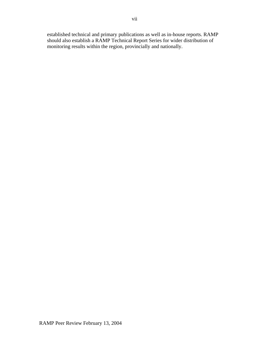established technical and primary publications as well as in-house reports. RAMP should also establish a RAMP Technical Report Series for wider distribution of monitoring results within the region, provincially and nationally.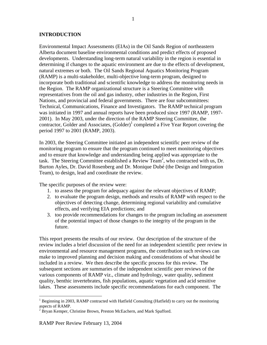# **INTRODUCTION**

Environmental Impact Assessments (EIAs) in the Oil Sands Region of northeastern Alberta document baseline environmental conditions and predict effects of proposed developments. Understanding long-term natural variability in the region is essential in determining if changes to the aquatic environment are due to the effects of development, natural extremes or both. The Oil Sands Regional Aquatics Monitoring Program (RAMP) is a multi-stakeholder, multi-objective long-term program, designed to incorporate both traditional and scientific knowledge to address the monitoring needs in the Region. The RAMP organizational structure is a Steering Committee with representatives from the oil and gas industry, other industries in the Region, First Nations, and provincial and federal governments. There are four subcommittees: Technical, Communications, Finance and Investigators. The RAMP technical program was initiated in 1997 and annual reports have been produced since 1997 (RAMP, 1997- 2001). In May 2003, under the direction of the RAMP Steering Committee, the contractor, Golder and Associates,  $(Golder)^{1}$  completed a Five Year Report covering the period 1997 to 2001 (RAMP, 2003).

In 2003, the Steering Committee initiated an independent scientific peer review of the monitoring program to ensure that the program continued to meet monitoring objectives and to ensure that knowledge and understanding being applied was appropriate to the task. The Steering Committee established a Review Team<sup>2</sup>, who contracted with us, Dr. Burton Ayles, Dr. David Rosenberg and Dr. Monique Dubé (the Design and Integration Team), to design, lead and coordinate the review.

The specific purposes of the review were:

- 1. to assess the program for adequacy against the relevant objectives of RAMP;
- 2. to evaluate the program design, methods and results of RAMP with respect to the objectives of detecting change, determining regional variability and cumulative effects, and verifying EIA predictions; and
- 3. too provide recommendations for changes to the program including an assessment of the potential impact of those changes to the integrity of the program in the future.

This report presents the results of our review. Our description of the structure of the review includes a brief discussion of the need for an independent scientific peer review in environmental and resource management programs, the contribution such reviews can make to improved planning and decision making and considerations of what should be included in a review. We then describe the specific process for this review. The subsequent sections are summaries of the independent scientific peer reviews of the various components of RAMP viz., climate and hydrology, water quality, sediment quality, benthic invertebrates, fish populations, aquatic vegetation and acid sensitive lakes. These assessments include specific recommendations for each component. The

 $\overline{a}$ 

<sup>&</sup>lt;sup>1</sup> Beginning in 2003, RAMP contracted with Hatfield Consulting (Hatfield) to carry out the monitoring aspects of RAMP.

 $2\overline{B}$  Bryan Kemper, Christine Brown, Preston McEachern, and Mark Spafford.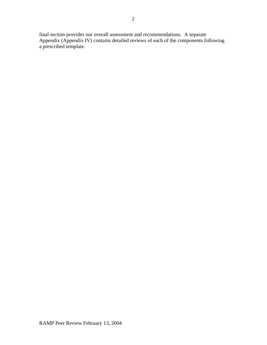final section provides our overall assessment and recommendations. A separate Appendix (Appendix IV) contains detailed reviews of each of the components following a prescribed template.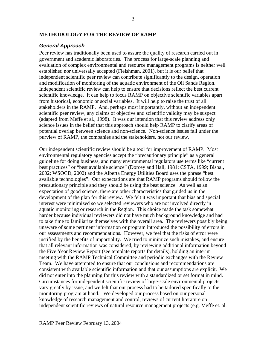#### **METHODOLOGY FOR THE REVIEW OF RAMP**

#### *General Approach*

Peer review has traditionally been used to assure the quality of research carried out in government and academic laboratories. The process for large-scale planning and evaluation of complex environmental and resource management programs is neither well established nor universally accepted (Fleishman, 2001), but it is our belief that independent scientific peer review can contribute significantly to the design, operation and modification of monitoring of the aquatic environment of the Oil Sands Region. Independent scientific review can help to ensure that decisions reflect the best current scientific knowledge. It can help to focus RAMP on objective scientific variables apart from historical, economic or social variables. It will help to raise the trust of all stakeholders in the RAMP. And, perhaps most importantly, without an independent scientific peer review, any claims of objective and scientific validity may be suspect (adapted from Meffe et al., 1998). It was our intention that this review address only science issues in the belief that this approach should help RAMP to clarify areas of potential overlap between science and non-science. Non-science issues fall under the purview of RAMP, the companies and the stakeholders, not our review.

Our independent scientific review should be a tool for improvement of RAMP. Most environmental regulatory agencies accept the "precautionary principle" as a general guideline for doing business, and many environmental regulators use terms like "current best practices" or "best available science" (Dorcey and Hall, 1981; CSTA, 1999; Bisbal, 2002; WSOCD, 2002) and the Alberta Energy Utilities Board uses the phrase "best available technologies". Our expectations are that RAMP programs should follow the precautionary principle and they should be using the best science. As well as an expectation of good science, there are other characteristics that guided us in the development of the plan for this review. We felt it was important that bias and special interest were minimized so we selected reviewers who are not involved directly in aquatic monitoring or research in the Region. This choice made the task somewhat harder because individual reviewers did not have much background knowledge and had to take time to familiarize themselves with the overall area. The reviewers possibly being unaware of some pertinent information or program introduced the possibility of errors in our assessments and recommendations. However, we feel that the risks of error were justified by the benefits of impartiality. We tried to minimize such mistakes, and ensure that all relevant information was considered, by reviewing additional information beyond the Five Year Review Report (see template reports for details), holding an interim meeting with the RAMP Technical Committee and periodic exchanges with the Review Team. We have attempted to ensure that our conclusions and recommendations are consistent with available scientific information and that our assumptions are explicit. We did not enter into the planning for this review with a standardized or set format in mind. Circumstances for independent scientific review of large-scale environmental projects vary greatly by issue, and we felt that our process had to be tailored specifically to the monitoring program at hand. We developed our process based on our personal knowledge of research management and control, reviews of current literature on independent scientific reviews of natural resource management projects (e.g. Meffe et. al.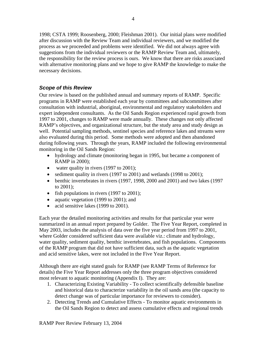1998; CSTA 1999; Roosenberg, 2000; Fleishman 2001). Our initial plans were modified after discussion with the Review Team and individual reviewers, and we modified the process as we proceeded and problems were identified. We did not always agree with suggestions from the individual reviewers or the RAMP Review Team and, ultimately, the responsibility for the review process is ours. We know that there are risks associated with alternative monitoring plans and we hope to give RAMP the knowledge to make the necessary decisions.

# *Scope of this Review*

Our review is based on the published annual and summary reports of RAMP. Specific programs in RAMP were established each year by committees and subcommittees after consultation with industrial, aboriginal, environmental and regulatory stakeholders and expert independent consultants. As the Oil Sands Region experienced rapid growth from 1997 to 2001, changes to RAMP were made annually. These changes not only affected RAMP's objectives, and organizational structure, but the study area and study design as well. Potential sampling methods, sentinel species and reference lakes and streams were also evaluated during this period. Some methods were adopted and then abandoned during following years. Through the years, RAMP included the following environmental monitoring in the Oil Sands Region:

- hydrology and climate (monitoring began in 1995, but became a component of RAMP in 2000);
- water quality in rivers (1997 to 2001);
- sediment quality in rivers (1997 to 2001) and wetlands (1998 to 2001);
- benthic invertebrates in rivers (1997, 1998, 2000 and 2001) and two lakes (1997 to 2001);
- fish populations in rivers (1997 to 2001);
- aquatic vegetation (1999 to 2001); and
- acid sensitive lakes (1999 to 2001).

Each year the detailed monitoring activities and results for that particular year were summarized in an annual report prepared by Golder. The Five Year Report, completed in May 2003, includes the analysis of data over the five year period from 1997 to 2001, where Golder considered sufficient data were available viz.: climate and hydrology, water quality, sediment quality, benthic invertebrates, and fish populations. Components of the RAMP program that did not have sufficient data, such as the aquatic vegetation and acid sensitive lakes, were not included in the Five Year Report.

Although there are eight stated goals for RAMP (see RAMP Terms of Reference for details) the Five Year Report addresses only the three program objectives considered most relevant to aquatic monitoring (Appendix I). They are:

- 1. Characterizing Existing Variability To collect scientifically defensible baseline and historical data to characterize variability in the oil sands area (the capacity to detect change was of particular importance for reviewers to consider).
- 2. Detecting Trends and Cumulative Effects To monitor aquatic environments in the Oil Sands Region to detect and assess cumulative effects and regional trends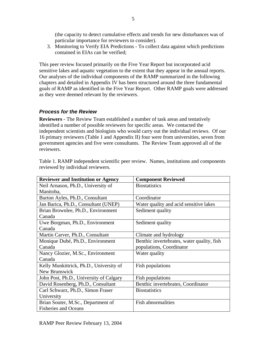(the capacity to detect cumulative effects and trends for new disturbances was of particular importance for reviewers to consider).

3. Monitoring to Verify EIA Predictions - To collect data against which predictions contained in EIAs can be verified;

This peer review focused primarily on the Five Year Report but incorporated acid sensitive lakes and aquatic vegetation to the extent that they appear in the annual reports. Our analyses of the individual components of the RAMP summarized in the following chapters and detailed in Appendix IV has been structured around the three fundamental goals of RAMP as identified in the Five Year Report. Other RAMP goals were addressed as they were deemed relevant by the reviewers.

# *Process for the Review*

**Reviewers** - The Review Team established a number of task areas and tentatively identified a number of possible reviewers for specific areas. We contacted the independent scientists and biologists who would carry out the individual reviews. Of our 16 primary reviewers (Table 1 and Appendix II) four were from universities, seven from government agencies and five were consultants. The Review Team approved all of the reviewers.

| <b>Reviewer and Institution or Agency</b> | <b>Component Reviewed</b>                  |
|-------------------------------------------|--------------------------------------------|
| Neil Arnason, Ph.D., University of        | <b>Biostatistics</b>                       |
| Manitoba,                                 |                                            |
| Burton Ayles, Ph.D., Consultant           | Coordinator                                |
| Jan Barica, Ph.D., Consultant (UNEP)      | Water quality and acid sensitive lakes     |
| Brian Brownlee, Ph.D., Environment        | Sediment quality                           |
| Canada                                    |                                            |
| Uwe Borgman, Ph.D., Environment           | Sediment quality                           |
| Canada                                    |                                            |
| Martin Carver, Ph.D., Consultant          | Climate and hydrology                      |
| Monique Dubé, Ph.D., Environment          | Benthic invertebrates, water quality, fish |
| Canada                                    | populations, Coordinator                   |
| Nancy Glozier, M.Sc., Environment         | Water quality                              |
| Canada                                    |                                            |
| Kelly Munkittrick, Ph.D., University of   | Fish populations                           |
| New Brunswick                             |                                            |
| John Post, Ph.D., University of Calgary   | Fish populations                           |
| David Rosenberg, Ph.D., Consultant        | Benthic invertebrates, Coordinator         |
| Carl Schwarz, Ph.D., Simon Fraser         | <b>Biostatistics</b>                       |
| University                                |                                            |
| Brian Souter, M.Sc., Department of        | <b>Fish abnormalities</b>                  |
| <b>Fisheries and Oceans</b>               |                                            |

Table 1. RAMP independent scientific peer review. Names, institutions and components reviewed by individual reviewers.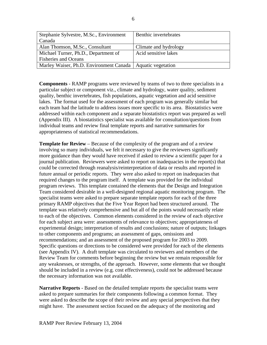| Stephanie Sylvestre, M.Sc., Environment                      | Benthic invertebrates |
|--------------------------------------------------------------|-----------------------|
| Canada                                                       |                       |
| Alan Thomson, M.Sc., Consultant                              | Climate and hydrology |
| Michael Turner, Ph.D., Department of                         | Acid sensitive lakes  |
| <b>Fisheries and Oceans</b>                                  |                       |
| Marley Waiser, Ph.D. Environment Canada   Aquatic vegetation |                       |

**Components** - RAMP programs were reviewed by teams of two to three specialists in a particular subject or component viz., climate and hydrology, water quality, sediment quality, benthic invertebrates, fish populations, aquatic vegetation and acid sensitive lakes. The format used for the assessment of each program was generally similar but each team had the latitude to address issues more specific to its area. Biostatistics were addressed within each component and a separate biostatistics report was prepared as well (Appendix III). A biostatistics specialist was available for consultation/questions from individual teams and review final template reports and narrative summaries for appropriateness of statistical recommendations.

**Template for Review** – Because of the complexity of the program and of a review involving so many individuals, we felt it necessary to give the reviewers significantly more guidance than they would have received if asked to review a scientific paper for a journal publication. Reviewers were asked to report on inadequacies in the report(s) that could be corrected through reanalysis/reinterpretation of data or results and reported in future annual or periodic reports. They were also asked to report on inadequacies that required changes to the program itself. A template was provided for the individual program reviews. This template contained the elements that the Design and Integration Team considered desirable in a well-designed regional aquatic monitoring program. The specialist teams were asked to prepare separate template reports for each of the three primary RAMP objectives that the Five Year Report had been structured around. The template was relatively comprehensive and but all of the points would necessarily relate to each of the objectives. Common elements considered in the review of each objective for each subject area were: assessments of relevance to objectives; appropriateness of experimental design; interpretation of results and conclusions; nature of outputs; linkages to other components and programs; an assessment of gaps, omissions and recommendations; and an assessment of the proposed program for 2003 to 2009. Specific questions or directions to be considered were provided for each of the elements (see Appendix IV). A draft template was circulated to reviewers and members of the Review Team for comments before beginning the review but we remain responsible for any weaknesses, or strengths, of the approach. However, some elements that we thought should be included in a review (e.g. cost effectiveness), could not be addressed because the necessary information was not available.

**Narrative Reports** - Based on the detailed template reports the specialist teams were asked to prepare summaries for their components following a common format. They were asked to describe the scope of their review and any special perspectives that they might have. The assessment section focused on the adequacy of the monitoring and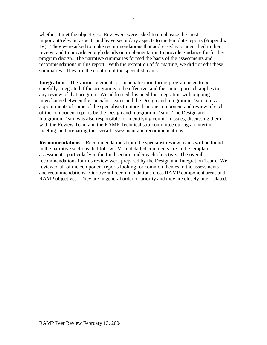whether it met the objectives. Reviewers were asked to emphasize the most important/relevant aspects and leave secondary aspects to the template reports (Appendix IV). They were asked to make recommendations that addressed gaps identified in their review, and to provide enough details on implementation to provide guidance for further program design. The narrative summaries formed the basis of the assessments and recommendations in this report. With the exception of formatting, we did not edit these summaries. They are the creation of the specialist teams.

**Integration** – The various elements of an aquatic monitoring program need to be carefully integrated if the program is to be effective, and the same approach applies to any review of that program. We addressed this need for integration with ongoing interchange between the specialist teams and the Design and Integration Team, cross appointments of some of the specialists to more than one component and review of each of the component reports by the Design and Integration Team. The Design and Integration Team was also responsible for identifying common issues, discussing them with the Review Team and the RAMP Technical sub-committee during an interim meeting, and preparing the overall assessment and recommendations.

**Recommendations** – Recommendations from the specialist review teams will be found in the narrative sections that follow. More detailed comments are in the template assessments, particularly in the final section under each objective. The overall recommendations for this review were prepared by the Design and Integration Team. We reviewed all of the component reports looking for common themes in the assessments and recommendations. Our overall recommendations cross RAMP component areas and RAMP objectives. They are in general order of priority and they are closely inter-related.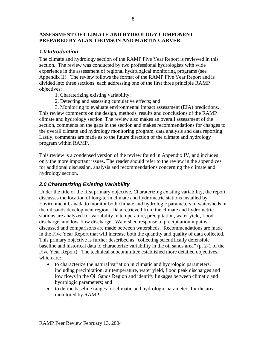# **ASSESSMENT OF CLIMATE AND HYDROLOGY COMPONENT PREPARED BY ALAN THOMSON AND MARTIN CARVER**

# *1.0 Introduction*

The climate and hydrology section of the RAMP Five Year Report is reviewed in this section. The review was conducted by two professional hydrologists with wide experience in the assessment of regional hydrological monitoring programs (see Appendix II). The review follows the format of the RAMP Five Year Report and is divided into three sections, each addressing one of the first three principle RAMP objectives:

- 1. Charaterizing existing variability;
- 2. Detecting and assessing cumulative effects; and

3. Monitoring to evaluate environmental impact assessment (EIA) predictions. This review comments on the design, methods, results and conclusions of the RAMP climate and hydrology section. The review also makes an overall assessment of the section, comments on the gaps in the section and makes recommendations for changes to the overall climate and hydrology monitoring program, data analysis and data reporting. Lastly, comments are made as to the future direction of the climate and hydrology program within RAMP.

This review is a condensed version of the review found in Appendix IV, and includes only the more important issues. The reader should refer to the review in the appendices for additional discussion, analysis and recommendations concerning the climate and hydrology section.

# *2.0 Charaterizing Existing Variability*

Under the title of the first primary objective, Charaterizing existing variability, the report discusses the location of long-term climate and hydrometric stations installed by Environment Canada to monitor both climate and hydrologic parameters in watersheds in the oil sands development region. Data retrieved from the climate and hydrometric stations are analyzed for variability in temperature, precipitation, water yield, flood discharge, and low-flow discharge. Watershed response to precipitation input is discussed and comparisons are made between watersheds. Recommendations are made in the Five Year Report that will increase both the quantity and quality of data collected. This primary objective is further described as "collecting scientifically defensible baseline and historical data to characterize variability in the oil sands area" (p. 2-1 of the Five Year Report). The technical subcommittee established more detailed objectives, which are:

- to characterize the natural variation in climatic and hydrologic parameters, including precipitation, air temperature, water yield, flood peak discharges and low flows in the Oil Sands Region and identify linkages between climatic and hydrologic parameters; and
- to define baseline ranges for climatic and hydrologic parameters for the area monitored by RAMP.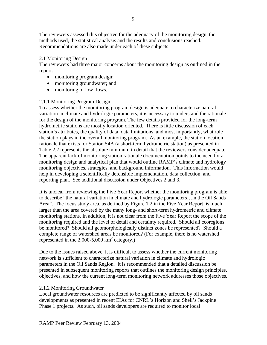The reviewers assessed this objective for the adequacy of the monitoring design, the methods used, the statistical analysis and the results and conclusions reached. Recommendations are also made under each of these subjects.

# 2.1 Monitoring Design

The reviewers had three major concerns about the monitoring design as outlined in the report:

- monitoring program design;
- monitoring groundwater; and
- monitoring of low flows.

# 2.1.1 Monitoring Program Design

To assess whether the monitoring program design is adequate to characterize natural variation in climate and hydrologic parameters, it is necessary to understand the rationale for the design of the monitoring program. The few details provided for the long-term hydrometric stations are mostly location oriented. There is little discussion of each station's attributes, the quality of data, data limitations, and most importantly, what role the station plays in the overall monitoring program. As an example, the station location rationale that exists for Station S4A (a short-term hydrometric station) as presented in Table 2.2 represents the absolute minimum in detail that the reviewers consider adequate. The apparent lack of monitoring station rationale documentation points to the need for a monitoring design and analytical plan that would outline RAMP's climate and hydrology monitoring objectives, strategies, and background information. This information would help in developing a scientifically defensible implementation, data collection, and reporting plan. See additional discussion under Objectives 2 and 3.

It is unclear from reviewing the Five Year Report whether the monitoring program is able to describe "the natural variation in climate and hydrologic parameters…in the Oil Sands Area". The focus study area, as defined by Figure 1.2 in the Five Year Report, is much larger than the area covered by the many long- and short-term hydrometric and climate monitoring stations. In addition, it is not clear from the Five Year Report the scope of the monitoring required and the level of detail and certainty required. Should all ecoregions be monitored? Should all geomorphologically distinct zones be represented? Should a complete range of watershed areas be monitored? (For example, there is no watershed represented in the  $2,000$ -5,000 km<sup>2</sup> category.)

Due to the issues raised above, it is difficult to assess whether the current monitoring network is sufficient to characterize natural variation in climate and hydrologic parameters in the Oil Sands Region. It is recommended that a detailed discussion be presented in subsequent monitoring reports that outlines the monitoring design principles, objectives, and how the current long-term monitoring network addresses those objectives.

# 2.1.2 Monitoring Groundwater

Local groundwater resources are predicted to be significantly affected by oil sands developments as presented in recent EIAs for CNRL's Horizon and Shell's Jackpine Phase 1 projects. As such, oil sands developers are required to monitor local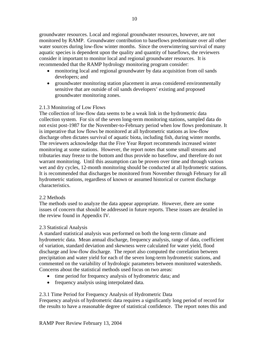groundwater resources. Local and regional groundwater resources, however, are not monitored by RAMP. Groundwater contribution to baseflows predominate over all other water sources during low-flow winter months. Since the overwintering survival of many aquatic species is dependent upon the quality and quantity of baseflows, the reviewers consider it important to monitor local and regional groundwater resources. It is recommended that the RAMP hydrology monitoring program consider:

- monitoring local and regional groundwater by data acquisition from oil sands developers; and
- groundwater monitoring station placement in areas considered environmentally sensitive that are outside of oil sands developers' existing and proposed groundwater monitoring zones.

# 2.1.3 Monitoring of Low Flows

The collection of low-flow data seems to be a weak link in the hydrometric data collection system. For six of the seven long-term monitoring stations, sampled data do not exist post-1987 for the November-to-February period when low flows predominate. It is imperative that low flows be monitored at all hydrometric stations as low-flow discharge often dictates survival of aquatic biota, including fish, during winter months. The reviewers acknowledge that the Five Year Report recommends increased winter monitoring at some stations. However, the report notes that some small streams and tributaries may freeze to the bottom and thus provide no baseflow, and therefore do not warrant monitoring. Until this assumption can be proven over time and through various wet and dry cycles, 12-month monitoring should be conducted at all hydrometric stations. It is recommended that discharges be monitored from November through February for all hydrometric stations, regardless of known or assumed historical or current discharge characteristics.

# 2.2 Methods

The methods used to analyze the data appear appropriate. However, there are some issues of concern that should be addressed in future reports. These issues are detailed in the review found in Appendix IV.

# 2.3 Statistical Analysis

A standard statistical analysis was performed on both the long-term climate and hydrometric data. Mean annual discharge, frequency analysis, range of data, coefficient of variation, standard deviation and skewness were calculated for water yield, flood discharge and low-flow discharge. The report also computed the correlation between precipitation and water yield for each of the seven long-term hydrometric stations, and commented on the variability of hydrologic parameters between monitored watersheds. Concerns about the statistical methods used focus on two areas:

- time period for frequency analysis of hydrometric data; and
- frequency analysis using interpolated data.

# 2.3.1 Time Period for Frequency Analysis of Hydrometric Data

Frequency analysis of hydrometric data requires a significantly long period of record for the results to have a reasonable degree of statistical confidence. The report notes this and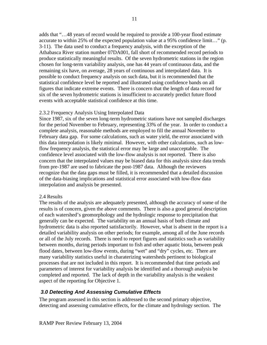adds that "…48 years of record would be required to provide a 100-year flood estimate accurate to within 25% of the expected population value at a 95% confidence limit…" (p. 3-11). The data used to conduct a frequency analysis, with the exception of the Athabasca River station number 07DA001, fall short of recommended record periods to produce statistically meaningful results. Of the seven hydrometric stations in the region chosen for long-term variability analysis, one has 44 years of continuous data, and the remaining six have, on average, 28 years of continuous and interpolated data. It is possible to conduct frequency analysis on such data, but it is recommended that the statistical confidence level be reported and illustrated using confidence bands on all figures that indicate extreme events. There is concern that the length of data record for six of the seven hydrometric stations is insufficient to accurately predict future flood events with acceptable statistical confidence at this time.

# 2.3.2 Frequency Analysis Using Interpolated Data

Since 1987, six of the seven long-term hydrometric stations have not sampled discharges for the period November to February, representing 33% of the year. In order to conduct a complete analysis, reasonable methods are employed to fill the annual November to February data gap. For some calculations, such as water yield, the error associated with this data interpolation is likely minimal. However, with other calculations, such as lowflow frequency analysis, the statistical error may be large and unacceptable. The confidence level associated with the low-flow analysis is not reported. There is also concern that the interpolated values may be biased data for this analysis since data trends from pre-1987 are used to fabricate the post-1987 data. Although the reviewers recognize that the data gaps must be filled, it is recommended that a detailed discussion of the data-biasing implications and statistical error associated with low-flow data interpolation and analysis be presented.

#### 2.4 Results

The results of the analysis are adequately presented, although the accuracy of some of the results is of concern, given the above comments. There is also a good general description of each watershed's geomorphology and the hydrologic response to precipitation that generally can be expected. The variability on an annual basis of both climate and hydrometric data is also reported satisfactorily. However, what is absent in the report is a detailed variability analysis on other periods; for example, among all of the June records or all of the July records. There is need to report figures and statistics such as variability between months, during periods important to fish and other aquatic biota, between peak flood dates, between low-flow events, during "wet" and "dry" cycles, etc. There are many variability statistics useful in charaterizing watersheds pertinent to biological processes that are not included in this report. It is recommended that time periods and parameters of interest for variability analysis be identified and a thorough analysis be completed and reported. The lack of depth in the variability analysis is the weakest aspect of the reporting for Objective 1.

# *3.0 Detecting And Assessing Cumulative Effects*

The program assessed in this section is addressed to the second primary objective, detecting and assessing cumulative effects, for the climate and hydrology section. The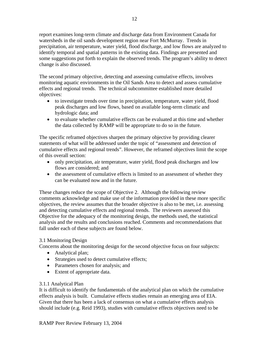report examines long-term climate and discharge data from Environment Canada for watersheds in the oil sands development region near Fort McMurray. Trends in precipitation, air temperature, water yield, flood discharge, and low flows are analyzed to identify temporal and spatial patterns in the existing data. Findings are presented and some suggestions put forth to explain the observed trends. The program's ability to detect change is also discussed.

The second primary objective, detecting and assessing cumulative effects, involves monitoring aquatic environments in the Oil Sands Area to detect and assess cumulative effects and regional trends. The technical subcommittee established more detailed objectives:

- to investigate trends over time in precipitation, temperature, water yield, flood peak discharges and low flows, based on available long-term climatic and hydrologic data; and
- to evaluate whether cumulative effects can be evaluated at this time and whether the data collected by RAMP will be appropriate to do so in the future.

The specific reframed objectives sharpen the primary objective by providing clearer statements of what will be addressed under the topic of "assessment and detection of cumulative effects and regional trends". However, the reframed objectives limit the scope of this overall section:

- only precipitation, air temperature, water yield, flood peak discharges and low flows are considered; and
- the assessment of cumulative effects is limited to an assessment of whether they can be evaluated now and in the future.

These changes reduce the scope of Objective 2. Although the following review comments acknowledge and make use of the information provided in these more specific objectives, the review assumes that the broader objective is also to be met, i.e. assessing and detecting cumulative effects and regional trends. The reviewers assessed this Objective for the adequacy of the monitoring design, the methods used, the statistical analysis and the results and conclusions reached. Comments and recommendations that fall under each of these subjects are found below.

# 3.1 Monitoring Design

Concerns about the monitoring design for the second objective focus on four subjects:

- Analytical plan;
- Strategies used to detect cumulative effects;
- Parameters chosen for analysis; and
- Extent of appropriate data.

# 3.1.1 Analytical Plan

It is difficult to identify the fundamentals of the analytical plan on which the cumulative effects analysis is built. Cumulative effects studies remain an emerging area of EIA. Given that there has been a lack of consensus on what a cumulative effects analysis should include (e.g. Reid 1993), studies with cumulative effects objectives need to be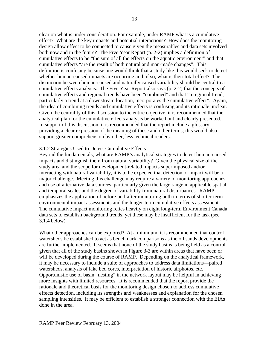clear on what is under consideration. For example, under RAMP what is a cumulative effect? What are the key impacts and potential interactions? How does the monitoring design allow effect to be connected to cause given the measurables and data sets involved both now and in the future? The Five Year Report (p. 2-2) implies a definition of cumulative effects to be "the sum of all the effects on the aquatic environment" and that cumulative effects "are the result of both natural and man-made changes". This definition is confusing because one would think that a study like this would seek to detect whether human-caused impacts are occurring and, if so, what is their total effect? The distinction between human-caused and naturally caused variability should be central to a cumulative effects analysis. The Five Year Report also says (p. 2-2) that the concepts of cumulative effects and regional trends have been "combined" and that "a regional trend, particularly a trend at a downstream location, incorporates the cumulative effect". Again, the idea of combining trends and cumulative effects is confusing and its rationale unclear. Given the centrality of this discussion to the entire objective, it is recommended that the analytical plan for the cumulative effects analysis be worked out and clearly presented.

In support of this discussion, it is recommended that the report include a glossary providing a clear expression of the meaning of these and other terms; this would also support greater comprehension by other, less technical readers.

# 3.1.2 Strategies Used to Detect Cumulative Effects

Beyond the fundamentals, what are RAMP's analytical strategies to detect human-caused impacts and distinguish them from natural variability? Given the physical size of the study area and the scope for development-related impacts superimposed and/or interacting with natural variability, it is to be expected that detection of impact will be a major challenge. Meeting this challenge may require a variety of monitoring approaches and use of alternative data sources, particularly given the large range in applicable spatial and temporal scales and the degree of variability from natural disturbances. RAMP emphasizes the application of before-and-after monitoring both in terms of shorter-term environmental impact assessments and the longer-term cumulative effects assessment. The cumulative impact monitoring relies heavily on eight long-term Environment Canada data sets to establish background trends, yet these may be insufficient for the task (see 3.1.4 below).

What other approaches can be explored? At a minimum, it is recommended that control watersheds be established to act as benchmark comparisons as the oil sands developments are further implemented. It seems that none of the study basins is being held as a control given that all of the study basins shown in Figure 3-3 are within areas that have been or will be developed during the course of RAMP. Depending on the analytical framework, it may be necessary to include a suite of approaches to address data limitations—paired watersheds, analysis of lake bed cores, interpretation of historic airphotos, etc. Opportunistic use of basin "nesting" in the network layout may be helpful in achieving more insights with limited resources. It is recommended that the report provide the rationale and theoretical basis for the monitoring design chosen to address cumulative effects detection, including its strengths and weaknesses and explanation for the chosen sampling intensities. It may be efficient to establish a stronger connection with the EIAs done in the area.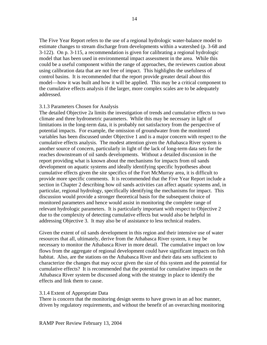The Five Year Report refers to the use of a regional hydrologic water-balance model to estimate changes to stream discharge from developments within a watershed (p. 3-68 and 3-122). On p. 3-115, a recommendation is given for calibrating a regional hydrologic model that has been used in environmental impact assessment in the area. While this could be a useful component within the range of approaches, the reviewers caution about using calibration data that are not free of impact. This highlights the usefulness of control basins. It is recommended that the report provide greater detail about this model—how it was built and how it will be applied. This may be a critical component to the cumulative effects analysis if the larger, more complex scales are to be adequately addressed.

#### 3.1.3 Parameters Chosen for Analysis

The detailed Objective 2a limits the investigation of trends and cumulative effects to two climate and three hydrometric parameters. While this may be necessary in light of limitations in the long-term data, it is probably not satisfactory from the perspective of potential impacts. For example, the omission of groundwater from the monitored variables has been discussed under Objective 1 and is a major concern with respect to the cumulative effects analysis. The modest attention given the Athabasca River system is another source of concern, particularly in light of the lack of long-term data sets for the reaches downstream of oil sands developments. Without a detailed discussion in the report providing what is known about the mechanisms for impacts from oil sands development on aquatic systems and ideally identifying specific hypotheses about cumulative effects given the site specifics of the Fort McMurray area, it is difficult to provide more specific comments. It is recommended that the Five Year Report include a section in Chapter 2 describing how oil sands activities can affect aquatic systems and, in particular, regional hydrology, specifically identifying the mechanisms for impact. This discussion would provide a stronger theoretical basis for the subsequent choice of monitored parameters and hence would assist in monitoring the complete range of relevant hydrologic parameters. It is particularly important with respect to Objective 2 due to the complexity of detecting cumulative effects but would also be helpful in addressing Objective 3. It may also be of assistance to less technical readers.

Given the extent of oil sands development in this region and their intensive use of water resources that all, ultimately, derive from the Athabasca River system, it may be necessary to monitor the Athabasca River in more detail. The cumulative impact on low flows from the aggregate of regional development could have significant impacts on fish habitat. Also, are the stations on the Athabasca River and their data sets sufficient to characterize the changes that may occur given the size of this system and the potential for cumulative effects? It is recommended that the potential for cumulative impacts on the Athabasca River system be discussed along with the strategy in place to identify the effects and link them to cause.

#### 3.1.4 Extent of Appropriate Data

There is concern that the monitoring design seems to have grown in an ad hoc manner, driven by regulatory requirements, and without the benefit of an overarching monitoring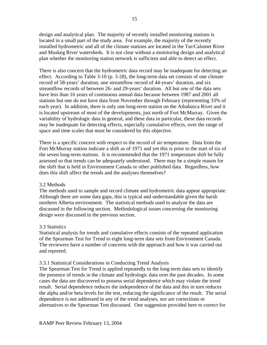design and analytical plan. The majority of recently installed monitoring stations is located in a small part of the study area. For example, the majority of the recently installed hydrometric and all of the climate stations are located in the Tar/Calumet River and Muskeg River watersheds. It is not clear without a monitoring design and analytical plan whether the monitoring station network is sufficient and able to detect an effect.

There is also concern that the hydrometric data record may be inadequate for detecting an effect. According to Table 3-10 (p. 3-28), the long-term data set consists of one climate record of 58-years' duration, one streamflow record of 44-years' duration, and six streamflow records of between 26- and 29-years' duration. All but one of the data sets have less than 16 years of continuous annual data because between 1987 and 2001 all stations but one do not have data from November through February (representing 33% of each year). In addition, there is only one long-term station on the Athabasca River and it is located upstream of most of the developments, just north of Fort McMurray. Given the variability of hydrologic data in general, and these data in particular, these data records may be inadequate for detecting effects, especially cumulative effects, over the range of space and time scales that must be considered by this objective.

There is a specific concern with respect to the record of air temperature. Data from the Fort McMurray station indicate a shift as of 1971 and yet this is prior to the start of six of the seven long-term stations. It is recommended that the 1971 temperature shift be fully assessed so that trends can be adequately understood. There may be a simple reason for the shift that is held in Environment Canada or other published data. Regardless, how does this shift affect the trends and the analyses themselves?

#### 3.2 Methods

The methods used to sample and record climate and hydrometric data appear appropriate. Although there are some data gaps, this is typical and understandable given the harsh northern Alberta environment. The statistical methods used to analyze the data are discussed in the following section. Methodological issues concerning the monitoring design were discussed in the previous section.

#### 3.3 Statistics

Statistical analysis for trends and cumulative effects consists of the repeated application of the Spearman Test for Trend to eight long-term data sets from Environment Canada. The reviewers have a number of concerns with the approach and how it was carried out and reported.

# 3.3.1 Statistical Considerations in Conducting Trend Analysis

The Spearman Test for Trend is applied repeatedly to the long-term data sets to identify the presence of trends in the climate and hydrologic data over the past decades. In some cases the data are discovered to possess serial dependence which may violate the trend result. Serial dependence reduces the independence of the data and this in turn reduces the alpha and/or beta levels for the test, reducing the significance of the result. The serial dependence is not addressed in any of the trend analyses, nor are corrections or alternatives to the Spearman Test discussed. One suggestion provided here to correct for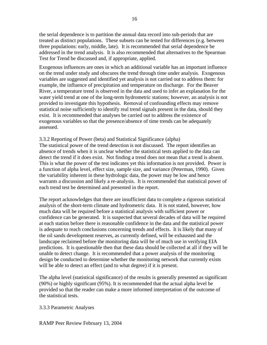the serial dependence is to partition the annual data record into sub-periods that are treated as distinct populations. These subsets can be tested for differences (e.g. between three populations: early, middle, late). It is recommended that serial dependence be addressed in the trend analysis. It is also recommended that alternatives to the Spearman Test for Trend be discussed and, if appropriate, applied.

Exogenous influences are ones in which an additional variable has an important influence on the trend under study and obscures the trend through time under analysis. Exogenous variables are suggested and identified yet analysis is not carried out to address them: for example, the influence of precipitation and temperature on discharge. For the Beaver River, a temperature trend is observed in the data and used to infer an explanation for the water yield trend at one of the long-term hydrometric stations; however, an analysis is not provided to investigate this hypothesis. Removal of confounding effects may remove statistical noise sufficiently to identify real trend signals present in the data, should they exist. It is recommended that analyses be carried out to address the existence of exogenous variables so that the presence/absence of time trends can be adequately assessed.

#### 3.3.2 Reporting of Power (beta) and Statistical Significance (alpha)

The statistical power of the trend detection is not discussed. The report identifies an absence of trends when it is unclear whether the statistical tests applied to the data can detect the trend if it does exist. Not finding a trend does not mean that a trend is absent. This is what the power of the test indicates yet this information is not provided. Power is a function of alpha level, effect size, sample size, and variance (Peterman, 1990). Given the variability inherent in these hydrologic data, the power may be low and hence warrants a discussion and likely a re-analysis. It is recommended that statistical power of each trend test be determined and presented in the report.

The report acknowledges that there are insufficient data to complete a rigorous statistical analysis of the short-term climate and hydrometric data. It is not stated, however, how much data will be required before a statistical analysis with sufficient power or confidence can be generated. It is suspected that several decades of data will be required at each station before there is reasonable confidence in the data and the statistical power is adequate to reach conclusions concerning trends and effects. It is likely that many of the oil sands development reserves, as currently defined, will be exhausted and the landscape reclaimed before the monitoring data will be of much use in verifying EIA predictions. It is questionable then that these data should be collected at all if they will be unable to detect change. It is recommended that a power analysis of the monitoring design be conducted to determine whether the monitoring network that currently exists will be able to detect an effect (and to what degree) if it is present.

The alpha level (statistical significance) of the results is generally presented as significant (90%) or highly significant (95%). It is recommended that the actual alpha level be provided so that the reader can make a more informed interpretation of the outcome of the statistical tests.

3.3.3 Parametric Analyses

RAMP Peer Review February 13, 2004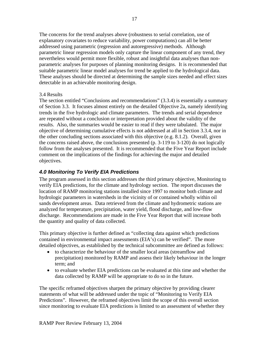The concerns for the trend analyses above (robustness to serial correlation, use of explanatory covariates to reduce variability, power computations) can all be better addressed using parametric (regression and autoregressive) methods. Although parametric linear regression models only capture the linear component of any trend, they nevertheless would permit more flexible, robust and insightful data analyses than nonparametric analyses for purposes of planning monitoring designs. It is recommended that suitable parametric linear model analyses for trend be applied to the hydrological data. These analyses should be directed at determining the sample sizes needed and effect sizes detectable in an achievable monitoring design.

# 3.4 Results

The section entitled "Conclusions and recommendations" (3.3.4) is essentially a summary of Section 3.3. It focuses almost entirely on the detailed Objective 2a, namely identifying trends in the five hydrologic and climate parameters. The trends and serial dependence are repeated without a conclusion or interpretation provided about the validity of the results. Also, the summaries would be easier to read if they were tabulated. The major objective of determining cumulative effects is not addressed at all in Section 3.3.4, nor in the other concluding sections associated with this objective (e.g. 8.1.2). Overall, given the concerns raised above, the conclusions presented (p. 3-119 to 3-120) do not logically follow from the analyses presented. It is recommended that the Five Year Report include comment on the implications of the findings for achieving the major and detailed objectives.

# *4.0 Monitoring To Verify EIA Predictions*

The program assessed in this section addresses the third primary objective, Monitoring to verify EIA predictions, for the climate and hydrology section. The report discusses the location of RAMP monitoring stations installed since 1997 to monitor both climate and hydrologic parameters in watersheds in the vicinity of or contained wholly within oil sands development areas. Data retrieved from the climate and hydrometric stations are analyzed for temperature, precipitation, water yield, flood discharge, and low-flow discharge. Recommendations are made in the Five Year Report that will increase both the quantity and quality of data collected.

This primary objective is further defined as "collecting data against which predictions contained in environmental impact assessments (EIA's) can be verified". The more detailed objectives, as established by the technical subcommittee are defined as follows:

- to characterize the behaviour of the smaller local areas (streamflow and precipitation) monitored by RAMP and assess their likely behaviour in the longer term; and
- to evaluate whether EIA predictions can be evaluated at this time and whether the data collected by RAMP will be appropriate to do so in the future.

The specific reframed objectives sharpen the primary objective by providing clearer statements of what will be addressed under the topic of "Monitoring to Verify EIA Predictions". However, the reframed objectives limit the scope of this overall section since monitoring to evaluate EIA predictions is limited to an assessment of whether they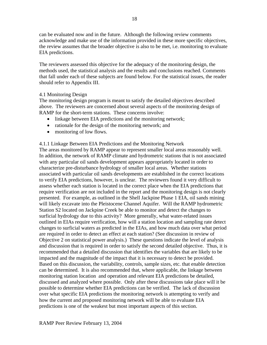can be evaluated now and in the future. Although the following review comments acknowledge and make use of the information provided in these more specific objectives, the review assumes that the broader objective is also to be met, i.e. monitoring to evaluate EIA predictions.

The reviewers assessed this objective for the adequacy of the monitoring design, the methods used, the statistical analysis and the results and conclusions reached. Comments that fall under each of these subjects are found below. For the statistical issues, the reader should refer to Appendix III.

# 4.1 Monitoring Design

The monitoring design program is meant to satisfy the detailed objectives described above. The reviewers are concerned about several aspects of the monitoring design of RAMP for the short-term stations. These concerns involve:

- linkage between EIA predictions and the monitoring network;
- rationale for the design of the monitoring network; and
- monitoring of low flows.

# 4.1.1 Linkage Between EIA Predictions and the Monitoring Network

The areas monitored by RAMP appear to represent smaller local areas reasonably well. In addition, the network of RAMP climate and hydrometric stations that is not associated with any particular oil sands development appears appropriately located in order to characterize pre-disturbance hydrology of smaller local areas. Whether stations associated with particular oil sands developments are established in the correct locations to verify EIA predictions, however, is unclear. The reviewers found it very difficult to assess whether each station is located in the correct place when the EIA predictions that require verification are not included in the report and the monitoring design is not clearly presented. For example, as outlined in the Shell Jackpine Phase 1 EIA, oil sands mining will likely excavate into the Pleistocene Channel Aquifer. Will the RAMP hydrometric Station S2 located on Jackpine Creek be able to monitor and detect the changes to surficial hydrology due to this activity? More generally, what water-related issues outlined in EIAs require verification, how will a station location and sampling rate detect changes to surficial waters as predicted in the EIAs, and how much data over what period are required in order to detect an effect at each station? (See discussion in review of Objective 2 on statistical power analysis.) These questions indicate the level of analysis and discussion that is required in order to satisfy the second detailed objective. Thus, it is recommended that a detailed discussion that identifies the variables that are likely to be impacted and the magnitude of the impact that it is necessary to detect be provided. Based on this discussion, the variability, controls, sample sizes, etc. that enable detection can be determined. It is also recommended that, where applicable, the linkage between monitoring station location and operation and relevant EIA predictions be detailed, discussed and analyzed where possible. Only after these discussions take place will it be possible to determine whether EIA predictions can be verified. The lack of discussion over what specific EIA predictions the monitoring network is attempting to verify and how the current and proposed monitoring network will be able to evaluate EIA predictions is one of the weakest but most important aspects of this section.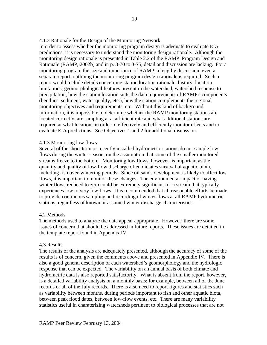In order to assess whether the monitoring program design is adequate to evaluate EIA predictions, it is necessary to understand the monitoring design rationale. Although the monitoring design rationale is presented in Table 2.2 of the RAMP Program Design and Rationale (RAMP, 2002b) and in p. 3-70 to 3-75, detail and discussion are lacking. For a monitoring program the size and importance of RAMP, a lengthy discussion, even a separate report, outlining the monitoring program design rationale is required. Such a report would include details concerning station location rationale, history, location limitations, geomorphological features present in the watershed, watershed response to precipitation, how the station location suits the data requirements of RAMP's components (benthics, sediment, water quality, etc.), how the station complements the regional monitoring objectives and requirements, etc. Without this kind of background information, it is impossible to determine whether the RAMP monitoring stations are located correctly, are sampling at a sufficient rate and what additional stations are required at what locations in order to effectively and efficiently monitor effects and to evaluate EIA predictions. See Objectives 1 and 2 for additional discussion.

# 4.1.3 Monitoring low flows

Several of the short-term or recently installed hydrometric stations do not sample low flows during the winter season, on the assumption that some of the smaller monitored streams freeze to the bottom. Monitoring low flows, however, is important as the quantity and quality of low-flow discharge often dictates survival of aquatic biota, including fish over-wintering periods. Since oil sands development is likely to affect low flows, it is important to monitor these changes. The environmental impact of having winter flows reduced to zero could be extremely significant for a stream that typically experiences low to very low flows. It is recommended that all reasonable efforts be made to provide continuous sampling and recording of winter flows at all RAMP hydrometric stations, regardless of known or assumed winter discharge characteristics.

# 4.2 Methods

The methods used to analyze the data appear appropriate. However, there are some issues of concern that should be addressed in future reports. These issues are detailed in the template report found in Appendix IV.

# 4.3 Results

The results of the analysis are adequately presented, although the accuracy of some of the results is of concern, given the comments above and presented in Appendix IV. There is also a good general description of each watershed's geomorphology and the hydrologic response that can be expected. The variability on an annual basis of both climate and hydrometric data is also reported satisfactorily. What is absent from the report, however, is a detailed variability analysis on a monthly basis; for example, between all of the June records or all of the July records. There is also need to report figures and statistics such as variability between months, during periods important to fish and other aquatic biota, between peak flood dates, between low-flow events, etc. There are many variability statistics useful in charaterizing watersheds pertinent to biological processes that are not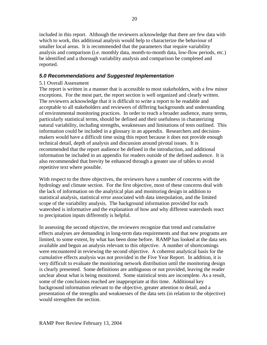included in this report. Although the reviewers acknowledge that there are few data with which to work, this additional analysis would help to characterize the behaviour of smaller local areas. It is recommended that the parameters that require variability analysis and comparison (i.e. monthly data, month-to-month data, low-flow periods, etc.) be identified and a thorough variability analysis and comparison be completed and reported.

# *5.0 Recommendations and Suggested Implementation*

# 5.1 Overall Assessment

The report is written in a manner that is accessible to most stakeholders, with a few minor exceptions. For the most part, the report section is well organized and clearly written. The reviewers acknowledge that it is difficult to write a report to be readable and acceptable to all stakeholders and reviewers of differing backgrounds and understanding of environmental monitoring practices. In order to reach a broader audience, many terms, particularly statistical terms, should be defined and their usefulness in charaterizing natural variability, including strengths, weaknesses and limitations of tests outlined. This information could be included in a glossary in an appendix. Researchers and decisionmakers would have a difficult time using this report because it does not provide enough technical detail, depth of analysis and discussion around pivotal issues. It is recommended that the report audience be defined in the introduction, and additional information be included in an appendix for readers outside of the defined audience. It is also recommended that brevity be enhanced through a greater use of tables to avoid repetitive text where possible.

With respect to the three objectives, the reviewers have a number of concerns with the hydrology and climate section. For the first objective, most of these concerns deal with the lack of information on the analytical plan and monitoring design in addition to statistical analysis, statistical error associated with data interpolation, and the limited scope of the variability analysis. The background information provided for each watershed is informative and the explanation of how and why different watersheds react to precipitation inputs differently is helpful.

In assessing the second objective, the reviewers recognize that trend and cumulative effects analyses are demanding in long-term data requirements and that new programs are limited, to some extent, by what has been done before. RAMP has looked at the data sets available and begun an analysis relevant to this objective. A number of shortcomings were encountered in reviewing the second objective. A coherent analytical basis for the cumulative effects analysis was not provided in the Five Year Report. In addition, it is very difficult to evaluate the monitoring network distribution until the monitoring design is clearly presented. Some definitions are ambiguous or not provided, leaving the reader unclear about what is being monitored. Some statistical tests are incomplete. As a result, some of the conclusions reached are inappropriate at this time. Additional key background information relevant to the objective, greater attention to detail, and a presentation of the strengths and weaknesses of the data sets (in relation to the objective) would strengthen the section.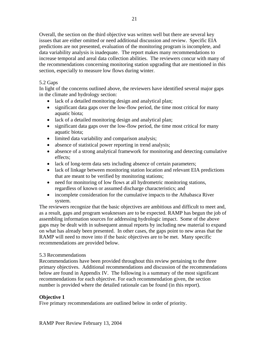Overall, the section on the third objective was written well but there are several key issues that are either omitted or need additional discussion and review. Specific EIA predictions are not presented, evaluation of the monitoring program is incomplete, and data variability analysis is inadequate. The report makes many recommendations to increase temporal and areal data collection abilities. The reviewers concur with many of the recommendations concerning monitoring station upgrading that are mentioned in this section, especially to measure low flows during winter.

# 5.2 Gaps

In light of the concerns outlined above, the reviewers have identified several major gaps in the climate and hydrology section:

- lack of a detailed monitoring design and analytical plan;
- significant data gaps over the low-flow period, the time most critical for many aquatic biota;
- lack of a detailed monitoring design and analytical plan;
- significant data gaps over the low-flow period, the time most critical for many aquatic biota;
- limited data variability and comparison analysis;
- absence of statistical power reporting in trend analysis;
- absence of a strong analytical framework for monitoring and detecting cumulative effects;
- lack of long-term data sets including absence of certain parameters;
- lack of linkage between monitoring station location and relevant EIA predictions that are meant to be verified by monitoring stations;
- need for monitoring of low flows at all hydrometric monitoring stations, regardless of known or assumed discharge characteristics; and
- incomplete consideration for the cumulative impacts to the Athabasca River system.

The reviewers recognize that the basic objectives are ambitious and difficult to meet and, as a result, gaps and program weaknesses are to be expected. RAMP has begun the job of assembling information sources for addressing hydrologic impact. Some of the above gaps may be dealt with in subsequent annual reports by including new material to expand on what has already been presented. In other cases, the gaps point to new areas that the RAMP will need to move into if the basic objectives are to be met. Many specific recommendations are provided below.

# 5.3 Recommendations

Recommendations have been provided throughout this review pertaining to the three primary objectives. Additional recommendations and discussion of the recommendations below are found in Appendix IV. The following is a summary of the most significant recommendations for each objective. For each recommendation given, the section number is provided where the detailed rationale can be found (in this report).

# **Objective 1**

Five primary recommendations are outlined below in order of priority.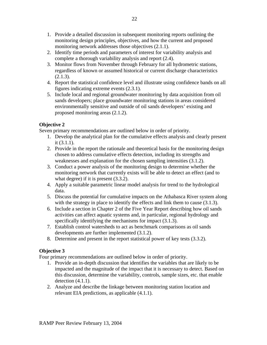- 1. Provide a detailed discussion in subsequent monitoring reports outlining the monitoring design principles, objectives, and how the current and proposed monitoring network addresses those objectives (2.1.1).
- 2. Identify time periods and parameters of interest for variability analysis and complete a thorough variability analysis and report (2.4).
- 3. Monitor flows from November through February for all hydrometric stations, regardless of known or assumed historical or current discharge characteristics  $(2.1.3).$
- 4. Report the statistical confidence level and illustrate using confidence bands on all figures indicating extreme events (2.3.1).
- 5. Include local and regional groundwater monitoring by data acquisition from oil sands developers; place groundwater monitoring stations in areas considered environmentally sensitive and outside of oil sands developers' existing and proposed monitoring areas (2.1.2).

# **Objective 2**

Seven primary recommendations are outlined below in order of priority.

- 1. Develop the analytical plan for the cumulative effects analysis and clearly present it (3.1.1).
- 2. Provide in the report the rationale and theoretical basis for the monitoring design chosen to address cumulative effects detection, including its strengths and weaknesses and explanation for the chosen sampling intensities (3.1.2).
- 3. Conduct a power analysis of the monitoring design to determine whether the monitoring network that currently exists will be able to detect an effect (and to what degree) if it is present  $(3.3.2)$ .
- 4. Apply a suitable parametric linear model analysis for trend to the hydrological data.
- 5. Discuss the potential for cumulative impacts on the Athabasca River system along with the strategy in place to identify the effects and link them to cause  $(3.1.3)$ .
- 6. Include a section in Chapter 2 of the Five Year Report describing how oil sands activities can affect aquatic systems and, in particular, regional hydrology and specifically identifying the mechanisms for impact  $(3.1.3)$ .
- 7. Establish control watersheds to act as benchmark comparisons as oil sands developments are further implemented (3.1.2).
- 8. Determine and present in the report statistical power of key tests (3.3.2).

# **Objective 3**

Four primary recommendations are outlined below in order of priority.

- 1. Provide an in-depth discussion that identifies the variables that are likely to be impacted and the magnitude of the impact that it is necessary to detect. Based on this discussion, determine the variability, controls, sample sizes, etc. that enable detection  $(4.1.1)$ .
- 2. Analyze and describe the linkage between monitoring station location and relevant EIA predictions, as applicable (4.1.1).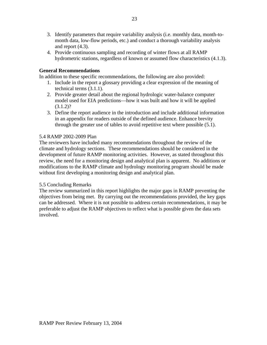- 3. Identify parameters that require variability analysis (i.e. monthly data, month-tomonth data, low-flow periods, etc.) and conduct a thorough variability analysis and report (4.3).
- 4. Provide continuous sampling and recording of winter flows at all RAMP hydrometric stations, regardless of known or assumed flow characteristics (4.1.3).

# **General Recommendations**

In addition to these specific recommendations, the following are also provided:

- 1. Include in the report a glossary providing a clear expression of the meaning of technical terms (3.1.1).
- 2. Provide greater detail about the regional hydrologic water-balance computer model used for EIA predictions—how it was built and how it will be applied  $(3.1.2)$ ?
- 3. Define the report audience in the introduction and include additional information in an appendix for readers outside of the defined audience. Enhance brevity through the greater use of tables to avoid repetitive text where possible (5.1).

# 5.4 RAMP 2002-2009 Plan

The reviewers have included many recommendations throughout the review of the climate and hydrology sections. These recommendations should be considered in the development of future RAMP monitoring activities. However, as stated throughout this review, the need for a monitoring design and analytical plan is apparent. No additions or modifications to the RAMP climate and hydrology monitoring program should be made without first developing a monitoring design and analytical plan.

# 5.5 Concluding Remarks

The review summarized in this report highlights the major gaps in RAMP preventing the objectives from being met. By carrying out the recommendations provided, the key gaps can be addressed. Where it is not possible to address certain recommendations, it may be preferable to adjust the RAMP objectives to reflect what is possible given the data sets involved.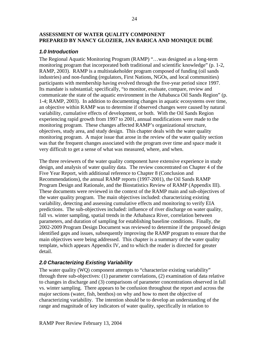# **ASSESSMENT OF WATER QUALITY COMPONENT PREPARED BY NANCY GLOZIER, JAN BARICA AND MONIQUE DUBÉ**

# *1.0 Introduction*

The Regional Aquatic Monitoring Program (RAMP) "…was designed as a long-term monitoring program that incorporated both traditional and scientific knowledge" (p. 1-2, RAMP, 2003). RAMP is a multistakeholder program composed of funding (oil sands industries) and non-funding (regulators, First Nations, NGOs, and local communities) participants with membership having evolved through the five-year period since 1997. Its mandate is substantial; specifically, "to monitor, evaluate, compare, review and communicate the state of the aquatic environment in the Athabasca Oil Sands Region" (p. 1-4; RAMP, 2003). In addition to documenting changes in aquatic ecosystems over time, an objective within RAMP was to determine if observed changes were caused by natural variability, cumulative effects of development, or both. With the Oil Sands Region experiencing rapid growth from 1997 to 2001, annual modifications were made to the monitoring program. These changes affected RAMP's organizational structure, objectives, study area, and study design. This chapter deals with the water quality monitoring program. A major issue that arose in the review of the water quality section was that the frequent changes associated with the program over time and space made it very difficult to get a sense of what was measured, where, and when.

The three reviewers of the water quality component have extensive experience in study design, and analysis of water quality data. The review concentrated on Chapter 4 of the Five Year Report, with additional reference to Chapter 8 (Conclusion and Recommendations), the annual RAMP reports (1997-2001), the Oil Sands RAMP Program Design and Rationale, and the Biostatistics Review of RAMP (Appendix III). These documents were reviewed in the context of the RAMP main and sub-objectives of the water quality program. The main objectives included: characterizing existing variability, detecting and assessing cumulative effects and monitoring to verify EIA predictions. The sub-objectives included: influence of river discharge on water quality, fall vs. winter sampling, spatial trends in the Athabasca River, correlation between parameters, and duration of sampling for establishing baseline conditions. Finally, the 2002-2009 Program Design Document was reviewed to determine if the proposed design identified gaps and issues, subsequently improving the RAMP program to ensure that the main objectives were being addressed. This chapter is a summary of the water quality template, which appears Appendix IV, and to which the reader is directed for greater detail.

# *2.0 Characterizing Existing Variability*

The water quality (WQ) component attempts to "characterize existing variability" through three sub-objectives: (1) parameter correlations, (2) examination of data relative to changes in discharge and (3) comparisons of parameter concentrations observed in fall vs. winter sampling. There appears to be confusion throughout the report and across the major sections (water, fish, benthos) on why and how to meet the objective of characterizing variability. The intention should be to develop an understanding of the range and magnitude of key indicators of water quality, specifically in relation to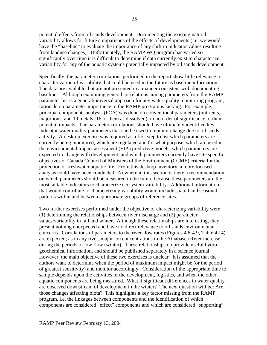potential effects from oil sands development. Documenting the existing natural variability allows for future comparisons of the effects of developments (i.e. we would have the "baseline" to evaluate the importance of any shift in indicator values resulting from landuse changes). Unfortunately, the RAMP WQ program has varied so significantly over time it is difficult to determine if data currently exist to characterize variability for any of the aquatic systems potentially impacted by oil sands development.

Specifically, the parameter correlations performed in the report show little relevance to characterization of variability that could be used in the future as baseline information. The data are available, but are not presented in a manner consistent with documenting baselines. Although examining general correlations among parameters from the RAMP parameter list is a general/universal approach for any water quality monitoring program, rationale on parameter importance to the RAMP program is lacking. For example, principal components analysis (PCA) was done on conventional parameters (nutrients, major ions, and 19 metals (16 of them as dissolved), in no order of significance of their potential impacts. The parameter correlations should have ultimately identified key indicator water quality parameters that can be used to monitor change due to oil sands activity. A desktop exercise was required as a first step to list which parameters are currently being monitored, which are regulated and for what purpose, which are used in the environmental impact assessment (EIA) predictive models, which parameters are expected to change with development, and which parameters currently have site specific objectives or Canada Council of Ministers of the Environment (CCME) criteria for the protection of freshwater aquatic life. From this desktop inventory, a more focused analysis could have been conducted. Nowhere in this section is there a recommendation on which parameters should be measured in the future because these parameters are the most suitable indicators to characterize ecosystem variability. Additional information that would contribute to characterizing variability would include spatial and seasonal patterns within and between appropriate groups of reference sites.

Two further exercises performed under the objective of characterizing variability were (1) determining the relationships between river discharge and (2) parameter values/variability in fall and winter. Although these relationships are interesting, they present nothing unexpected and have no direct relevance to oil sands environmental concerns. Correlations of parameters to the river flow rates (Figures 4.8-4.9, Table 4.14) are expected; as in any river, major ion concentrations in the Athabasca River increase during the periods of low flow (winter). These relationships do provide useful hydrogeochemical information, and should be published separately in a science journal. However, the main objective of these two exercises is unclear. It is assumed that the authors want to determine when the period of maximum impact might be (or the period of greatest sensitivity) and monitor accordingly. Consideration of the appropriate time to sample depends upon the activities of the development, logistics, and when the other aquatic components are being measured. What if significant differences in water quality are observed downstream of development in the winter? The next question will be: Are those changes affecting biota? This highlights a key factor missing from the RAMP program, i.e. the linkages between components and the identification of which components are considered "effect" components and which are considered "supporting"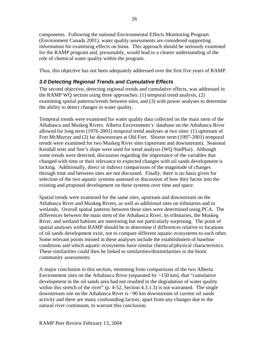components. Following the national Environmental Effects Monitoring Program (Environment Canada 2001), water quality assessments are considered supporting information for examining effects on biota. This approach should be seriously examined for the RAMP program and, presumably, would lead to a clearer understanding of the role of chemical water quality within the program.

Thus, this objective has not been adequately addressed over the first five years of RAMP.

# *3.0 Detecting Regional Trends and Cumulative Effects*

The second objective, detecting regional trends and cumulative effects, was addressed in the RAMP WQ section using three approaches: (1) temporal trend analysis, (2) examining spatial patterns/trends between sites, and (3) with power analyses to determine the ability to detect changes in water quality.

Temporal trends were examined for water quality data collected on the main stem of the Athabasca and Muskeg Rivers. Alberta Environment's database on the Athabasca River allowed for long term (1976-2001) temporal trend analyses at two sites: (1) upstream of Fort McMurray and (2) far downstream at Old Fort. Shorter term (1997-2001) temporal trends were examined for two Muskeg River sites (upstream and downstream). Seasonal Kendall tests and Sen's slope were used for trend analysis (WQ StatPlus). Although some trends were detected, discussion regarding the importance of the variables that changed with time or their relevance to expected changes with oil sands development is lacking. Additionally, direct or indirect comparisons of the magnitude of changes through time and between sites are not discussed. Finally, there is no basis given for selection of the two aquatic systems assessed or discussion of how they factor into the existing and proposed development on these systems over time and space.

Spatial trends were examined for the same sites, upstream and downstream on the Athabasca River and Muskeg Rivers, as well as additional sites on tributaries and in wetlands. Overall spatial patterns between these sites were determined using PCA. The differences between the main stem of the Athabasca River, its tributaries, the Muskeg River, and wetland habitats are interesting but not particularly surprising. The point of spatial analyses within RAMP should be to determine if differences relative to locations of oil sands development exist, not to compare different aquatic ecosystems to each other. Some relevant points missed in these analyses include the establishment of baseline conditions and which aquatic ecosystems have similar chemical/physical characteristics. These similarities could then be linked to similarities/dissimilarities in the biotic community assessments.

A major conclusion in this section, stemming from comparisons of the two Alberta Environment sites on the Athabasca River (separated by  $>150$  km), that "cumulative development in the oil sands area had not resulted in the degradation of water quality within this stretch of the river" (p. 4-52, Section 4.3.1.3) is not warranted. The single downstream site on the Athabasca River is ~90 km downstream of current oil sands activity and there are many confounding factors, apart from any changes due to the natural river continuum, to warrant this conclusion.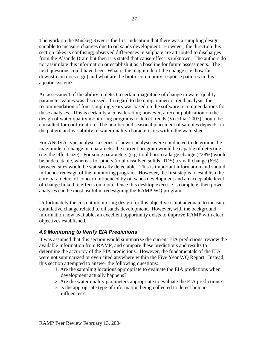The work on the Muskeg River is the first indication that there was a sampling design suitable to measure changes due to oil sands development. However, the direction this section takes is confusing; observed differences in sulphate are attributed to discharges from the Alsands Drain but then it is stated that cause-effect is unknown. The authors do not assimilate this information or establish it as a baseline for future assessments. The next questions could have been: What is the magnitude of the change (i.e. how far downstream does it go) and what are the biotic community response patterns in this aquatic system?

An assessment of the ability to detect a certain magnitude of change in water quality parameter values was discussed. In regard to the nonparametric trend analysis, the recommendation of four sampling years was based on the software recommendations for these analyses. This is certainly a consideration; however, a recent publication on the design of water quality monitoring programs to detect trends (Vecchia, 2003) should be consulted for confirmation. The number and seasonal placement of samples depends on the pattern and variability of water quality characteristics within the watershed.

For ANOVA-type analyses a series of power analyses were conducted to determine the magnitude of change in a parameter the current program would be capable of detecting (i.e. the effect size). For some parameters (e.g. total boron) a large change (228%) would be undetectable, whereas for others (total dissolved solids, TDS) a small change (6%) between sites would be statistically detectable. This is important information and should influence redesign of the monitoring program. However, the first step is to establish the core parameters of concern influenced by oil sands development and an acceptable level of change linked to effects on biota. Once this desktop exercise is complete, then power analyses can be most useful in redesigning the RAMP WQ program.

Unfortunately the current monitoring design for this objective is not adequate to measure cumulative change related to oil sands development. However, with the background information now available, an excellent opportunity exists to improve RAMP with clear objectives established.

# *4.0 Monitoring to Verify EIA Predictions*

It was assumed that this section would summarize the current EIA predictions, review the available information from RAMP, and compare these predictions and results to determine the accuracy of the EIA predictions. However, the fundamentals of the EIA were not summarized or even cited anywhere within the Five Year WQ Report. Instead, this section attempted to answer the following questions:

- 1. Are the sampling locations appropriate to evaluate the EIA predictions when development actually happens?
- 2. Are the water quality parameters appropriate to evaluate the EIA predictions?
- 3. Is the appropriate type of information being collected to detect human influences?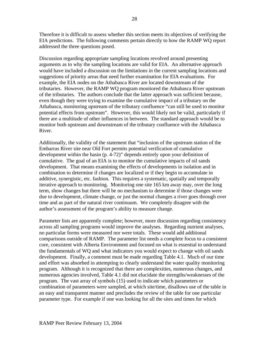Therefore it is difficult to assess whether this section meets its objectives of verifying the EIA predictions. The following comments pertain directly to how the RAMP WQ report addressed the three questions posed.

Discussion regarding appropriate sampling locations revolved around presenting arguments as to why the sampling locations are valid for EIA. An alternative approach would have included a discussion on the limitations in the current sampling locations and suggestions of priority areas that need further examination for EIA evaluations. For example, the EIA nodes on the Athabasca River are located downstream of the tributaries. However, the RAMP WQ program monitored the Athabasca River upstream of the tributaries. The authors conclude that the latter approach was sufficient because, even though they were trying to examine the cumulative impact of a tributary on the Athabasca, monitoring upstream of the tributary confluence "can still be used to monitor potential effects from upstream". However, this would likely not be valid, particularly if there are a multitude of other influences in between. The standard approach would be to monitor both upstream and downstream of the tributary confluence with the Athabasca River.

Additionally, the validity of the statement that "inclusion of the upstream station of the Embarras River site near Old Fort permits potential verification of cumulative development within the basin (p. 4-72)" depends entirely upon your definition of cumulative. The goal of an EIA is to monitor the cumulative impacts of oil sands development. That means examining the effects of developments in isolation and in combination to determine if changes are localized or if they begin to accumulate in additive, synergistic, etc. fashion. This requires a systematic, spatially and temporally iterative approach to monitoring. Monitoring one site 165 km away may, over the long term, show changes but there will be no mechanism to determine if those changes were due to development, climate change, or just the normal changes a river goes through over time and as part of the natural river continuum. We completely disagree with the author's assessment of the program's ability to measure change.

Parameter lists are apparently complete; however, more discussion regarding consistency across all sampling programs would improve the analyses. Regarding nutrient analyses, no particular forms were measured nor were totals. These would add additional comparisons outside of RAMP. The parameter list needs a complete focus to a consistent core, consistent with Alberta Environment and focused on what is essential to understand the fundamentals of WQ and what indicators you would expect to change with oil sands development. Finally, a comment must be made regarding Table 4.1. Much of our time and effort was absorbed in attempting to clearly understand the water quality monitoring program. Although it is recognized that there are complexities, numerous changes, and numerous agencies involved, Table 4.1 did not elucidate the strengths/weaknesses of the program. The vast array of symbols (15) used to indicate which parameters or combination of parameters were sampled, at which site/time, disallows use of the table in an easy and transparent manner and precludes the review of the table for one particular parameter type. For example if one was looking for all the sites and times for which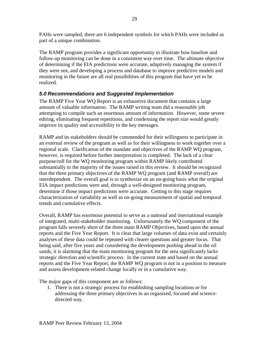PAHs were sampled, there are 6 independent symbols for which PAHs were included as part of a unique combination.

The RAMP program provides a significant opportunity to illustrate how baseline and follow-up monitoring can be done in a consistent way over time. The ultimate objective of determining if the EIA predictions were accurate, adaptively managing the system if they were not, and developing a process and database to improve predictive models and monitoring in the future are all real possibilities of this program that have yet to be realized.

# *5.0 Recommendations and Suggested Implementation*

The RAMP Five Year WQ Report is an exhaustive document that contains a large amount of valuable information. The RAMP writing team did a reasonable job attempting to compile such an enormous amount of information. However, some severe editing, eliminating frequent repetitions, and condensing the report size would greatly improve its quality and accessibility to the key messages.

RAMP and its stakeholders should be commended for their willingness to participate in an external review of the program as well as for their willingness to work together over a regional scale. Clarification of the mandate and objectives of the RAMP WQ program, however, is required before further interpretation is completed. The lack of a clear purpose/roll for the WQ monitoring program within RAMP likely contributed substantially to the majority of the issues raised in this review. It should be recognized that the three primary objectives of the RAMP WQ program (and RAMP overall) are interdependent. The overall goal is to synthesize on an on-going basis what the original EIA impact predictions were and, through a well-designed monitoring program, determine if those impact predictions were accurate. Getting to this stage requires characterization of variability as well as on-going measurement of spatial and temporal trends and cumulative effects.

Overall, RAMP has enormous potential to serve as a national and international example of integrated, multi-stakeholder monitoring. Unfortunately the WQ component of the program falls severely short of the three main RAMP Objectives, based upon the annual reports and the Five Year Report. It is clear that large volumes of data exist and certainly analyses of these data could be repeated with clearer questions and greater focus. That being said, after five years and considering the development pushing ahead in the oil sands, it is alarming that the main monitoring program for the area significantly lacks strategic direction and scientific process. In the current state and based on the annual reports and the Five Year Report, the RAMP WQ program is not in a position to measure and assess development-related change locally or in a cumulative way.

The major gaps of this component are as follows:

1. There is not a strategic process for establishing sampling locations or for addressing the three primary objectives in an organized, focused and sciencedirected way.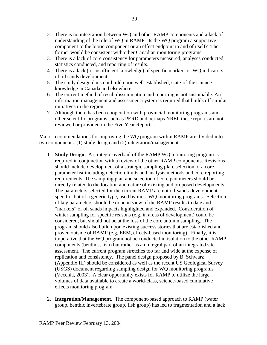- 2. There is no integration between WQ and other RAMP components and a lack of understanding of the role of WQ in RAMP. Is the WQ program a supportive component to the biotic component or an effect endpoint in and of itself? The former would be consistent with other Canadian monitoring programs.
- 3. There is a lack of core consistency for parameters measured, analyses conducted, statistics conducted, and reporting of results.
- 4. There is a lack (or insufficient knowledge) of specific markers or WQ indicators of oil sands development.
- 5. The study design does not build upon well-established, state-of-the science knowledge in Canada and elsewhere.
- 6. The current method of result dissemination and reporting is not sustainable. An information management and assessment system is required that builds off similar initiatives in the region.
- 7. Although there has been cooperation with provincial monitoring programs and other scientific programs such as PERD and perhaps NREI, these reports are not reviewed or provided in the Five Year Report.

Major recommendations for improving the WQ program within RAMP are divided into two components: (1) study design and (2) integration/management.

- 1. **Study Design.** A strategic overhaul of the RAMP WQ monitoring program is required in conjunction with a review of the other RAMP components. Revisions should include development of a strategic sampling plan, selection of a core parameter list including detection limits and analysis methods and core reporting requirements. The sampling plan and selection of core parameters should be directly related to the location and nature of existing and proposed developments. The parameters selected for the current RAMP are not oil-sands-development specific, but of a generic type, used by most WQ monitoring programs. Selection of key parameters should be done in view of the RAMP results to date and "markers" of oil sands impacts highlighted and expanded. Consideration of winter sampling for specific reasons (e.g. in areas of development) could be considered, but should not be at the loss of the core autumn sampling. The program should also build upon existing success stories that are established and proven outside of RAMP (e.g, EEM, effects-based monitoring). Finally, it is imperative that the WQ program not be conducted in isolation to the other RAMP components (benthos, fish) but rather as an integral part of an integrated site assessment. The current program stretches too far and wide at the expense of replication and consistency. The panel design proposed by B. Schwarz (Appendix III) should be considered as well as the recent US Geological Survey (USGS) document regarding sampling design for WQ monitoring programs (Vecchia, 2003). A clear opportunity exists for RAMP to utilize the large volumes of data available to create a world-class, science-based cumulative effects monitoring program.
- 2. **Integration/Management**. The component-based approach to RAMP (water group, benthic invertebrate group, fish group) has led to fragmentation and a lack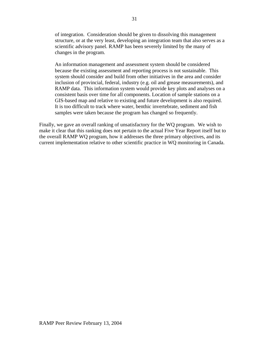of integration. Consideration should be given to dissolving this management structure, or at the very least, developing an integration team that also serves as a scientific advisory panel. RAMP has been severely limited by the many of changes in the program.

An information management and assessment system should be considered because the existing assessment and reporting process is not sustainable. This system should consider and build from other initiatives in the area and consider inclusion of provincial, federal, industry (e.g. oil and grease measurements), and RAMP data. This information system would provide key plots and analyses on a consistent basis over time for all components. Location of sample stations on a GIS-based map and relative to existing and future development is also required. It is too difficult to track where water, benthic invertebrate, sediment and fish samples were taken because the program has changed so frequently.

Finally, we gave an overall ranking of unsatisfactory for the WQ program. We wish to make it clear that this ranking does not pertain to the actual Five Year Report itself but to the overall RAMP WQ program, how it addresses the three primary objectives, and its current implementation relative to other scientific practice in WQ monitoring in Canada.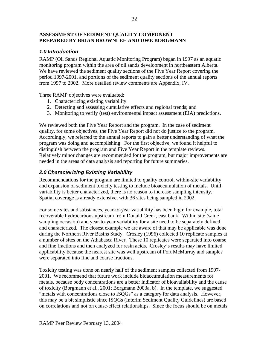### **ASSESSMENT OF SEDIMENT QUALITY COMPONENT PREPARED BY BRIAN BROWNLEE AND UWE BORGMANN**

### *1.0 Introduction*

RAMP (Oil Sands Regional Aquatic Monitoring Program) began in 1997 as an aquatic monitoring program within the area of oil sands development in northeastern Alberta. We have reviewed the sediment quality sections of the Five Year Report covering the period 1997-2001, and portions of the sediment quality sections of the annual reports from 1997 to 2002. More detailed review comments are Appendix, IV.

Three RAMP objectives were evaluated:

- 1. Characterizing existing variability
- 2. Detecting and assessing cumulative effects and regional trends; and
- 3. Monitoring to verify (test) environmental impact assessment (EIA) predictions.

We reviewed both the Five Year Report and the program. In the case of sediment quality, for some objectives, the Five Year Report did not do justice to the program. Accordingly, we referred to the annual reports to gain a better understanding of what the program was doing and accomplishing. For the first objective, we found it helpful to distinguish between the program and Five Year Report in the template reviews. Relatively minor changes are recommended for the program, but major improvements are needed in the areas of data analysis and reporting for future summaries.

## *2.0 Characterizing Existing Variability*

Recommendations for the program are limited to quality control, within-site variability and expansion of sediment toxicity testing to include bioaccumulation of metals. Until variability is better characterized, there is no reason to increase sampling intensity. Spatial coverage is already extensive, with 36 sites being sampled in 2002.

For some sites and substances, year-to-year variability has been high; for example, total recoverable hydrocarbons upstream from Donald Creek, east bank. Within site (same sampling occasion) and year-to-year variability for a site need to be separately defined and characterized. The closest example we are aware of that may be applicable was done during the Northern River Basins Study. Crosley (1996) collected 10 replicate samples at a number of sites on the Athabasca River. These 10 replicates were separated into coarse and fine fractions and then analyzed for resin acids. Crosley's results may have limited applicability because the nearest site was well upstream of Fort McMurray and samples were separated into fine and coarse fractions.

Toxicity testing was done on nearly half of the sediment samples collected from 1997- 2001. We recommend that future work include bioaccumulation measurements for metals, because body concentrations are a better indicator of bioavailability and the cause of toxicity (Borgmann et al., 2001; Borgmann 2003a, b). In the template, we suggested "metals with concentrations close to ISQGs" as a category for data analysis. However, this may be a bit simplistic since ISQGs (Interim Sediment Quality Guidelines) are based on correlations and not on cause-effect relationships. Since the focus should be on metals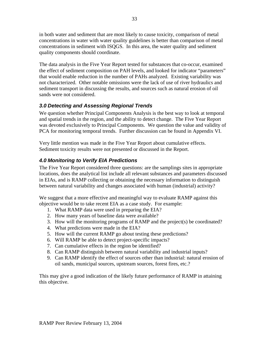in both water and sediment that are most likely to cause toxicity, comparison of metal concentrations in water with water quality guidelines is better than comparison of metal concentrations in sediment with ISQGS. In this area, the water quality and sediment quality components should coordinate.

The data analysis in the Five Year Report tested for substances that co-occur, examined the effect of sediment composition on PAH levels, and looked for indicator "parameters" that would enable reduction in the number of PAHs analyzed. Existing variability was not characterized. Other notable omissions were the lack of use of river hydraulics and sediment transport in discussing the results, and sources such as natural erosion of oil sands were not considered.

## *3.0 Detecting and Assessing Regional Trends*

We question whether Principal Components Analysis is the best way to look at temporal and spatial trends in the region, and the ability to detect change. The Five Year Report was devoted exclusively to Principal Components. We question the value and validity of PCA for monitoring temporal trends. Further discussion can be found in Appendix VI.

Very little mention was made in the Five Year Report about cumulative effects. Sediment toxicity results were not presented or discussed in the Report.

# *4.0 Monitoring to Verify EIA Predictions*

The Five Year Report considered three questions: are the samplings sites in appropriate locations, does the analytical list include all relevant substances and parameters discussed in EIAs, and is RAMP collecting or obtaining the necessary information to distinguish between natural variability and changes associated with human (industrial) activity?

We suggest that a more effective and meaningful way to evaluate RAMP against this objective would be to take recent EIA as a case study. For example:

- 1. What RAMP data were used in preparing the EIA?
- 2. How many years of baseline data were available?
- 3. How will the monitoring programs of RAMP and the project(s) be coordinated?
- 4. What predictions were made in the EIA?
- 5. How will the current RAMP go about testing these predictions?
- 6. Will RAMP be able to detect project-specific impacts?
- 7. Can cumulative effects in the region be identified?
- 8. Can RAMP distinguish between natural variability and industrial inputs?
- 9. Can RAMP identify the effect of sources other than industrial: natural erosion of oil sands, municipal sources, upstream sources, forest fires, etc.?

This may give a good indication of the likely future performance of RAMP in attaining this objective.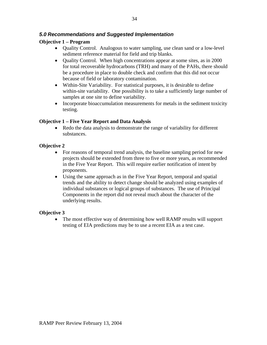## *5.0 Recommendations and Suggested Implementation*

## **Objective 1 – Program**

- Quality Control. Analogous to water sampling, use clean sand or a low-level sediment reference material for field and trip blanks.
- Ouality Control. When high concentrations appear at some sites, as in 2000 for total recoverable hydrocarbons (TRH) and many of the PAHs, there should be a procedure in place to double check and confirm that this did not occur because of field or laboratory contamination.
- Within-Site Variability. For statistical purposes, it is desirable to define within-site variability. One possibility is to take a sufficiently large number of samples at one site to define variability.
- Incorporate bioaccumulation measurements for metals in the sediment toxicity testing.

#### **Objective 1 – Five Year Report and Data Analysis**

• Redo the data analysis to demonstrate the range of variability for different substances.

#### **Objective 2**

- For reasons of temporal trend analysis, the baseline sampling period for new projects should be extended from three to five or more years, as recommended in the Five Year Report. This will require earlier notification of intent by proponents.
- Using the same approach as in the Five Year Report, temporal and spatial trends and the ability to detect change should be analyzed using examples of individual substances or logical groups of substances. The use of Principal Components in the report did not reveal much about the character of the underlying results.

### **Objective 3**

• The most effective way of determining how well RAMP results will support testing of EIA predictions may be to use a recent EIA as a test case.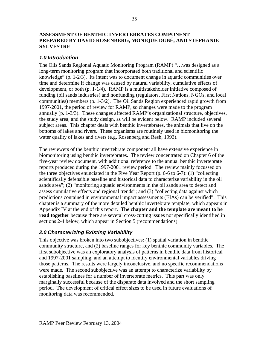#### **ASSESSMENT OF BENTHIC INVERTEBRATES COMPONENT PREPARED BY DAVID ROSENBERG, MONIQUE DUBÉ, AND STEPHANIE SYLVESTRE**

### *1.0 Introduction*

The Oils Sands Regional Aquatic Monitoring Program (RAMP) "…was designed as a long-term monitoring program that incorporated both traditional and scientific knowledge" (p. 1-2/3). Its intent was to document change in aquatic communities over time and determine if change was caused by natural variability, cumulative effects of development, or both (p. 1-1/4). RAMP is a multistakeholder initiative composed of funding (oil sands industries) and nonfunding (regulators, First Nations, NGOs, and local communities) members (p. 1-3/2). The Oil Sands Region experienced rapid growth from 1997-2001, the period of review for RAMP, so changes were made to the program annually (p. 1-3/3). These changes affected RAMP's organizational structure, objectives, the study area, and the study design, as will be evident below. RAMP included several subject areas. This chapter deals with benthic invertebrates, the animals that live on the bottoms of lakes and rivers. These organisms are routinely used in biomonitoring the water quality of lakes and rivers (e.g. Rosenberg and Resh, 1993).

The reviewers of the benthic invertebrate component all have extensive experience in biomonitoring using benthic invertebrates. The review concentrated on Chapter 6 of the five-year review document, with additional reference to the annual benthic invertebrate reports produced during the 1997-2001 review period. The review mainly focussed on the three objectives enunciated in the Five Year Report (p. 6-6 to 6-7): (1) "collecting scientifically defensible baseline and historical data to characterize variability in the oil sands area"; (2) "monitoring aquatic environments in the oil sands area to detect and assess cumulative effects and regional trends"; and (3) "collecting data against which predictions contained in environmental impact assessments (EIAs) can be verified". This chapter is a summary of the more detailed benthic invertebrate template, which appears in Appendix IV at the end of this report. **The chapter and the template are meant to be read together** because there are several cross-cutting issues not specifically identified in sections 2-4 below, which appear in Section 5 (recommendations).

## *2.0 Characterizing Existing Variability*

This objective was broken into two subobjectives: (1) spatial variation in benthic community structure, and (2) baseline ranges for key benthic community variables. The first subobjective was an exploratory analysis of patterns in benthic data from historical and 1997-2001 sampling, and an attempt to identify environmental variables driving those patterns. The results were largely inconclusive, and no specific recommendations were made. The second subobjective was an attempt to characterize variability by establishing baselines for a number of invertebrate metrics. This part was only marginally successful because of the disparate data involved and the short sampling period. The development of critical effect sizes to be used in future evaluations of monitoring data was recommended.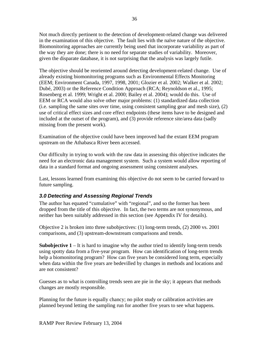Not much directly pertinent to the detection of development-related change was delivered in the examination of this objective. The fault lies with the naïve nature of the objective. Biomonitoring approaches are currently being used that incorporate variability as part of the way they are done; there is no need for separate studies of variability. Moreover, given the disparate database, it is not surprising that the analysis was largely futile.

The objective should be reoriented around detecting development-related change. Use of already existing biomonitoring programs such as Environmental Effects Monitoring (EEM; Environment Canada, 1997, 1998, 2001; Glozier et al. 2002; Walker et al. 2002; Dubé, 2003) or the Reference Condition Approach (RCA; Reynoldson et al., 1995; Rosenberg et al. 1999; Wright et al. 2000; Bailey et al. 2004); would do this. Use of EEM or RCA would also solve other major problems: (1) standardized data collection (i.e. sampling the same sites over time, using consistent sampling gear and mesh size), (2) use of critical effect sizes and core effect endpoints (these items have to be designed and included at the outset of the program), and (3) provide reference site/area data (sadly missing from the present work).

Examination of the objective could have been improved had the extant EEM program upstream on the Athabasca River been accessed.

Our difficulty in trying to work with the raw data in assessing this objective indicates the need for an electronic data management system. Such a system would allow reporting of data in a standard format and ongoing assessment using consistent analyses.

Last, lessons learned from examining this objective do not seem to be carried forward to future sampling.

# *3.0 Detecting and Assessing Regional Trends*

The author has equated "cumulative" with "regional", and so the former has been dropped from the title of this objective. In fact, the two terms are not synonymous, and neither has been suitably addressed in this section (see Appendix IV for details).

Objective 2 is broken into three subobjectives: (1) long-term trends, (2) 2000 vs. 2001 comparisons, and (3) upstream-downstream comparisons and trends.

**Subobjective 1** – It is hard to imagine why the author tried to identify long-term trends using spotty data from a five-year program. How can identification of long-term trends help a biomonitoring program? How can five years be considered long term, especially when data within the five years are bedevilled by changes in methods and locations and are not consistent?

Guesses as to what is controlling trends seen are pie in the sky; it appears that methods changes are mostly responsible.

Planning for the future is equally chancy; no pilot study or calibration activities are planned beyond letting the sampling run for another five years to see what happens.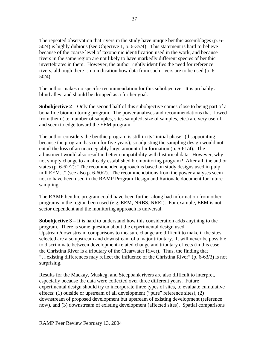The repeated observation that rivers in the study have unique benthic assemblages (p. 6- 50/4) is highly dubious (see Objective 1, p. 6-35/4). This statement is hard to believe because of the coarse level of taxonomic identification used in the work, and because rivers in the same region are not likely to have markedly different species of benthic invertebrates in them. However, the author rightly identifies the need for reference rivers, although there is no indication how data from such rivers are to be used (p. 6- 50/4).

The author makes no specific recommendation for this subobjective. It is probably a blind alley, and should be dropped as a further goal.

**Subobjective 2** – Only the second half of this subobjective comes close to being part of a bona fide biomonitoring program. The power analyses and recommendations that flowed from them (i.e. number of samples, sites sampled, size of samples, etc.) are very useful, and seem to edge toward the EEM program.

The author considers the benthic program is still in its "initial phase" (disappointing because the program has run for five years), so adjusting the sampling design would not entail the loss of an unacceptably large amount of information (p. 6-61/4). The adjustment would also result in better compatibility with historical data. However, why not simply change to an already established biomonitoring program? After all, the author states (p. 6-62/2): "The recommended approach is based on study designs used in pulp mill EEM..." (see also p. 6-60/2). The recommendations from the power analyses seem not to have been used in the RAMP Program Design and Rationale document for future sampling.

The RAMP benthic program could have been further along had information from other programs in the region been used (e.g. EEM, NRBS, NREI). For example, EEM is not sector dependent and the monitoring approach is universal.

**Subobjective 3** – It is hard to understand how this consideration adds anything to the program. There is some question about the experimental design used. Upstream/downstream comparisons to measure change are difficult to make if the sites selected are also upstream and downstream of a major tributary. It will never be possible to discriminate between development-related change and tributary effects (in this case, the Christina River is a tributary of the Clearwater River). Thus, the finding that "…existing differences may reflect the influence of the Christina River" (p. 6-63/3) is not surprising.

Results for the Mackay, Muskeg, and Steepbank rivers are also difficult to interpret, especially because the data were collected over three different years. Future experimental design should try to incorporate three types of sites, to evaluate cumulative effects: (1) outside or upstream of all development ("pure" reference sites), (2) downstream of proposed development but upstream of existing development (reference now), and (3) downstream of existing development (affected sites). Spatial comparisons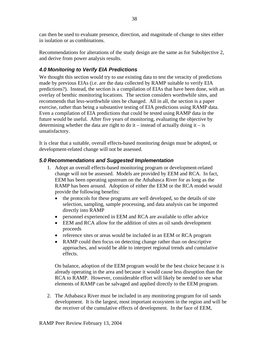can then be used to evaluate presence, direction, and magnitude of change to sites either in isolation or as combinations.

Recommendations for alterations of the study design are the same as for Subobjective 2, and derive from power analysis results.

# *4.0 Monitoring to Verify EIA Predictions*

We thought this section would try to use existing data to test the veracity of predictions made by previous EIAs (i.e. are the data collected by RAMP suitable to verify EIA predictions?). Instead, the section is a compilation of EIAs that have been done, with an overlay of benthic monitoring locations. The section considers worthwhile sites, and recommends that less-worthwhile sites be changed. All in all, the section is a paper exercise, rather than being a substantive testing of EIA predictions using RAMP data. Even a compilation of EIA predictions that could be tested using RAMP data in the future would be useful. After five years of monitoring, evaluating the objective by determining whether the data are right to do it – instead of actually doing it – is unsatisfactory.

It is clear that a suitable, overall effects-based monitoring design must be adopted, or development-related change will not be assessed.

## *5.0 Recommendations and Suggested Implementation*

- 1. Adopt an overall effects-based monitoring program or development-related change will not be assessed. Models are provided by EEM and RCA. In fact, EEM has been operating upstream on the Athabasca River for as long as the RAMP has been around. Adoption of either the EEM or the RCA model would provide the following benefits:
	- the protocols for these programs are well developed, so the details of site selection, sampling, sample processing, and data analysis can be imported directly into RAMP
	- personnel experienced in EEM and RCA are available to offer advice
	- EEM and RCA allow for the addition of sites as oil sands development proceeds
	- reference sites or areas would be included in an EEM or RCA program
	- RAMP could then focus on detecting change rather than on descriptive approaches, and would be able to interpret regional trends and cumulative effects.

On balance, adoption of the EEM program would be the best choice because it is already operating in the area and because it would cause less disruption than the RCA to RAMP. However, considerable effort will likely be needed to see what elements of RAMP can be salvaged and applied directly to the EEM program.

2. The Athabasca River must be included in any monitoring program for oil sands development. It is the largest, most important ecosystem in the region and will be the receiver of the cumulative effects of development. In the face of EEM,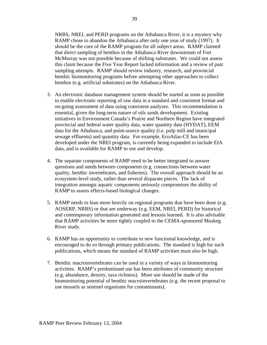NRBS, NREI, and PERD programs on the Athabasca River, it is a mystery why RAMP chose to abandon the Athabasca after only one year of study (1997). It should be the core of the RAMP program for all subject areas. RAMP claimed that direct sampling of benthos in the Athabasca River downstream of Fort McMurray was not possible because of shifting substrates. We could not assess this claim because the Five Year Report lacked information and a review of past sampling attempts. RAMP should review industry, research, and provincial benthic biomonitoring programs before attempting other approaches to collect benthos (e.g. artificial substrates) on the Athabasca River.

- 3. An electronic database management system should be started as soon as possible to enable electronic reporting of raw data in a standard and consistent format and on-going assessment of data using consistent analyses. This recommendation is essential, given the long-term nature of oils sands development. Existing initiatives in Environment Canada's Prairie and Northern Region have integrated provincial and federal water quality data, water quantity data (HYDAT), EEM data for the Athabasca, and point-source quality (i.e. pulp mill and municipal sewage effluents) and quantity data. For example, EcoAtlas-CE has been developed under the NREI program, is currently being expanded to include EIA data, and is available for RAMP to use and develop.
- 4. The separate components of RAMP need to be better integrated to answer questions and needs between components (e.g. connections between water quality, benthic invertebrates, and fisheries). The overall approach should be an ecosystem-level study, rather than several disparate pieces. The lack of integration amongst aquatic components seriously compromises the ability of RAMP to assess effects-based biological changes.
- 5. RAMP needs to lean more heavily on regional programs that have been done (e.g. AOSERP, NRBS) or that are underway (e.g. EEM, NREI, PERD) for historical and contemporary information generated and lessons learned. It is also advisable that RAMP activities be more tightly coupled to the CEMA-sponsored Muskeg River study.
- 6. RAMP has an opportunity to contribute to new functional knowledge, and is encouraged to do so through primary publications. The standard is high for such publications, which means the standard of RAMP activities must also be high.
- 7. Benthic macroinvertebrates can be used in a variety of ways in biomonitoring activities. RAMP's predominant use has been attributes of community structure (e.g. abundance, density, taxa richness). More use should be made of the biomonitoring potential of benthic macroinvertebrates (e.g. the recent proposal to use mussels as sentinel organisms for contaminants).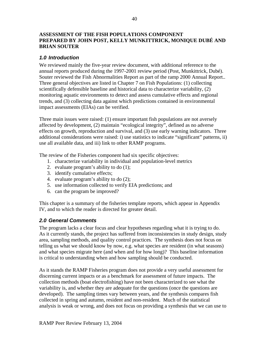### **ASSESSMENT OF THE FISH POPULATIONS COMPONENT PREPARED BY JOHN POST, KELLY MUNKITTRICK, MONIQUE DUBÉ AND BRIAN SOUTER**

## *1.0 Introduction*

We reviewed mainly the five-year review document, with additional reference to the annual reports produced during the 1997-2001 review period (Post, Munkittrick, Dubé). Souter reviewed the Fish Abnormalities Report as part of the ramp 2000 Annual Report.. Three general objectives are listed in Chapter 7 on Fish Populations: (1) collecting scientifically defensible baseline and historical data to characterize variability, (2) monitoring aquatic environments to detect and assess cumulative effects and regional trends, and (3) collecting data against which predictions contained in environmental impact assessments (EIAs) can be verified.

Three main issues were raised: (1) ensure important fish populations are not aversely affected by development, (2) maintain "ecological integrity", defined as no adverse effects on growth, reproduction and survival, and (3) use early warning indicators. Three additional considerations were raised: i) use statistics to indicate "significant" patterns, ii) use all available data, and iii) link to other RAMP programs.

The review of the Fisheries component had six specific objectives:

- 1. characterize variability in individual and population-level metrics
- 2. evaluate program's ability to do (1);
- 3. identify cumulative effects;
- 4. evaluate program's ability to do (2);
- 5. use information collected to verify EIA predictions; and
- 6. can the program be improved?

This chapter is a summary of the fisheries template reports, which appear in Appendix IV, and to which the reader is directed for greater detail.

## *2.0 General Comments*

The program lacks a clear focus and clear hypotheses regarding what it is trying to do. As it currently stands, the project has suffered from inconsistencies in study design, study area, sampling methods, and quality control practices. The synthesis does not focus on telling us what we should know by now, e.g. what species are resident (in what seasons) and what species migrate here (and when and for how long)? This baseline information is critical to understanding when and how sampling should be conducted.

As it stands the RAMP Fisheries program does not provide a very useful assessment for discerning current impacts or as a benchmark for assessment of future impacts. The collection methods (boat electrofishing) have not been characterized to see what the variability is, and whether they are adequate for the questions (once the questions are developed). The sampling times vary between years, and the synthesis compares fish collected in spring and autumn, resident and non-resident. Much of the statistical analysis is weak or wrong, and does not focus on providing a synthesis that we can use to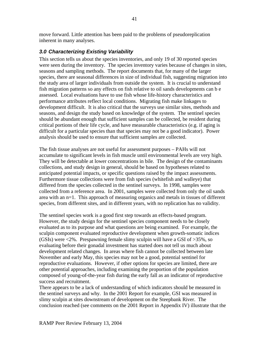move forward. Little attention has been paid to the problems of pseudoreplication inherent in many analyses.

## *3.0 Characterizing Existing Variability*

This section tells us about the species inventories, and only 19 of 30 reported species were seen during the inventory. The species inventory varies because of changes in sites, seasons and sampling methods. The report documents that, for many of the larger species, there are seasonal differences in size of individual fish, suggesting migration into the study area of larger individuals from outside the system. It is crucial to understand fish migration patterns so any effects on fish relative to oil sands developments can b e assessed. Local evaluations have to use fish whose life-history characteristics and performance attributes reflect local conditions. Migrating fish make linkages to development difficult. It is also critical that the surveys use similar sites, methods and seasons, and design the study based on knowledge of the system. The sentinel species should be abundant enough that sufficient samples can be collected, be resident during critical portions of their life cycle, and have measurable characteristics (e.g. if aging is difficult for a particular species than that species may not be a good indicator). Power analysis should be used to ensure that sufficient samples are collected.

The fish tissue analyses are not useful for assessment purposes – PAHs will not accumulate to significant levels in fish muscle until environmental levels are very high. They will be detectable at lower concentrations in bile. The design of the contaminants collections, and study design in general, should be based on hypotheses related to anticipated potential impacts, or specific questions raised by the impact assessments. Furthermore tissue collections were from fish species (whitefish and walleye) that differed from the species collected in the sentinel surveys. In 1998, samples were collected from a reference area. In 2001, samples were collected from only the oil sands area with an n=1. This approach of measuring organics and metals in tissues of different species, from different sites, and in different years, with no replication has no validity.

The sentinel species work is a good first step towards an effects-based program. However, the study design for the sentinel species component needs to be closely evaluated as to its purpose and what questions are being examined. For example, the sculpin component evaluated reproductive development when growth-somatic indices (GSIs) were <2%. Prespawning female slimy sculpin will have a GSI of >35%, so evaluating before their gonadal investment has started does not tell us much about development related changes. In areas where fish cannot be collected between late November and early May, this species may not be a good, potential sentinel for reproductive evaluations. However, if other options for species are limited, there are other potential approaches, including examining the proportion of the population composed of young-of-the-year fish during the early fall as an indicator of reproductive success and recruitment.

There appears to be a lack of understanding of which indicators should be measured in the sentinel surveys and why. In the 2001 Report for example, GSI was measured in slimy sculpin at sites downstream of development on the Steepbank River. The conclusion reached (see comments on the 2001 Report in Appendix IV) illustrate that the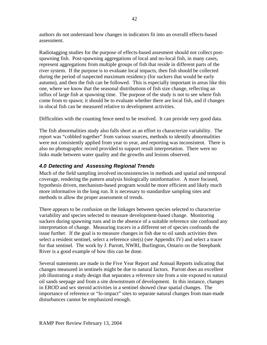authors do not understand how changes in indicators fit into an overalll effects-based assessment.

Radiotagging studies for the purpose of effects-based assesment should not collect postspawning fish. Post-spawning aggregations of local and no-local fish, in many cases, represent aggregations from multiple groups of fish that reside in different parts of the river system. If the purpose is to evaluate local impacts, then fish should be collected during the period of suspected maximum residency (for suckers that would be early autumn), and then the fish can be followed. This is especially important in areas like this one, where we know that the seasonal distributions of fish size change, reflecting an influx of large fish at spawning time. The purpose of the study is not to see where fish come from to spawn; it should be to evaluate whether there are local fish, and if changes in olocal fish can be measured relative to development activities.

Difficulties with the counting fence need to be resolved. It can provide very good data.

The fish abnormalities study also falls short as an effort to characterize variability. The report was "cobbled together" from various sources, methods to identify abnormalities were not consistently applied from year to year, and reporting was inconsistent. There is also no photographic record provided to support result interpretation. There were no links made between water quality and the growths and lesions observed.

# *4.0 Detecting and Assessing Regional Trends*

Much of the field sampling involved inconsistencies in methods and spatial and temporal coverage, rendering the pattern analysis biologically uninformative. A more focused, hypothesis driven, mechanism-based program would be more efficient and likely much more informative in the long run. It is necessary to standardize sampling sites and methods to allow the proper assessment of trends.

There appears to be confusion on the linkages between species selected to characterize variability and species selected to measure development-based change. Monitoring suckers during spawning runs and in the absence of a suitable reference site confound any interpretation of change. Measuring tracers in a different set of species confounds the issue further. If the goal is to measure changes in fish due to oil sands activities then select a resident sentinel, select a reference site(s) (see Appendix IV) and select a tracer for that sentinel. The work by J. Parrott, NWRI, Burlington, Ontario on the Steepbank River is a good example of how this can be done.

Several statements are made in the Five Year Report and Annual Reports indicating that changes measured in sentinels might be due to natural factors. Parrott does an excellent job illustrating a study design that separates a reference site from a site exposed to natural oil sands seepage and from a site downstream of development. In this instance, changes in EROD and sex steroid activities in a sentinel showed clear spatial changes. The importance of reference or "lo-impact" sites to separate natural changes from man-made disturbances cannot be emphasized enough.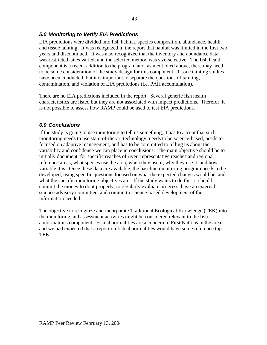## *5.0 Monitoring to Verify EIA Predictions*

EIA predictions were divided into fish habitat, species composition, abundance, health and tissue tainting. It was recognized in the report that habitat was limited in the first two years and discontinued. It was also recognized that the inventory and abundance data was restricted, sites varied, and the selected method was size-selective. The fish health component is a recent addition to the program and, as mentioned above, there may need to be some consideration of the study design for this component. Tissue tainting studies have been conducted, but it is important to separate the questions of tainting, contamination, and violation of EIA predictions (i.e. PAH accumulation).

There are no EIA predictions included in the report. Several generic fish health characteristics are listed but they are not associated with impact predictions. Therefor, it is not possible to assess how RAMP could be used to test EIA predictions.

## *6.0 Conclusions*

If the study is going to use monitoring to tell us something, it has to accept that such monitoring needs to use state-of-the-art technology, needs to be science-based, needs to focused on adaptive management, and has to be committed to telling us about the variability and confidence we can place in conclusions. The main objective should be to initially document, for specific reaches of river, representative reaches and regional reference areas, what species use the area, when they use it, why they use it, and how variable it is. Once these data are available, the baseline monitoring program needs to be developed, using specific questions focused on what the expected changes would be, and what the specific monitoring objectives are. If the study wants to do this, it should commit the money to do it properly, to regularly evaluate progress, have an external science advisory committee, and commit to science-based development of the information needed.

The objective to recognize and incorporate Traditional Ecological Knowledge (TEK) into the monitoring and assessment activities might be considered relevant to the fish abnormalities component. Fish abnormalities are a concern to First Nations in the area and we had expected that a report on fish abnormalities would have some reference top TEK.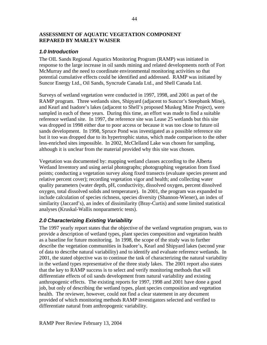#### **ASSESSMENT OF AQUATIC VEGETATION COMPONENT REPARED BY MARLEY WAISER**

## *1.0 Introduction*

The OIL Sands Regional Aquatics Monitoring Program (RAMP) was initiated in response to the large increase in oil sands mining and related developments north of Fort McMurray and the need to coordinate environmental monitoring activities so that potential cumulative effects could be identified and addressed. RAMP was initiated by Suncor Energy Ltd., Oil Sands, Syncrude Canada Ltd., and Shell Canada Ltd.

Surveys of wetland vegetation were conducted in 1997, 1998, and 2001 as part of the RAMP program. Three wetlands sites, Shipyard (adjacent to Suncor's Steepbank Mine), and Kearl and Isadore's lakes (adjacent to Shell's proposed Muskeg Mine Project), were sampled in each of these years. During this time, an effort was made to find a suitable reference wetland site. In 1997, the reference site was Lease 25 wetlands but this site was dropped in 1998 either due to poor access or because it was too close to future oil sands development. In 1998, Spruce Pond was investigated as a possible reference site but it too was dropped due to its hypertrophic status, which made comparison to the other less-enriched sites impossible. In 2002, McClelland Lake was chosen for sampling, although it is unclear from the material provided why this site was chosen.

Vegetation was documented by: mapping wetland classes according to the Alberta Wetland Inventory and using aerial photographs; photographing vegetation from fixed points; conducting a vegetation survey along fixed transects (evaluate species present and relative percent cover); recording vegetation vigor and health; and collecting water quality parameters (water depth, pH, conductivity, dissolved oxygen, percent dissolved oxygen, total dissolved solids and temperature). In 2001, the program was expanded to include calculation of species richness, species diversity (Shannon-Wiener), an index of similarity (Jaccard's), an index of dissimilarity (Bray-Curtis) and some limited statistical analyses (Kruskal-Wallis nonparametric tests).

# *2.0 Characterizing Existing Variability*

The 1997 yearly report states that the objective of the wetland vegetation program, was to provide a description of wetland types, plant species composition and vegetation health as a baseline for future monitoring. In 1998, the scope of the study was to further describe the vegetation communities in Isadore's, Kearl and Shipyard lakes (second year of data to describe natural variability) and to identify and evaluate reference wetlands. In 2001, the stated objective was to continue the task of characterizing the natural variability in the wetland types representative of the three study lakes. The 2001 report also states that the key to RAMP success is to select and verify monitoring methods that will differentiate effects of oil sands development from natural variability and existing anthropogenic effects. The existing reports for 1997, 1998 and 2001 have done a good job, but only of describing the wetland types, plant species composition and vegetation health. The reviewer, however, could not find a clear statement in any document provided of which monitoring methods RAMP investigators selected and verified to differentiate natural from anthropogenic variability.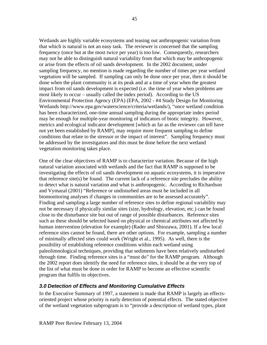Wetlands are highly variable ecosystems and teasing out anthropogenic variation from that which is natural is not an easy task. The reviewer is concerned that the sampling frequency (once but at the most twice per year) is too low. Consequently, researchers may not be able to distinguish natural variability from that which may be anthropogenic or arise from the effects of oil sands development. In the 2002 document, under sampling frequency, no mention is made regarding the number of times per year wetland vegetation will be sampled. If sampling can only be done once per year, then it should be done when the plant community is at its peak and at a time of year when the greatest impact from oil sands development is expected (i.e. the time of year when problems are most likely to occur – usually called the index period). According to the US Environmental Protection Agency (EPA) (EPA, 2002 - #4 Study Design for Monitoring Wetlands http://www.epa.gov/waterscience/criteria/wetlands/), "once wetland condition has been characterized, one-time annual sampling during the appropriate index period may be enough for multiple-year monitoring of indicators of biotic integrity. However, metrics and ecological indicator development [which as far as the reviewer can tell have not yet been established by RAMP], may require more frequent sampling to define conditions that relate to the stressor or the impact of interest". Sampling frequency must be addressed by the investigators and this must be done before the next wetland vegetation monitoring takes place.

One of the clear objectives of RAMP is to characterize variation. Because of the high natural variation associated with wetlands and the fact that RAMP is supposed to be investigating the effects of oil sands development on aquatic ecosystems, it is imperative that reference site(s) be found. The current lack of a reference site precludes the ability to detect what is natural variation and what is anthropogenic. According to Richardson and Vymazal (2001) "Reference or undisturbed areas must be included in all biomonitoring analyses if changes in communities are to be assessed accurately". Finding and sampling a large number of reference sites to define regional variability may not be necessary if physically similar sites (size, hydrology, elevation, etc.) can be found close to the disturbance site but out of range of possible disturbances. Reference sites such as these should be selected based on physical or chemical attributes not affected by human intervention (elevation for example) (Rader and Shiozawa, 2001). If a few local reference sites cannot be found, there are other options. For example, sampling a number of minimally affected sites could work (Wright et al., 1995). As well, there is the possibility of establishing reference conditions within each wetland using paleolimnological techniques, providing that sediments have been relatively undisturbed through time. Finding reference sites is a "must do" for the RAMP program. Although the 2002 report does identify the need for reference sites, it should be at the very top of the list of what must be done in order for RAMP to become an effective scientific program that fulfils its objectives.

## *3.0 Detection of Effects and Monitoring Cumulative Effects*

In the Executive Summary of 1997, a statement is made that RAMP is largely an effectsoriented project whose priority is early detection of potential effects. The stated objective of the wetland vegetation subprogram is to "provide a description of wetland types, plant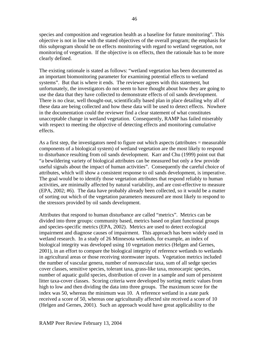species and composition and vegetation health as a baseline for future monitoring". This objective is not in line with the stated objectives of the overall program; the emphasis for this subprogram should be on effects monitoring with regard to wetland vegetation, not monitoring of vegetation. If the objective is on effects, then the rationale has to be more clearly defined.

The existing rationale is stated as follows: "wetland vegetation has been documented as an important biomonitoring parameter for examining potential effects to wetland systems". But that is where it ends. The reviewer agrees with this statement, but unfortunately, the investigators do not seem to have thought about how they are going to use the data that they have collected to demonstrate effects of oil sands development. There is no clear, well thought-out, scientifically based plan in place detailing why all of these data are being collected and how these data will be used to detect effects. Nowhere in the documentation could the reviewer find a clear statement of what constitutes unacceptable change in wetland vegetation. Consequently, RAMP has failed miserably with respect to meeting the objective of detecting effects and monitoring cumulative effects.

As a first step, the investigators need to figure out which aspects (attributes = measurable components of a biological system) of wetland vegetation are the most likely to respond to disturbance resulting from oil sands development. Karr and Chu (1999) point out that "a bewildering variety of biological attributes can be measured but only a few provide useful signals about the impact of human activities". Consequently the careful choice of attributes, which will show a consistent response to oil sands development, is imperative. The goal would be to identify those vegetation attributes that respond reliably to human activities, are minimally affected by natural variability, and are cost-effective to measure (EPA, 2002; #6). The data have probably already been collected, so it would be a matter of sorting out which of the vegetation parameters measured are most likely to respond to the stressors provided by oil sands development.

Attributes that respond to human disturbance are called "metrics". Metrics can be divided into three groups: community based, metrics based on plant functional groups and species-specific metrics (EPA, 2002). Metrics are used to detect ecological impairment and diagnose causes of impairment. This approach has been widely used in wetland research. In a study of 26 Minnesota wetlands, for example, an index of biological integrity was developed using 10 vegetation metrics (Helgen and Gernes, 2001), in an effort to compare the biological integrity of reference wetlands to wetlands in agricultural areas or those receiving stormwater inputs. Vegetation metrics included the number of vascular genera, number of nonvascular taxa, sum of all sedge species cover classes, sensitive species, tolerant taxa, grass-like taxa, monocarpic species, number of aquatic guild species, distribution of cover in a sample and sum of persistent litter taxa-cover classes. Scoring criteria were developed by sorting metric values from high to low and then dividing the data into three groups. The maximum score for the index was 50, whereas the minimum was 10. A reference wetland in a state park received a score of 50, whereas one agriculturally affected site received a score of 10 (Helgen and Gernes, 2001). Such an approach would have great applicability to the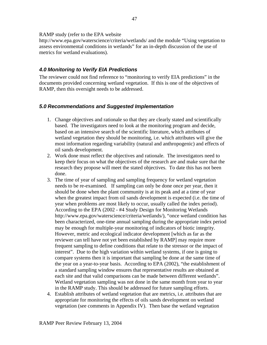#### RAMP study (refer to the EPA website

http://www.epa.gov/waterscience/criteria/wetlands/ and the module "Using vegetation to assess environmental conditions in wetlands" for an in-depth discussion of the use of metrics for wetland evaluations).

### *4.0 Monitoring to Verify EIA Predictions*

The reviewer could not find reference to "monitoring to verify EIA predictions" in the documents provided concerning wetland vegetation. If this is one of the objectives of RAMP, then this oversight needs to be addressed.

### *5.0 Recommendations and Suggested Implementation*

- 1. Change objectives and rationale so that they are clearly stated and scientifically based. The investigators need to look at the monitoring program and decide, based on an intensive search of the scientific literature, which attributes of wetland vegetation they should be monitoring, i.e. which attributes will give the most information regarding variability (natural and anthropogenic) and effects of oil sands development.
- 2. Work done must reflect the objectives and rationale. The investigators need to keep their focus on what the objectives of the research are and make sure that the research they propose will meet the stated objectives. To date this has not been done.
- 3. The time of year of sampling and sampling frequency for wetland vegetation needs to be re-examined. If sampling can only be done once per year, then it should be done when the plant community is at its peak and at a time of year when the greatest impact from oil sands development is expected (i.e. the time of year when problems are most likely to occur, usually called the index period). According to the EPA (2002 - #4 Study Design for Monitoring Wetlands http://www.epa.gov/waterscience/criteria/wetlands/), "once wetland condition has been characterized, one-time annual sampling during the appropriate index period may be enough for multiple-year monitoring of indicators of biotic integrity. However, metric and ecological indicator development [which as far as the reviewer can tell have not yet been established by RAMP] may require more frequent sampling to define conditions that relate to the stressor or the impact of interest". Due to the high variation within wetland systems, if one is going to compare systems then it is important that sampling be done at the same time of the year on a year-to-year basis. According to EPA (2002), "the establishment of a standard sampling window ensures that representative results are obtained at each site and that valid comparisons can be made between different wetlands". Wetland vegetation sampling was not done in the same month from year to year in the RAMP study. This should be addressed for future sampling efforts.
- 4. Establish attributes of wetland vegetation that are metrics, i.e. attributes that are appropriate for monitoring the effects of oils sands development on wetland vegetation (see comments in Appendix IV). Then base the wetland vegetation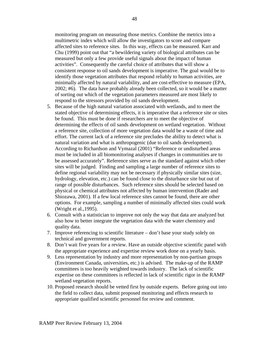monitoring program on measuring those metrics. Combine the metrics into a multimetric index which will allow the investigators to score and compare affected sites to reference sites. In this way, effects can be measured. Karr and Chu (1999) point out that "a bewildering variety of biological attributes can be measured but only a few provide useful signals about the impact of human activities". Consequently the careful choice of attributes that will show a consistent response to oil sands development is imperative. The goal would be to identify those vegetation attributes that respond reliably to human activities, are minimally affected by natural variability, and are cost-effective to measure (EPA, 2002; #6). The data have probably already been collected, so it would be a matter of sorting out which of the vegetation parameters measured are most likely to respond to the stressors provided by oil sands development.

- 5. Because of the high natural variation associated with wetlands, and to meet the stated objective of determining effects, it is imperative that a reference site or sites be found. This must be done if researchers are to meet the objective of determining the effects of oil sands development on wetland vegetation. Without a reference site, collection of more vegetation data would be a waste of time and effort. The current lack of a reference site precludes the ability to detect what is natural variation and what is anthropogenic (due to oil sands development). According to Richardson and Vymazal (2001) "Reference or undisturbed areas must be included in all biomonitoring analyses if changes in communities are to be assessed accurately". Reference sites serve as the standard against which other sites will be judged. Finding and sampling a large number of reference sites to define regional variability may not be necessary if physically similar sites (size, hydrology, elevation, etc.) can be found close to the disturbance site but out of range of possible disturbances. Such reference sites should be selected based on physical or chemical attributes not affected by human intervention (Rader and Shiozawa, 2001). If a few local reference sites cannot be found, there are other options. For example, sampling a number of minimally affected sites could work (Wright et al.,1995).
- 6. Consult with a statistician to improve not only the way that data are analyzed but also how to better integrate the vegetation data with the water chemistry and quality data.
- 7. Improve referencing to scientific literature don't base your study solely on technical and government reports.
- 8. Don't wait five years for a review. Have an outside objective scientific panel with the appropriate experience and expertise review work done on a yearly basis.
- 9. Less representation by industry and more representation by non-partisan groups (Environment Canada, universities, etc.) is advised. The make-up of the RAMP committees is too heavily weighted towards industry. The lack of scientific expertise on these committees is reflected in lack of scientific rigor in the RAMP wetland vegetation reports.
- 10. Proposed research should be vetted first by outside experts. Before going out into the field to collect data, submit proposed monitoring and effects research to appropriate qualified scientific personnel for review and comment.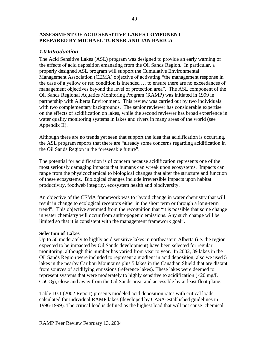### **ASSESSMENT OF ACID SENSITIVE LAKES COMPONENT PREPARED BY MICHAEL TURNER AND JAN BARICA**

### *1.0 Introduction*

The Acid Sensitive Lakes (ASL) program was designed to provide an early warning of the effects of acid deposition emanating from the Oil Sands Region. In particular, a properly designed ASL program will support the Cumulative Environmental Management Association (CEMA) objective of activating "the management response in the case of a yellow or red condition is intended … to ensure there are no exceedances of management objectives beyond the level of protection area". The ASL component of the Oil Sands Regional Aquatics Monitoring Program (RAMP) was initiated in 1999 in partnership with Alberta Environment. This review was carried out by two individuals with two complementary backgrounds. The senior reviewer has considerable expertise on the effects of acidification on lakes, while the second reviewer has broad experience in water quality monitoring systems in lakes and rivers in many areas of the world (see Appendix II).

Although there are no trends yet seen that support the idea that acidification is occurring, the ASL program reports that there are "already some concerns regarding acidification in the Oil Sands Region in the foreseeable future".

The potential for acidification is of concern because acidification represents one of the most seriously damaging impacts that humans can wreak upon ecosystems. Impacts can range from the physicochemical to biological changes that alter the structure and function of these ecosystems. Biological changes include irreversible impacts upon habitat productivity, foodweb integrity, ecosystem health and biodiversity.

An objective of the CEMA framework was to "avoid change in water chemistry that will result in change to ecological receptors either in the short term or through a long-term trend". This objective stemmed from the recognition that "it is possible that some change in water chemistry will occur from anthropogenic emissions. Any such change will be limited so that it is consistent with the management framework goal".

#### **Selection of Lakes**

Up to 50 moderately to highly acid sensitive lakes in northeastern Alberta (i.e. the region expected to be impacted by Oil Sands development) have been selected for regular monitoring, although this number has varied from year to year. In 2002, 39 lakes in the Oil Sands Region were included to represent a gradient in acid deposition; also we used 5 lakes in the nearby Caribou Mountains plus 5 lakes in the Canadian Shield that are distant from sources of acidifying emissions (reference lakes). These lakes were deemed to represent systems that were moderately to highly sensitive to acidification (<20 mg/L  $CaCO<sub>3</sub>$ ), close and away from the Oil Sands area, and accessible by at least float plane.

Table 10.1 (2002 Report) presents modeled acid deposition rates with critical loads calculated for individual RAMP lakes (developed by CASA-established guidelines in 1996-1999). The critical load is defined as the highest load that will not cause chemical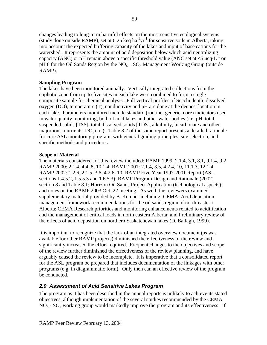changes leading to long-term harmful effects on the most sensitive ecological systems (study done outside RAMP), set at  $0.25$  keq ha<sup>-1</sup>yr<sup>-1</sup> for sensitive soils in Alberta, taking into account the expected buffering capacity of the lakes and input of base cations for the watershed. It represents the amount of acid deposition below which acid neutralizing capacity (ANC) or pH remain above a specific threshold value (ANC set at  $\lt 5$  ueq $\cdot \overline{L}^{-1}$  or pH 6 for the Oil Sands Region by the  $NO<sub>x</sub> - SO<sub>x</sub>$  Management Working Group (outside RAMP).

#### **Sampling Program**

The lakes have been monitored annually. Vertically integrated collections from the euphotic zone from up to five sites in each lake were combined to form a single composite sample for chemical analysis. Full vertical profiles of Secchi depth, dissolved oxygen (DO), temperature (T), conductivity and pH are done at the deepest location in each lake. Parameters monitored include standard (routine, generic, core) indicators used in water quality monitoring, both of acid lakes and other water bodies (i.e. pH, total suspended solids [TSS], total dissolved solids [TDS], alkalinity, bicarbonate and other major ions, nutrients, DO, etc.). Table 8.2 of the same report presents a detailed rationale for core ASL monitoring program, with general guiding principles, site selection, and specific methods and procedures.

#### **Scope of Material**

The materials considered for this review included: RAMP 1999: 2.1.4, 3.1, 8.1, 9.1.4, 9.2 RAMP 2000: 2.1.4, 4.4, 8, 10.1.4; RAMP 2001: 2.1.4, 3.5, 4.2.4, 10, 11.1.3, 12.1.4 RAMP 2002: 1.2.6, 2.1.5, 3.6, 4.2.6, 10; RAMP Five Year 1997-2001 Report (ASL sections 1.4.5.2, 1.5.5.3 and 1.6.5.3); RAMP Program Design and Rationale (2002) section 8 and Table 8.1; Horizon Oil Sands Project Application (technological aspects); and notes on the RAMP 2003 Oct. 22 meeting. As well, the reviewers examined supplementary material provided by B. Kemper including: CEMA: Acid deposition management framework recommendations for the oil sands region of north-eastern Alberta; CEMA Research priorities and monitoring enhancements related to acidification and the management of critical loads in north eastern Alberta; and Preliminary review of the effects of acid deposition on northern Saskatchewan lakes (D. Ballagh, 1999).

It is important to recognize that the lack of an integrated overview document (as was available for other RAMP projects) diminished the effectiveness of the review and significantly increased the effort required. Frequent changes to the objectives and scope of the review further diminished the effectiveness of the review planning, and have arguably caused the review to be incomplete. It is imperative that a consolidated report for the ASL program be prepared that includes documentation of the linkages with other programs (e.g. in diagrammatic form). Only then can an effective review of the program be conducted.

## *2.0 Assessment of Acid Sensitive Lakes Program*

The program as it has been described in the annual reports is unlikely to achieve its stated objectives, although implementation of the several studies recommended by the CEMA  $NO<sub>x</sub>$  -  $SO<sub>x</sub>$  working group would markedly improve the program and its effectiveness. If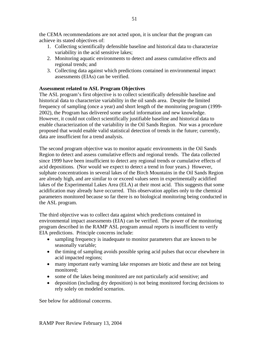the CEMA recommendations are not acted upon, it is unclear that the program can achieve its stated objectives of:

- 1. Collecting scientifically defensible baseline and historical data to characterize variability in the acid sensitive lakes;
- 2. Monitoring aquatic environments to detect and assess cumulative effects and regional trends; and
- 3. Collecting data against which predictions contained in environmental impact assessments (EIAs) can be verified.

### **Assessment related to ASL Program Objectives**

The ASL program's first objective is to collect scientifically defensible baseline and historical data to characterize variability in the oil sands area. Despite the limited frequency of sampling (once a year) and short length of the monitoring program (1999- 2002), the Program has delivered some useful information and new knowledge. However, it could not collect scientifically justifiable baseline and historical data to enable characterization of the variability in the Oil Sands Region. Nor was a procedure proposed that would enable valid statistical detection of trends in the future; currently, data are insufficient for a trend analysis.

The second program objective was to monitor aquatic environments in the Oil Sands Region to detect and assess cumulative effects and regional trends. The data collected since 1999 have been insufficient to detect any regional trends or cumulative effects of acid depositions. (Nor would we expect to detect a trend in four years.) However, sulphate concentrations in several lakes of the Birch Mountains in the Oil Sands Region are already high, and are similar to or exceed values seen in experimentally acidified lakes of the Experimental Lakes Area (ELA) at their most acid. This suggests that some acidification may already have occurred. This observation applies only to the chemical parameters monitored because so far there is no biological monitoring being conducted in the ASL program.

The third objective was to collect data against which predictions contained in environmental impact assessments (EIA) can be verified. The power of the monitoring program described in the RAMP ASL program annual reports is insufficient to verify EIA predictions. Principle concerns include:

- sampling frequency is inadequate to monitor parameters that are known to be seasonally variable;
- the timing of sampling avoids possible spring acid pulses that occur elsewhere in acid impacted regions;
- many important early warning lake responses are biotic and these are not being monitored;
- some of the lakes being monitored are not particularly acid sensitive; and
- deposition (including dry deposition) is not being monitored forcing decisions to rely solely on modeled scenarios.

See below for additional concerns.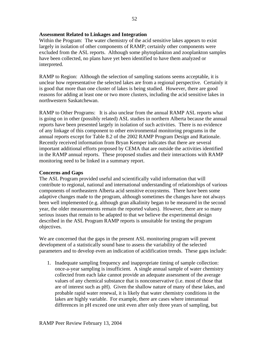#### **Assessment Related to Linkages and Integration**

Within the Program: The water chemistry of the acid sensitive lakes appears to exist largely in isolation of other components of RAMP; certainly other components were excluded from the ASL reports. Although some phytoplankton and zooplankton samples have been collected, no plans have yet been identified to have them analyzed or interpreted.

RAMP to Region: Although the selection of sampling stations seems acceptable, it is unclear how representative the selected lakes are from a regional perspective. Certainly it is good that more than one cluster of lakes is being studied. However, there are good reasons for adding at least one or two more clusters, including the acid sensitive lakes in northwestern Saskatchewan.

RAMP to Other Programs: It is also unclear from the annual RAMP ASL reports what is going on in other (possibly related) ASL studies in northern Alberta because the annual reports have been presented largely in isolation of such activities. There is no evidence of any linkage of this component to other environmental monitoring programs in the annual reports except for Table 8.2 of the 2002 RAMP Program Design and Rationale. Recently received information from Bryan Kemper indicates that there are several important additional efforts proposed by CEMA that are outside the activities identified in the RAMP annual reports. These proposed studies and their interactions with RAMP monitoring need to be linked in a summary report.

#### **Concerns and Gaps**

The ASL Program provided useful and scientifically valid information that will contribute to regional, national and international understanding of relationships of various components of northeastern Alberta acid sensitive ecosystems. There have been some adaptive changes made to the program, although sometimes the changes have not always been well implemented (e.g. although gran alkalinity began to be measured in the second year, the older measurements remain the reported values). However, there are so many serious issues that remain to be adapted to that we believe the experimental design described in the ASL Program RAMP reports is unsuitable for testing the program objectives.

We are concerned that the gaps in the present ASL monitoring program will prevent development of a statistically sound base to assess the variability of the selected parameters and to develop even an indication of acidification trends. These gaps include:

1. Inadequate sampling frequency and inappropriate timing of sample collection: once-a-year sampling is insufficient. A single annual sample of water chemistry collected from each lake cannot provide an adequate assessment of the average values of any chemical substance that is nonconservative (i.e. most of those that are of interest such as pH). Given the shallow nature of many of these lakes, and probable rapid water renewal, it is likely that water chemistry conditions in the lakes are highly variable. For example, there are cases where interannual differences in pH exceed one unit even after only three years of sampling, but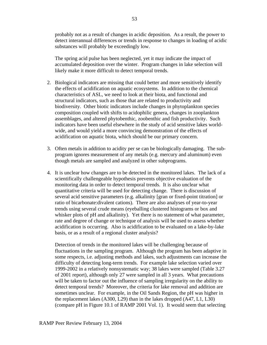probably not as a result of changes in acidic deposition. As a result, the power to detect interannual differences or trends in response to changes in loading of acidic substances will probably be exceedingly low.

The spring acid pulse has been neglected, yet it may indicate the impact of accumulated deposition over the winter. Program changes in lake selection will likely make it more difficult to detect temporal trends.

- 2. Biological indicators are missing that could better and more sensitively identify the effects of acidification on aquatic ecosystems. In addition to the chemical characteristics of ASL, we need to look at their biota, and functional and structural indicators, such as those that are related to productivity and biodiversity. Other biotic indicators include changes in phytoplankton species composition coupled with shifts to acidophilic genera, changes in zooplankton assemblages, and altered phytobenthic, zoobenthic and fish productivity. Such indicators have been useful elsewhere in the study of acid sensitive lakes worldwide, and would yield a more convincing demonstration of the effects of acidification on aquatic biota, which should be our primary concern.
- 3. Often metals in addition to acidity per se can be biologically damaging. The subprogram ignores measurement of any metals (e.g. mercury and aluminum) even though metals are sampled and analyzed in other subprograms.
- 4. It is unclear how changes are to be detected in the monitored lakes. The lack of a scientifically challengeable hypothesis prevents objective evaluation of the monitoring data in order to detect temporal trends. It is also unclear what quantitative criteria will be used for detecting change. There is discussion of several acid sensitive parameters (e.g. alkalinity [gran or fixed-point titration] or ratio of bicarbonate:divalent cations). There are also analyses of year-to-year trends using several crude means (eyeballing clustered histograms or box and whisker plots of pH and alkalinity). Yet there is no statement of what parameter, rate and degree of change or technique of analysis will be used to assess whether acidification is occurring. Also is acidification to be evaluated on a lake-by-lake basis, or as a result of a regional cluster analysis?

Detection of trends in the monitored lakes will be challenging because of fluctuations in the sampling program. Although the program has been adaptive in some respects, i.e. adjusting methods and lakes, such adjustments can increase the difficulty of detecting long-term trends. For example lake selection varied over 1999-2002 in a relatively nonsystematic way; 38 lakes were sampled (Table 3.27 of 2001 report), although only 27 were sampled in all 3 years. What precautions will be taken to factor out the influence of sampling irregularity on the ability to detect temporal trends? Moreover, the criteria for lake removal and addition are sometimes unclear. For example, in the Oil Sands Region, the pH was higher in the replacement lakes (A300, L29) than in the lakes dropped (A47, L1, L30) (compare pH in Figure 10.1 of RAMP 2001 Vol. 1). It would seem that selecting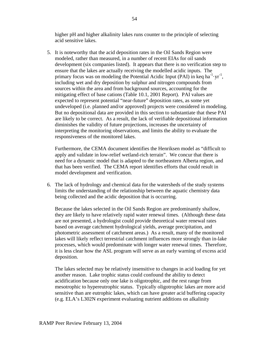higher pH and higher alkalinity lakes runs counter to the principle of selecting acid sensitive lakes.

5. It is noteworthy that the acid deposition rates in the Oil Sands Region were modeled, rather than measured, in a number of recent EIAs for oil sands development (six companies listed). It appears that there is no verification step to ensure that the lakes are actually receiving the modelled acidic inputs. The primary focus was on modeling the Potential Acidic Input (PAI) in keq ha<sup>-1</sup> yr<sup>-1</sup>, including wet and dry deposition by sulphur and nitrogen compounds from sources within the area and from background sources, accounting for the mitigating effect of base cations (Table 10.1, 2001 Report). PAI values are expected to represent potential "near-future" deposition rates, as some yet undeveloped (i.e. planned and/or approved) projects were considered in modeling. But no depositional data are provided in this section to substantiate that these PAI are likely to be correct. As a result, the lack of verifiable depositional information diminishes the validity of future projections, increases the uncertainty of interpreting the monitoring observations, and limits the ability to evaluate the responsiveness of the monitored lakes.

Furthermore, the CEMA document identifies the Henriksen model as "difficult to apply and validate in low-relief wetland-rich terrain". We concur that there is need for a dynamic model that is adapted to the northeastern Alberta region, and that has been verified. The CEMA report identifies efforts that could result in model development and verification.

6. The lack of hydrology and chemical data for the watersheds of the study systems limits the understanding of the relationship between the aquatic chemistry data being collected and the acidic deposition that is occurring.

Because the lakes selected in the Oil Sands Region are predominantly shallow, they are likely to have relatively rapid water renewal times. (Although these data are not presented, a hydrologist could provide theoretical water renewal rates based on average catchment hydrological yields, average precipitation, and photometric assessment of catchment areas.) As a result, many of the monitored lakes will likely reflect terrestrial catchment influences more strongly than in-lake processes, which would predominate with longer water renewal times. Therefore, it is less clear how the ASL program will serve as an early warning of excess acid deposition.

The lakes selected may be relatively insensitive to changes in acid loading for yet another reason. Lake trophic status could confound the ability to detect acidification because only one lake is oligotrophic, and the rest range from mesotrophic to hypereutrophic status. Typically oligotrophic lakes are more acid sensitive than are eutrophic lakes, which can have greater acid buffering capacity (e.g. ELA's L302N experiment evaluating nutrient additions on alkalinity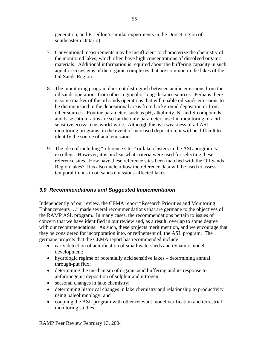generation, and P. Dillon's similar experiments in the Dorset region of southeastern Ontario).

- 7. Conventional measurements may be insufficient to characterize the chemistry of the monitored lakes, which often have high concentrations of dissolved organic materials. Additional information is required about the buffering capacity in such aquatic ecosystems of the organic complexes that are common in the lakes of the Oil Sands Region.
- 8. The monitoring program does not distinguish between acidic emissions from the oil sands operations from other regional or long-distance sources. Perhaps there is some marker of the oil sands operations that will enable oil sands emissions to be distinguished in the depositional areas from background deposition or from other sources. Routine parameters such as pH, alkalinity, N- and S-compounds, and base cation ratios are so far the only parameters used in monitoring of acid sensitive ecosystems world-wide. Although this is a weakness of all ASL monitoring programs, in the event of increased deposition, it will be difficult to identify the source of acid emissions.
- 9. The idea of including "reference sites" or lake clusters in the ASL program is excellent. However, it is unclear what criteria were used for selecting these reference sites. How have these reference sites been matched with the Oil Sands Region lakes? It is also unclear how the reference data will be used to assess temporal trends in oil sands emissions-affected lakes.

## *3.0 Recommendations and Suggested Implementation*

Independently of our review, the CEMA report "Research Priorities and Monitoring Enhancements …" made several recommendations that are germane to the objectives of the RAMP ASL program. In many cases, the recommendations pertain to issues of concern that we have identified in our review and, as a result, overlap to some degree with our recommendations. As such, these projects merit mention, and we encourage that they be considered for incorporation into, or refinement of, the ASL program. The germane projects that the CEMA report has recommended include:

- early detection of acidification of small watersheds and dynamic model development;
- hydrologic regime of potentially acid sensitive lakes determining annual through-put flux;
- determining the mechanism of organic acid buffering and its response to anthropogenic deposition of sulphur and nitrogen;
- seasonal changes in lake chemistry;
- determining historical changes in lake chemistry and relationship to productivity using paleolimnology; and
- coupling the ASL program with other relevant model verification and terrestrial monitoring studies.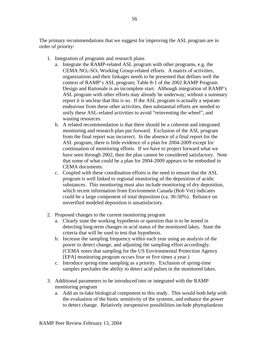The primary recommendations that we suggest for improving the ASL program are in order of priority:

- 1. Integration of programs and research plans
	- a. Integrate the RAMP-related ASL program with other programs, e.g. the CEMA  $NO<sub>x</sub>$ -SO<sub>x</sub> Working Group-related efforts. A matrix of activities, organizations and their linkages needs to be presented that defines well the context of RAMP's ASL program; Table 8-1 of the 2002 RAMP Program Design and Rationale is an incomplete start. Although integration of RAMP's ASL program with other efforts may already be underway, without a summary report it is unclear that this is so. If the ASL program is actually a separate endeavour from these other activities, then substantial efforts are needed to unify these ASL-related activities to avoid "reinventing the wheel", and wasting resources.
	- b. A related recommendation is that there should be a coherent and integrated monitoring and research plan put forward. Exclusion of the ASL program from the final report was incorrect. In the absence of a final report for the ASL program, there is little evidence of a plan for 2004-2009 except for continuation of monitoring efforts. If we have to project forward what we have seen through 2002, then the plan cannot be considered satisfactory. Note that some of what could be a plan for 2004-2009 appears to be embodied in CEMA documents.
	- c. Coupled with these coordination efforts is the need to ensure that the ASL program is well linked to regional monitoring of the deposition of acidic substances. This monitoring must also include monitoring of dry deposition, which recent information from Environment Canada (Bob Vet) indicates could be a large component of total deposition (ca. 30-50%). Reliance on unverified modeled deposition is unsatisfactory.
- 2. Proposed changes to the current monitoring program
	- a. Clearly state the working hypothesis or question that is to be tested in detecting long-term changes in acid status of the monitored lakes. State the criteria that will be used to test that hypothesis.
	- b. Increase the sampling frequency within each year using an analysis of the power to detect change, and adjusting the sampling effort accordingly. (CEMA notes that sampling for the US Environmental Protection Agency [EPA] monitoring program occurs four or five times a year.)
	- c. Introduce spring-time sampling as a priority. Exclusion of spring-time samples precludes the ability to detect acid pulses in the monitored lakes.
- 3. Additional parameters to be introduced into or integrated with the RAMP monitoring program
	- a. Add an in-lake biological component to this study. This would both help with the evaluation of the biotic sensitivity of the systems, and enhance the power to detect change. Relatively inexpensive possibilities include phytoplankton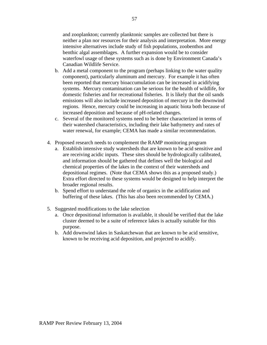and zooplankton; currently planktonic samples are collected but there is neither a plan nor resources for their analysis and interpretation. More energy intensive alternatives include study of fish populations, zoobenthos and benthic algal assemblages. A further expansion would be to consider waterfowl usage of these systems such as is done by Environment Canada's Canadian Wildlife Service.

- b. Add a metal component to the program (perhaps linking to the water quality component), particularly aluminum and mercury. For example it has often been reported that mercury bioaccumulation can be increased in acidifying systems. Mercury contamination can be serious for the health of wildlife, for domestic fisheries and for recreational fisheries. It is likely that the oil sands emissions will also include increased deposition of mercury in the downwind regions. Hence, mercury could be increasing in aquatic biota both because of increased deposition and because of pH-related changes.
- c. Several of the monitored systems need to be better characterized in terms of their watershed characteristics, including their lake bathymetry and rates of water renewal, for example; CEMA has made a similar recommendation.
- 4. Proposed research needs to complement the RAMP monitoring program
	- a. Establish intensive study watersheds that are known to be acid sensitive and are receiving acidic inputs. These sites should be hydrologically calibrated, and information should be gathered that defines well the biological and chemical properties of the lakes in the context of their watersheds and depositional regimes. (Note that CEMA shows this as a proposed study.) Extra effort directed to these systems would be designed to help interpret the broader regional results.
	- b. Spend effort to understand the role of organics in the acidification and buffering of these lakes. (This has also been recommended by CEMA.)
- 5. Suggested modifications to the lake selection
	- a. Once depositional information is available, it should be verified that the lake cluster deemed to be a suite of reference lakes is actually suitable for this purpose.
	- b. Add downwind lakes in Saskatchewan that are known to be acid sensitive, known to be receiving acid deposition, and projected to acidify.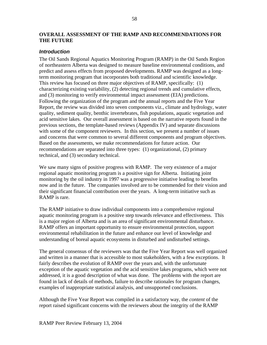#### **OVERALL ASSESSMENT OF THE RAMP AND RECOMMENDATIONS FOR THE FUTURE**

#### *Introduction*

The Oil Sands Regional Aquatics Monitoring Program (RAMP) in the Oil Sands Region of northeastern Alberta was designed to measure baseline environmental conditions, and predict and assess effects from proposed developments. RAMP was designed as a longterm monitoring program that incorporates both traditional and scientific knowledge. This review has focused on three major objectives of RAMP, specifically: (1) characterizing existing variability, (2) detecting regional trends and cumulative effects, and (3) monitoring to verify environmental impact assessment (EIA) predictions. Following the organization of the program and the annual reports and the Five Year Report, the review was divided into seven components viz., climate and hydrology, water quality, sediment quality, benthic invertebrates, fish populations, aquatic vegetation and acid sensitive lakes. Our overall assessment is based on the narrative reports found in the previous sections, the template-based reviews (Appendix IV) and separate discussions with some of the component reviewers. In this section, we present a number of issues and concerns that were common to several different components and program objectives. Based on the assessments, we make recommendations for future action. Our recommendations are separated into three types: (1) organizational, (2) primary technical, and (3) secondary technical.

We saw many signs of positive progress with RAMP. The very existence of a major regional aquatic monitoring program is a positive sign for Alberta. Initiating joint monitoring by the oil industry in 1997 was a progressive initiative leading to benefits now and in the future. The companies involved are to be commended for their vision and their significant financial contribution over the years. A long-term initiative such as RAMP is rare.

The RAMP initiative to draw individual components into a comprehensive regional aquatic monitoring program is a positive step towards relevance and effectiveness. This is a major region of Alberta and is an area of significant environmental disturbance. RAMP offers an important opportunity to ensure environmental protection, support environmental rehabilitation in the future and enhance our level of knowledge and understanding of boreal aquatic ecosystems in disturbed and undisturbed settings.

The general consensus of the reviewers was that the Five Year Report was well organized and written in a manner that is accessible to most stakeholders, with a few exceptions. It fairly describes the evolution of RAMP over the years and, with the unfortunate exception of the aquatic vegetation and the acid sensitive lakes programs, which were not addressed, it is a good description of what was done. The problems with the report are found in lack of details of methods, failure to describe rationales for program changes, examples of inappropriate statistical analysis, and unsupported conclusions.

Although the Five Year Report was compiled in a satisfactory way, the *content* of the report raised significant concerns with the reviewers about the integrity of the RAMP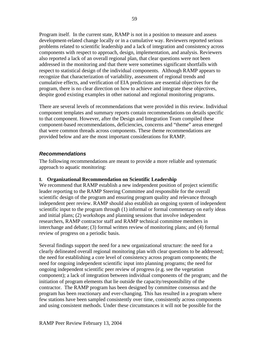Program itself. In the current state, RAMP is not in a position to measure and assess development-related change locally or in a cumulative way. Reviewers reported serious problems related to scientific leadership and a lack of integration and consistency across components with respect to approach, design, implementation, and analysis. Reviewers also reported a lack of an overall regional plan, that clear questions were not been addressed in the monitoring and that there were sometimes significant shortfalls with respect to statistical design of the individual components. Although RAMP appears to recognize that characterization of variability, assessment of regional trends and cumulative effects, and verification of EIA predictions are essential objectives for the program, there is no clear direction on how to achieve and integrate these objectives, despite good existing examples in other national and regional monitoring programs.

There are several levels of recommendations that were provided in this review. Individual component templates and summary reports contain recommendations on details specific to that component. However, after the Design and Integration Team compiled these component-based recommendations, deficiencies, concerns and "theme" areas emerged that were common threads across components. These theme recommendations are provided below and are the most important considerations for RAMP.

#### *Recommendations*

The following recommendations are meant to provide a more reliable and systematic approach to aquatic monitoring:

#### **I. Organizational Recommendation on Scientific Leadership**

We recommend that RAMP establish a new independent position of project scientific leader reporting to the RAMP Steering Committee and responsible for the overall scientific design of the program and ensuring program quality and relevance through independent peer review. RAMP should also establish an ongoing system of independent scientific input to the program through (1) informal or formal commentary on early ideas and initial plans; (2) workshops and planning sessions that involve independent researchers, RAMP contractor staff and RAMP technical committee members in interchange and debate; (3) formal written review of monitoring plans; and (4) formal review of progress on a periodic basis.

Several findings support the need for a new organizational structure: the need for a clearly delineated overall regional monitoring plan with clear questions to be addressed; the need for establishing a core level of consistency across program components; the need for ongoing independent scientific input into planning programs; the need for ongoing independent scientific peer review of progress (e.g. see the vegetation component); a lack of integration between individual components of the program; and the initiation of program elements that lie outside the capacity/responsibility of the contractor. The RAMP program has been designed by committee consensus and the program has been reactionary and ever-changing. This has resulted in a program where few stations have been sampled consistently over time, consistently across components and using consistent methods. Under these circumstances it will not be possible for the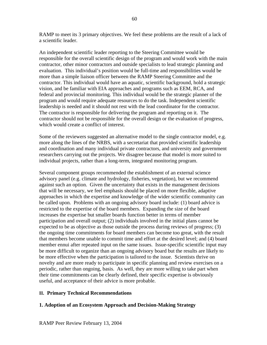RAMP to meet its 3 primary objectives. We feel these problems are the result of a lack of a scientific leader.

An independent scientific leader reporting to the Steering Committee would be responsible for the overall scientific design of the program and would work with the main contractor, other minor contractors and outside specialists to lead strategic planning and evaluation. This individual's position would be full-time and responsibilities would be more than a simple liaison officer between the RAMP Steering Committee and the contractor. This individual would have an aquatic, scientific background, hold a strategic vision, and be familiar with EIA approaches and programs such as EEM, RCA, and federal and provincial monitoring. This individual would be the strategic planner of the program and would require adequate resources to do the task. Independent scientific leadership is needed and it should not rest with the lead coordinator for the contractor. The contractor is responsible for delivering the program and reporting on it. The contractor should not be responsible for the overall design or the evaluation of progress, which would create a conflict of interest.

Some of the reviewers suggested an alternative model to the single contractor model, e.g. more along the lines of the NRBS, with a secretariat that provided scientific leadership and coordination and many individual private contractors, and university and government researchers carrying out the projects. We disagree because that model is more suited to individual projects, rather than a long-term, integrated monitoring program.

Several component groups recommended the establishment of an external science advisory panel (e.g. climate and hydrology, fisheries, vegetation), but we recommend against such an option. Given the uncertainty that exists in the management decisions that will be necessary, we feel emphasis should be placed on more flexible, adaptive approaches in which the expertise and knowledge of the wider scientific community can be called upon. Problems with an ongoing advisory board include: (1) board advice is restricted to the expertise of the board members. Expanding the size of the board increases the expertise but smaller boards function better in terms of member participation and overall output; (2) individuals involved in the initial plans cannot be expected to be as objective as those outside the process during reviews of progress; (3) the ongoing time commitments for board members can become too great, with the result that members become unable to commit time and effort at the desired level; and (4) board member ennui after repeated input on the same issues. Issue-specific scientific input may be more difficult to organize than an ongoing advisory board but the results are likely to be more effective when the participation is tailored to the issue. Scientists thrive on novelty and are more ready to participate in specific planning and review exercises on a periodic, rather than ongoing, basis. As well, they are more willing to take part when their time commitments can be clearly defined, their specific expertise is obviously useful, and acceptance of their advice is more probable.

### **II. Primary Technical Recommendations**

### **1. Adoption of an Ecosystem Approach and Decision-Making Strategy**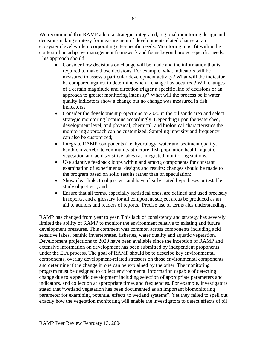We recommend that RAMP adopt a strategic, integrated, regional monitoring design and decision-making strategy for measurement of development-related change at an ecosystem level while incorporating site-specific needs. Monitoring must fit within the context of an adaptive management framework and focus beyond project-specific needs. This approach should:

- Consider how decisions on change will be made and the information that is required to make those decisions. For example, what indicators will be measured to assess a particular development activity? What will the indicator be compared against to determine when a change has occurred? Will changes of a certain magnitude and direction trigger a specific line of decisions or an approach to greater monitoring intensity? What will the process be if water quality indicators show a change but no change was measured in fish indicators?
- Consider the development projections to 2020 in the oil sands area and select strategic monitoring locations accordingly. Depending upon the watershed, development level, and physical, chemical, and biological characteristics the monitoring approach can be customized. Sampling intensity and frequency can also be customized;
- Integrate RAMP components (i.e. hydrology, water and sediment quality, benthic invertebrate community structure, fish population health, aquatic vegetation and acid sensitive lakes) at integrated monitoring stations;
- Use adaptive feedback loops within and among components for constant examination of experimental designs and results; changes should be made to the program based on solid results rather than on speculation;
- Show clear links to objectives and have clearly stated hypotheses or testable study objectives; and
- Ensure that all terms, especially statistical ones, are defined and used precisely in reports, and a glossary for all component subject areas be produced as an aid to authors and readers of reports. Precise use of terms aids understanding.

RAMP has changed from year to year. This lack of consistency and strategy has severely limited the ability of RAMP to monitor the environment relative to existing and future development pressures. This comment was common across components including acid sensitive lakes, benthic invertebrates, fisheries, water quality and aquatic vegetation. Development projections to 2020 have been available since the inception of RAMP and extensive information on development has been submitted by independent proponents under the EIA process. The goal of RAMP should be to describe key environmental components, overlay development-related stressors on those environmental components and determine if the change in one can be explained by the other. The monitoring program must be designed to collect environmental information capable of detecting change due to a specific development including selection of appropriate parameters and indicators, and collection at appropriate times and frequencies. For example, investigators stated that "wetland vegetation has been documented as an important biomonitoring parameter for examining potential effects to wetland systems". Yet they failed to spell out exactly how the vegetation monitoring will enable the investigators to detect effects of oil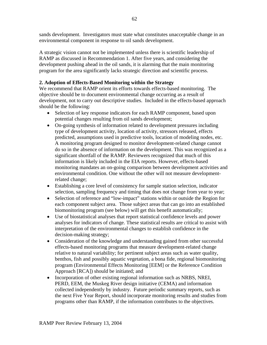sands development. Investigators must state what constitutes unacceptable change in an environmental component in response to oil sands development.

A strategic vision cannot not be implemented unless there is scientific leadership of RAMP as discussed in Recommendation 1. After five years, and considering the development pushing ahead in the oil sands, it is alarming that the main monitoring program for the area significantly lacks strategic direction and scientific process.

## **2. Adoption of Effects-Based Monitoring within the Strategy**

We recommend that RAMP orient its efforts towards effects-based monitoring. The objective should be to document environmental change occurring as a result of development, not to carry out descriptive studies. Included in the effects-based approach should be the following:

- Selection of key response indicators for each RAMP component, based upon potential changes resulting from oil sands development;
- On-going synthesis of information related to development pressures including type of development activity, location of activity, stressors released, effects predicted, assumptions used in predictive tools, location of modeling nodes, etc. A monitoring program designed to monitor development-related change cannot do so in the absence of information on the development. This was recognized as a significant shortfall of the RAMP. Reviewers recognized that much of this information is likely included in the EIA reports. However, effects-based monitoring mandates an on-going comparison between development activities and environmental condition. One without the other will not measure developmentrelated change;
- Establishing a core level of consistency for sample station selection, indicator selection, sampling frequency and timing that does not change from year to year;
- Selection of reference and "low-impact" stations within or outside the Region for each component subject area. Those subject areas that can go into an established biomonitoring program (see below) will get this benefit automatically;
- Use of biostatistical analyses that report statistical confidence levels and power analyses for indicators of change. These statistical results are critical to assist with interpretation of the environmental changes to establish confidence in the decision-making strategy;
- Consideration of the knowledge and understanding gained from other successful effects-based monitoring programs that measure development-related change relative to natural variability; for pertinent subject areas such as water quality, benthos, fish and possibly aquatic vegetation, a bona fide, regional biomonitoring program (Environmental Effects Monitoring [EEM] or the Reference Condition Approach [RCA]) should be initiated; and
- Incorporation of other existing regional information such as NRBS, NREI, PERD, EEM, the Muskeg River design initiative (CEMA) and information collected independently by industry. Future periodic summary reports, such as the next Five Year Report, should incorporate monitoring results and studies from programs other than RAMP, if the information contributes to the objectives.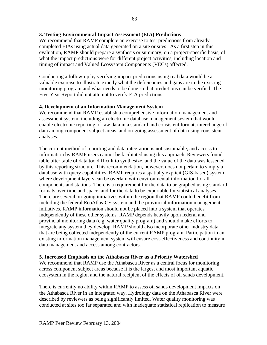#### **3. Testing Environmental Impact Assessment (EIA) Predictions**

We recommend that RAMP complete an exercise to test predictions from already completed EIAs using actual data generated on a site or sites. As a first step in this evaluation, RAMP should prepare a synthesis or summary, on a project-specific basis, of what the impact predictions were for different project activities, including location and timing of impact and Valued Ecosystem Components (VECs) affected.

Conducting a follow-up by verifying impact predictions using real data would be a valuable exercise to illustrate exactly what the deficiencies and gaps are in the existing monitoring program and what needs to be done so that predictions can be verified. The Five Year Report did not attempt to verify EIA predictions.

#### **4. Development of an Information Management System**

We recommend that RAMP establish a comprehensive information management and assessment system, including an electronic database management system that would enable electronic reporting of raw data in a standard and consistent format, interchange of data among component subject areas, and on-going assessment of data using consistent analyses.

The current method of reporting and data integration is not sustainable, and access to information by RAMP users cannot be facilitated using this approach. Reviewers found table after table of data too difficult to synthesize, and the value of the data was lessened by this reporting structure. This recommendation, however, does not pertain to simply a database with query capabilities. RAMP requires a spatially explicit (GIS-based) system where development layers can be overlain with environmental information for all components and stations. There is a requirement for the data to be graphed using standard formats over time and space, and for the data to be exportable for statistical analyses. There are several on-going initiatives within the region that RAMP could benefit from including the federal EcoAtlas-CE system and the provincial information management initiatives. RAMP information should not be placed into a system that operates independently of these other systems. RAMP depends heavily upon federal and provincial monitoring data (e.g. water quality program) and should make efforts to integrate any system they develop. RAMP should also incorporate other industry data that are being collected independently of the current RAMP program. Participation in an existing information management system will ensure cost-effectiveness and continuity in data management and access among contractors.

#### **5. Increased Emphasis on the Athabasca River as a Priority Watershed**

We recommend that RAMP use the Athabasca River as a central focus for monitoring across component subject areas because it is the largest and most important aquatic ecosystem in the region and the natural recipient of the effects of oil sands development.

There is currently no ability within RAMP to assess oil sands development impacts on the Athabasca River in an integrated way. Hydrology data on the Athabasca River were described by reviewers as being significantly limited. Water quality monitoring was conducted at sites too far separated and with inadequate statistical replication to measure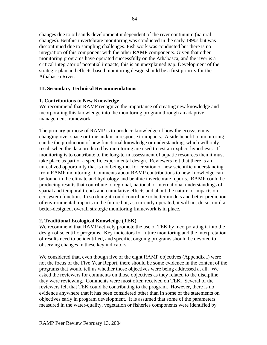changes due to oil sands development independent of the river continuum (natural changes). Benthic invertebrate monitoring was conducted in the early 1990s but was discontinued due to sampling challenges. Fish work was conducted but there is no integration of this component with the other RAMP components. Given that other monitoring programs have operated successfully on the Athabasca, and the river is a critical integrator of potential impacts, this is an unexplained gap. Development of the strategic plan and effects-based monitoring design should be a first priority for the Athabasca River.

#### **III. Secondary Technical Recommendations**

#### **1. Contributions to New Knowledge**

We recommend that RAMP recognize the importance of creating new knowledge and incorporating this knowledge into the monitoring program through an adaptive management framework.

The primary purpose of RAMP is to produce knowledge of how the ecosystem is changing over space or time and/or in response to impacts. A side benefit to monitoring can be the production of new functional knowledge or understanding, which will only result when the data produced by monitoring are used to test an explicit hypothesis. If monitoring is to contribute to the long-term assessment of aquatic resources then it must take place as part of a specific experimental design. Reviewers felt that there is an unrealized opportunity that is not being met for creation of new scientific understanding from RAMP monitoring. Comments about RAMP contributions to new knowledge can be found in the climate and hydrology and benthic invertebrate reports. RAMP could be producing results that contribute to regional, national or international understandings of spatial and temporal trends and cumulative effects and about the nature of impacts on ecosystem function. In so doing it could contribute to better models and better prediction of environmental impacts in the future but, as currently operated, it will not do so, until a better-designed, overall strategic monitoring framework is in place.

### **2. Traditional Ecological Knowledge (TEK)**

We recommend that RAMP actively promote the use of TEK by incorporating it into the design of scientific programs. Key indicators for future monitoring and the interpretation of results need to be identified, and specific, ongoing programs should be devoted to observing changes in these key indicators.

We considered that, even though five of the eight RAMP objectives (Appendix I) were not the focus of the Five Year Report, there should be some evidence in the content of the programs that would tell us whether those objectives were being addressed at all. We asked the reviewers for comments on those objectives as they related to the discipline they were reviewing. Comments were most often received on TEK. Several of the reviewers felt that TEK could be contributing to the program. However, there is no evidence anywhere that it has been considered other than in some of the statements on objectives early in program development. It is assumed that some of the parameters measured in the water-quality, vegetation or fisheries components were identified by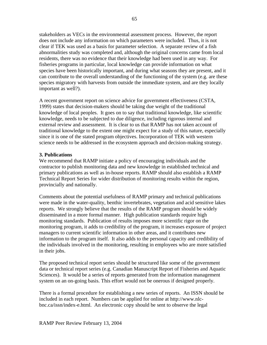stakeholders as VECs in the environmental assessment process. However, the report does not include any information on which parameters were included. Thus, it is not clear if TEK was used as a basis for parameter selection. A separate review of a fish abnormalities study was completed and, although the original concerns came from local residents, there was no evidence that their knowledge had been used in any way. For fisheries programs in particular, local knowledge can provide information on what species have been historically important, and during what seasons they are present, and it can contribute to the overall understanding of the functioning of the system (e.g. are these species migratory with harvests from outside the immediate system, and are they locally important as well?).

A recent government report on science advice for government effectiveness (CSTA, 1999) states that decision-makers should be taking due weight of the traditional knowledge of local peoples. It goes on to say that traditional knowledge, like scientific knowledge, needs to be subjected to due diligence, including rigorous internal and external review and assessment. It is clear to us that RAMP has not taken account of traditional knowledge to the extent one might expect for a study of this nature, especially since it is one of the stated program objectives. Incorporation of TEK with western science needs to be addressed in the ecosystem approach and decision-making strategy.

#### **3. Publications**

We recommend that RAMP initiate a policy of encouraging individuals and the contractor to publish monitoring data and new knowledge in established technical and primary publications as well as in-house reports. RAMP should also establish a RAMP Technical Report Series for wider distribution of monitoring results within the region, provincially and nationally.

Comments about the potential usefulness of RAMP primary and technical publications were made in the water-quality, benthic invertebrates, vegetation and acid sensitive lakes reports. We strongly believe that the results of the RAMP program should be widely disseminated in a more formal manner. High publication standards require high monitoring standards. Publication of results imposes more scientific rigor on the monitoring program, it adds to credibility of the program, it increases exposure of project managers to current scientific information in other areas, and it contributes new information to the program itself. It also adds to the personal capacity and credibility of the individuals involved in the monitoring, resulting in employees who are more satisfied in their jobs.

The proposed technical report series should be structured like some of the government data or technical report series (e.g. Canadian Manuscript Report of Fisheries and Aquatic Sciences). It would be a series of reports generated from the information management system on an on-going basis. This effort would not be onerous if designed properly.

There is a formal procedure for establishing a new series of reports. An ISSN should be included in each report. Numbers can be applied for online at http://www.nlcbnc.ca/issn/index-e.html. An electronic copy should be sent to observe the legal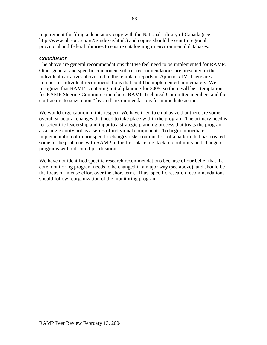requirement for filing a depository copy with the National Library of Canada (see http://www.nlc-bnc.ca/6/25/index-e.html.) and copies should be sent to regional, provincial and federal libraries to ensure cataloguing in environmental databases.

## *Conclusion*

The above are general recommendations that we feel need to be implemented for RAMP. Other general and specific component subject recommendations are presented in the individual narratives above and in the template reports in Appendix IV. There are a number of individual recommendations that could be implemented immediately. We recognize that RAMP is entering initial planning for 2005, so there will be a temptation for RAMP Steering Committee members, RAMP Technical Committee members and the contractors to seize upon "favored" recommendations for immediate action.

We would urge caution in this respect. We have tried to emphasize that there are some overall structural changes that need to take place within the program. The primary need is for scientific leadership and input to a strategic planning process that treats the program as a single entity not as a series of individual components. To begin immediate implementation of minor specific changes risks continuation of a pattern that has created some of the problems with RAMP in the first place, i.e. lack of continuity and change of programs without sound justification.

We have not identified specific research recommendations because of our belief that the core monitoring program needs to be changed in a major way (see above), and should be the focus of intense effort over the short term. Thus, specific research recommendations should follow reorganization of the monitoring program.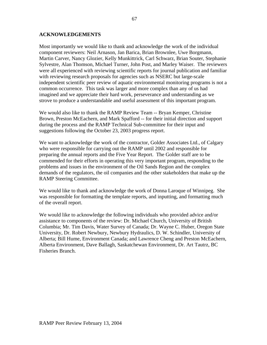## **ACKNOWLEDGEMENTS**

Most importantly we would like to thank and acknowledge the work of the individual component reviewers: Neil Arnason, Jan Barica, Brian Brownlee, Uwe Borgmann, Martin Carver, Nancy Glozier, Kelly Munkittrick, Carl Schwarz, Brian Souter, Stephanie Sylvestre, Alan Thomson, Michael Turner, John Post, and Marley Waiser. The reviewers were all experienced with reviewing scientific reports for journal publication and familiar with reviewing research proposals for agencies such as NSERC but large-scale independent scientific peer review of aquatic environmental monitoring programs is not a common occurrence. This task was larger and more complex than any of us had imagined and we appreciate their hard work, perseverance and understanding as we strove to produce a understandable and useful assessment of this important program.

We would also like to thank the RAMP Review Team -- Bryan Kemper, Christine Brown, Preston McEachern, and Mark Spafford -- for their initial direction and support during the process and the RAMP Technical Sub-committee for their input and suggestions following the October 23, 2003 progress report.

We want to acknowledge the work of the contractor, Golder Associates Ltd., of Calgary who were responsible for carrying out the RAMP until 2002 and responsible for preparing the annual reports and the Five Year Report. The Golder staff are to be commended for their efforts in operating this very important program, responding to the problems and issues in the environment of the Oil Sands Region and the complex demands of the regulators, the oil companies and the other stakeholders that make up the RAMP Steering Committee.

We would like to thank and acknowledge the work of Donna Laroque of Winnipeg. She was responsible for formatting the template reports, and inputting, and formatting much of the overall report.

We would like to acknowledge the following individuals who provided advice and/or assistance to components of the review: Dr. Michael Church, University of British Columbia; Mr. Tim Davis, Water Survey of Canada; Dr. Wayne C. Huber, Oregon State University, Dr. Robert Newbury, Newbury Hydraulics, D. W. Schindler, University of Alberta; Bill Hume, Environment Canada; and Lawrence Cheng and Preston McEachern, Alberta Environment, Dave Ballagh, Saskatchewan Environment, Dr. Art Tautrz, BC Fisheries Branch.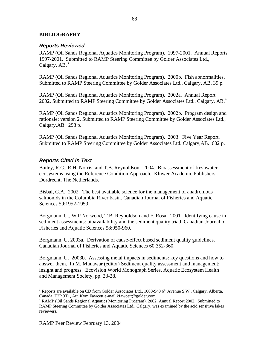## **BIBLIOGRAPHY**

## *Reports Reviewed*

RAMP (Oil Sands Regional Aquatics Monitoring Program). 1997-2001. Annual Reports 1997-2001. Submitted to RAMP Steering Committee by Golder Associates Ltd., Calgary,  $AB<sup>3</sup>$ 

RAMP (Oil Sands Regional Aquatics Monitoring Program). 2000b. Fish abnormalities. Submitted to RAMP Steering Committee by Golder Associates Ltd., Calgary, AB. 39 p.

RAMP (Oil Sands Regional Aquatics Monitoring Program). 2002a. Annual Report 2002. Submitted to RAMP Steering Committee by Golder Associates Ltd., Calgary, AB.<sup>4</sup>

RAMP (Oil Sands Regional Aquatics Monitoring Program). 2002b. Program design and rationale: version 2. Submitted to RAMP Steering Committee by Golder Associates Ltd., Calgary,AB. 298 p.

RAMP (Oil Sands Regional Aquatics Monitoring Program). 2003. Five Year Report. Submitted to RAMP Steering Committee by Golder Associates Ltd. Calgary,AB. 602 p.

## *Reports Cited in Text*

Bailey, R.C., R.H. Norris, and T.B. Reynoldson. 2004. Bioassessment of freshwater ecosystems using the Reference Condition Approach. Kluwer Academic Publishers, Dordrecht, The Netherlands.

Bisbal, G.A. 2002. The best available science for the management of anadromous salmonids in the Columbia River basin. Canadian Journal of Fisheries and Aquatic Sciences 59:1952-1959.

Borgmann, U., W.P Norwood, T.B. Reynoldson and F. Rosa. 2001. Identifying cause in sediment assessments: bioavailability and the sediment quality triad. Canadian Journal of Fisheries and Aquatic Sciences 58:950-960.

Borgmann, U. 2003a. Derivation of cause-effect based sediment quality guidelines. Canadian Journal of Fisheries and Aquatic Sciences 60:352-360.

Borgmann, U. 2003b. Assessing metal impacts in sediments: key questions and how to answer them. In M. Munawar (editor) Sediment quality assessment and management: insight and progress. Ecovision World Monograph Series, Aquatic Ecosystem Health and Management Society, pp. 23-28.

 $\overline{a}$ 

<sup>&</sup>lt;sup>3</sup> Reports are available on CD from Golder Associates Ltd., 1000-940  $6<sup>th</sup>$  Avenue S.W., Calgary, Alberta, Canada, T2P 3T1, Att. Kym Fawcett e-mail kfawcett@golder.com 4

RAMP (Oil Sands Regional Aquatics Monitoring Program). 2002. Annual Report 2002. Submitted to RAMP Steering Committee by Golder Associates Ltd., Calgary, was examined by the acid sensitive lakes reviewers.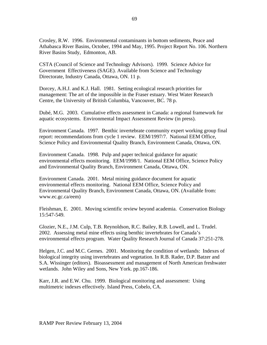Crosley, R.W. 1996. Environmental contaminants in bottom sediments, Peace and Athabasca River Basins, October, 1994 and May, 1995. Project Report No. 106. Northern River Basins Study, Edmonton, AB.

CSTA (Council of Science and Technology Advisors). 1999. Science Advice for Government Effectiveness (SAGE). Available from Science and Technology Directorate, Industry Canada, Ottawa, ON. 11 p.

Dorcey, A.H.J. and K.J. Hall. 1981. Setting ecological research priorities for management: The art of the impossible in the Fraser estuary. West Water Research Centre, the University of British Columbia, Vancouver, BC. 78 p.

Dubé, M.G. 2003. Cumulative effects assessment in Canada: a regional framework for aquatic ecosystems. Environmental Impact Assessment Review (in press).

Environment Canada. 1997. Benthic invertebrate community expert working group final report: recommendations from cycle 1 review. EEM/1997/7. National EEM Office, Science Policy and Environmental Quality Branch, Environment Canada, Ottawa, ON.

Environment Canada. 1998. Pulp and paper technical guidance for aquatic environmental effects monitoring. EEM/1998/1. National EEM Office, Science Policy and Environmental Quality Branch, Environment Canada, Ottawa, ON.

Environment Canada. 2001. Metal mining guidance document for aquatic environmental effects monitoring. National EEM Office, Science Policy and Environmental Quality Branch, Environment Canada, Ottawa, ON. (Available from: www.ec.gc.ca/eem)

Fleishman, E. 2001. Moving scientific review beyond academia. Conservation Biology 15:547-549.

Glozier, N.E., J.M. Culp, T.B. Reynoldson, R.C. Bailey, R.B. Lowell, and L. Trudel. 2002. Assessing metal mine effects using benthic invertebrates for Canada's environmental effects program. Water Quality Research Journal of Canada 37:251-278.

Helgen, J.C. and M.C. Gernes. 2001. Monitoring the condition of wetlands: Indexes of biological integrity using invertebrates and vegetation. In R.B. Rader, D.P. Batzer and S.A. Wissinger (editors). Bioassessment and management of North American freshwater wetlands. John Wiley and Sons, New York. pp.167-186.

Karr, J.R. and E.W. Chu. 1999. Biological monitoring and assessment: Using multimetric indexes effectively. Island Press, Cobelo, CA.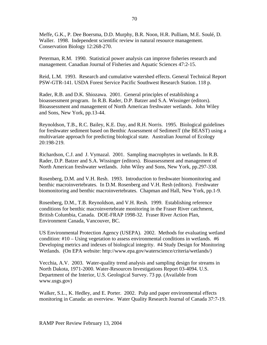Meffe, G.K., P. Dee Boersma, D.D. Murphy, B.R. Noon, H.R. Pulliam, M.E. Soulé, D. Waller. 1998. Independent scientific review in natural resource management. Conservation Biology 12:268-270.

Peterman, R.M. 1990. Statistical power analysis can improve fisheries research and management. Canadian Journal of Fisheries and Aquatic Sciences 47:2-15.

Reid, L.M. 1993. Research and cumulative watershed effects. General Technical Report PSW-GTR-141. USDA Forest Service Pacific Southwest Research Station. 118 p.

Rader, R.B. and D.K. Shiozawa. 2001. General principles of establishing a bioassessment program. In R.B. Rader, D.P. Batzer and S.A. Wissinger (editors). Bioassessment and management of North American freshwater wetlands. John Wiley and Sons, New York, pp.13-44.

Reynoldson, T.B., R.C. Bailey, K.E. Day, and R.H. Norris. 1995. Biological guidelines for freshwater sediment based on Benthic Assessment of SedimenT (the BEAST) using a multivariate approach for predicting biological state. Australian Journal of Ecology 20:198-219.

Richardson, C.J. and J. Vymazal. 2001. Sampling macrophytes in wetlands. In R.B. Rader, D.P. Batzer and S.A. Wissinger (editors). Bioassessment and management of North American freshwater wetlands. John Wiley and Sons, New York, pp.297-338.

Rosenberg, D.M. and V.H. Resh. 1993. Introduction to freshwater biomonitoring and benthic macroinvertebrates. In D.M. Rosenberg and V.H. Resh (editors). Freshwater biomonitoring and benthic macroinvertebrates. Chapman and Hall, New York, pp.1-9.

Rosenberg, D.M., T.B. Reynoldson, and V.H. Resh. 1999. Establishing reference conditions for benthic macroinvertebrate monitoring in the Fraser River catchment, British Columbia, Canada. DOE-FRAP 1998-32. Fraser River Action Plan, Environment Canada, Vancouver, BC.

US Environmental Protection Agency (USEPA). 2002. Methods for evaluating wetland condition: #10 – Using vegetation to assess environmental conditions in wetlands. #6 Developing metrics and indexes of biological integrity. #4 Study Design for Monitoring Wetlands. (On EPA website: http://www.epa.gov/waterscience/criteria/wetlands/)

Vecchia, A.V. 2003. Water-quality trend analysis and sampling design for streams in North Dakota, 1971-2000. Water-Resources Investigations Report 03-4094. U.S. Department of the Interior, U.S. Geological Survey. 73 pp. (Available from www.usgs.gov)

Walker, S.L., K. Hedley, and E. Porter. 2002. Pulp and paper environmental effects monitoring in Canada: an overview. Water Quality Research Journal of Canada 37:7-19.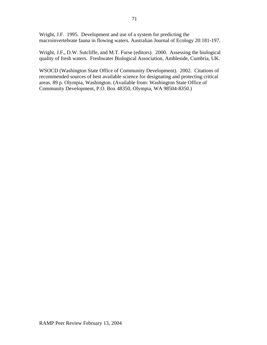Wright, J.F. 1995. Development and use of a system for predicting the macroinvertebrate fauna in flowing waters. Australian Journal of Ecology 20:181-197.

Wright, J.F., D.W. Sutcliffe, and M.T. Furse (editors). 2000. Assessing the biological quality of fresh waters. Freshwater Biological Association, Ambleside, Cumbria, UK.

WSOCD (Washington State Office of Community Development). 2002. Citations of recommended sources of best available science for designating and protecting critical areas. 89 p. Olympia, Washington. (Available from: Washington State Office of Community Development, P.O. Box 48350, Olympia, WA 98504-8350.)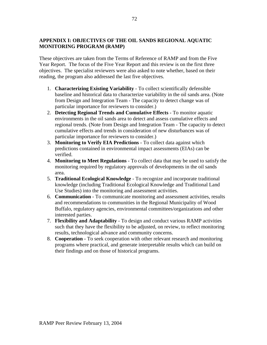## **APPENDIX I: OBJECTIVES OF THE OIL SANDS REGIONAL AQUATIC MONITORING PROGRAM (RAMP)**

These objectives are taken from the Terms of Reference of RAMP and from the Five Year Report. The focus of the Five Year Report and this review is on the first three objectives. The specialist reviewers were also asked to note whether, based on their reading, the program also addressed the last five objectives.

- 1. **Characterizing Existing Variability** To collect scientifically defensible baseline and historical data to characterize variability in the oil sands area. (Note from Design and Integration Team - The capacity to detect change was of particular importance for reviewers to consider.)
- 2. **Detecting Regional Trends and Cumulative Effects** To monitor aquatic environments in the oil sands area to detect and assess cumulative effects and regional trends. (Note from Design and Integration Team - The capacity to detect cumulative effects and trends in consideration of new disturbances was of particular importance for reviewers to consider.)
- 3. **Monitoring to Verify EIA Predictions** To collect data against which predictions contained in environmental impact assessments (EIAs) can be verified.
- 4. **Monitoring to Meet Regulations** To collect data that may be used to satisfy the monitoring required by regulatory approvals of developments in the oil sands area.
- 5. **Traditional Ecological Knowledge** To recognize and incorporate traditional knowledge (including Traditional Ecological Knowledge and Traditional Land Use Studies) into the monitoring and assessment activities.
- 6. **Communication** To communicate monitoring and assessment activities, results and recommendations to communities in the Regional Municipality of Wood Buffalo, regulatory agencies, environmental committees/organizations and other interested parties.
- 7. **Flexibility and Adaptability** To design and conduct various RAMP activities such that they have the flexibility to be adjusted, on review, to reflect monitoring results, technological advance and community concerns.
- 8. **Cooperation** To seek cooperation with other relevant research and monitoring programs where practical, and generate interpretable results which can build on their findings and on those of historical programs.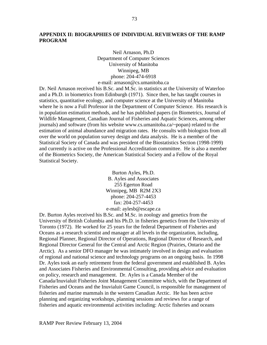## **APPENDIX II: BIOGRAPHIES OF INDIVIDUAL REVIEWERS OF THE RAMP PROGRAM**

Neil Arnason, Ph.D Department of Computer Sciences University of Manitoba Winnipeg, MB phone: 204-474-6918 e-mail: arnason@cs.umanitoba.ca

Dr. Neil Arnason received his B.Sc. and M.Sc. in statistics at the University of Waterloo and a Ph.D. in biometrics from Edinburgh (1971). Since then, he has taught courses in statistics, quantitative ecology, and computer science at the University of Manitoba where he is now a Full Professor in the Department of Computer Science. His research is in population estimation methods, and he has published papers (in Biometrics, Journal of Wildlife Management, Canadian Journal of Fisheries and Aquatic Sciences, among other journals) and software (from his website www.cs.umanitoba.ca/~popan) related to the estimation of animal abundance and migration rates. He consults with biologists from all over the world on population survey design and data analysis. He is a member of the Statistical Society of Canada and was president of the Biostatistics Section (1998-1999) and currently is active on the Professional Accreditation committee. He is also a member of the Biometrics Society, the American Statistical Society and a Fellow of the Royal Statistical Society.

> Burton Ayles, Ph.D. B. Ayles and Associates 255 Egerton Road Winnipeg, MB R2M 2X3 phone: 204-257-4453 fax: 204-257-4453 e-mail: aylesb@escape.ca

Dr. Burton Ayles received his B.Sc. and M.Sc. in zoology and genetics from the University of British Columbia and his Ph.D. in fisheries genetics from the University of Toronto (1972). He worked for 25 years for the federal Department of Fisheries and Oceans as a research scientist and manager at all levels in the organization, including, Regional Planner, Regional Director of Operations, Regional Director of Research, and Regional Director General for the Central and Arctic Region (Prairies, Ontario and the Arctic). As a senior DFO manager he was intimately involved in design and evaluation of regional and national science and technology programs on an ongoing basis. In 1998 Dr. Ayles took an early retirement from the federal government and established B. Ayles and Associates Fisheries and Environmental Consulting, providing advice and evaluation on policy, research and management. Dr. Ayles is a Canada Member of the Canada/Inuvialuit Fisheries Joint Management Committee which, with the Department of Fisheries and Oceans and the Inuvialuit Game Council, is responsible for management of fisheries and marine mammals in the western Canadian Arctic. He has been active planning and organizing workshops, planning sessions and reviews for a range of fisheries and aquatic environmental activities including: Arctic fisheries and oceans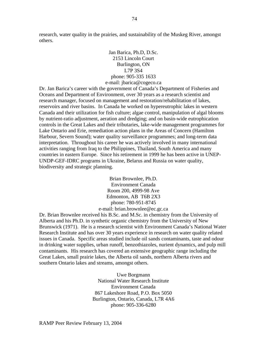research, water quality in the prairies, and sustainability of the Muskeg River, amongst others.

> Jan Barica, Ph.D, D.Sc. 2153 Lincoln Court Burlington, ON L7P 3S4 phone: 905-335 1633 e-mail: jbarica@cogeco.ca

Dr. Jan Barica's career with the government of Canada's Department of Fisheries and Oceans and Department of Environment, over 30 years as a research scientist and research manager, focused on management and restoration/rehabilitation of lakes, reservoirs and river basins. In Canada he worked on hypereutrophic lakes in western Canada and their utilization for fish culture; algae control, manipulation of algal blooms by nutrient-ratio adjustment, aeration and dredging; and on basin-wide eutrophication controls in the Great Lakes and their tributaries, lake-wide management programmes for Lake Ontario and Erie, remediation action plans in the Areas of Concern (Hamilton Harbour, Severn Sound); water quality surveillance programmes; and long-term data interpretation. Throughout his career he was actively involved in many international activities ranging from Iraq to the Philippines, Thailand, South America and many countries in eastern Europe. Since his retirement in 1999 he has been active in UNEP-UNDP-GEF-IDRC programs in Ukraine, Belarus and Russia on water quality, biodiversity and strategic planning.

> Brian Brownlee, Ph.D. Environment Canada Room 200, 4999-98 Ave Edmonton, AB T6B 2X3 phone: 780-951-8745 e-mail: brian.brownlee@ec.gc.ca

Dr. Brian Brownlee received his B.Sc. and M.Sc. in chemistry from the University of Alberta and his Ph.D. in synthetic organic chemistry from the University of New Brunswick (1971). He is a research scientist with Environment Canada's National Water Research Institute and has over 30 years experience in research on water quality related issues in Canada. Specific areas studied include oil sands contaminants, taste and odour in drinking water supplies, urban runoff, benzothiazoles, nurient dynamics, and pulp mill contaminants. His research has covered an extensive geographic range including the Great Lakes, small prairie lakes, the Alberta oil sands, northern Alberta rivers and southern Ontario lakes and streams, amongst others.

> Uwe Borgmann National Water Research Institute Environment Canada 867 Lakeshore Road, P.O. Box 5050 Burlington, Ontario, Canada, L7R 4A6 phone: 905-336-6280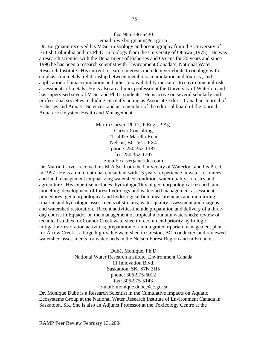#### fax: 905-336-6430 email: uwe.borgmann@ec.gc.ca

Dr. Borgmann received his M.Sc. in zoology and oceanography from the University of British Columbia and his Ph.D. in biology from the University of Ottawa (1975). He was a research scientist with the Department of Fisheries and Oceans for 20 years and since 1996 he has been a research scientist with Environment Canada's, National Water Research Institute. His current research interests include invertebrate toxicology with emphasis on metals; relationship between metal bioaccumulation and toxicity; and application of bioaccumulation and other bioavailability measures to environmental risk assessments of metals. He is also an adjunct professor at the University of Waterloo and has supervised several M.Sc. and Ph.D. students. He is active on several scholarly and professional societies including currently acting as Associate Editor, Canadian Journal of Fisheries and Aquatic Sciences, and as a member of the editorial board of the journal, Aquatic Ecosystem Health and Management.

> Martin Carver, Ph.D., P.Eng., P.Ag. Carver Consulting #1 - 4925 Marello Road Nelson, BC. V1L 6X4 phone: 250 352-1187 fax: 250 352-1197 e-mail: carver@netidea.com

Dr. Martin Carver received his M.A.Sc. from the University of Waterloo, and his Ph.D. in 1997. He is an international consultant with 13 years' experience in water resources and land management emphasizing watershed condition, water quality, forestry and agriculture. His expertise includes: hydrologic/fluvial geomorphological research and modeling; development of forest hydrology and watershed management assessment procedures; geomorphological and hydrological field measurements and monitoring; riparian and hydrologic assessments of streams; water quality assessment and diagnosis and watershed restoration. Recent activities include preparation and delivery of a threeday course in Equador on the management of tropical mountain watersheds; review of technical studies for Connor Creek watershed to recommend priority hydrologic mitigation/restoration activities; preparation of an integrated riparian management plan for Arrow Creek – a large high-value watershed in Creston, BC; conducted and reviewed watershed assessments for watersheds in the Nelson Forest Region and in Ecuador.

> Dubé, Monique, Ph.D National Water Research Institute, Environment Canada 11 Innovation Blvd. Saskatoon, SK S7N 3H5 phone: 306-975-6012 fax: 306-975-5143 e-mail: monique.dube@ec.gc.ca

Dr. Monique Dubé is a Research Scientist in the Cumulative Impacts on Aquatic Ecosystems Group at the National Water Research Institute of Environment Canada in Saskatoon, SK. She is also an Adjunct Professor at the Toxicology Centre at the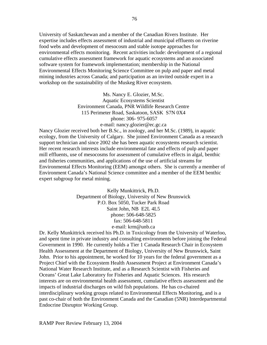University of Saskatchewan and a member of the Canadian Rivers Institute. Her expertise includes effects assessment of industrial and municipal effluents on riverine food webs and development of mesocosm and stable isotope approaches for environmental effects monitoring. Recent activities include: development of a regional cumulative effects assessment framework for aquatic ecosystems and an associated software system for framework implementation; membership in the National Environmental Effects Monitoring Science Committee on pulp and paper and metal mining industries across Canada; and participation as an invited outside expert in a workshop on the sustainability of the Muskeg River ecosystem.

> Ms. Nancy E. Glozier, M.Sc. Aquatic Ecosystems Scientist Environment Canada, PNR Wildlife Research Centre 115 Perimeter Road, Saskatoon, SASK S7N 0X4 phone: 306- 975-6057

#### e-mail: nancy.glozier@ec.gc.ca

Nancy Glozier received both her B.Sc., in zoology, and her M.Sc. (1989), in aquatic ecology, from the University of Calgary. She joined Environment Canada as a research support technician and since 2002 she has been aquatic ecosystems research scientist. Her recent research interests include environmental fate and effects of pulp and paper mill effluents, use of mesocosms for assessment of cumulative effects in algal, benthic and fisheries communities, and applications of the use of artificial streams for Environmental Effects Monitoring (EEM) amongst others. She is currently a member of Environment Canada's National Science committee and a member of the EEM benthic expert subgroup for metal mining.

> Kelly Munkittrick, Ph.D. Department of Biology, University of New Brunswick P.O. Box 5050, Tucker Park Road Saint John, NB E2L 4L5 phone: 506-648-5825 fax: 506-648-5811 e-mail: krm@unb.ca

Dr. Kelly Munkittrick received his Ph.D. in Toxicology from the University of Waterloo, and spent time in private industry and consulting environments before joining the Federal Government in 1990. He currently holds a Tier 1 Canada Research Chair in Ecosystem Health Assessment at the Department of Biology, University of New Brunswick, Saint John. Prior to his appointment, he worked for 10 years for the federal government as a Project Chief with the Ecosystem Health Assessment Project at Environment Canada's National Water Research Institute, and as a Research Scientist with Fisheries and Oceans' Great Lake Laboratory for Fisheries and Aquatic Sciences. His research interests are on environmental health assessment, cumulative effects assessment and the impacts of industrial discharges on wild fish populations. He has co-chaired interdisciplinary working groups related to Environmental Effects Monitoring, and is a past co-chair of both the Environment Canada and the Canadian (5NR) Interdepartmental Endocrine Disruptor Working Group.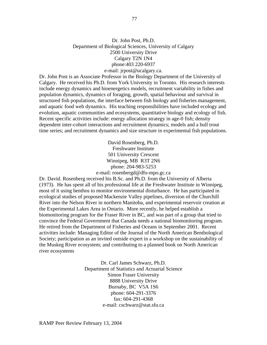## Dr. John Post, Ph.D. Department of Biological Sciences, University of Calgary 2500 University Drive Calgary T2N 1N4 phone:403 220-6937 e-mail: jrpost@ucalgary.ca.

Dr. John Post is an Associate Professor in the Biology Department of the University of Calgary. He received his Ph.D. from York University in Toronto. His research interests include energy dynamics and bioenergetics models, recruitment variability in fishes and population dynamics, dynamics of foraging, growth, spatial behaviour and survival in structured fish populations, the interface between fish biology and fisheries management, and aquatic food web dynamics. His teaching responsibilities have included ecology and evolution, aquatic communities and ecosystems, quantitative biology and ecology of fish. Recent specific activities include: energy allocation strategy in age-0 fish; density dependent inter-cohort interactions and recruitment dynamics; models and a bull trout time series; and recruitment dynamics and size structure in experimental fish populations.

> David Rosenberg, Ph.D. Freshwater Institute 501 University Crescent Winnipeg, MB R3T 2N6 phone: 204-983-5253 e-mail: rosenbergd@dfo-mpo.gc.ca

Dr. David. Rosenberg received his B.Sc. and Ph.D. from the University of Alberta (1973). He has spent all of his professional life at the Freshwater Institute in Winnipeg, most of it using benthos to monitor environmental disturbance. He has participated in ecological studies of proposed Mackenzie Valley pipelines, diversion of the Churchill River into the Nelson River in northern Manitoba, and experimental reservoir creation at the Experimental Lakes Area in Ontario. More recently, he helped establish a biomonitoring program for the Fraser River in BC, and was part of a group that tried to convince the Federal Government that Canada needs a national biomonitoring program. He retired from the Department of Fisheries and Oceans in September 2001. Recent activities include: Managing Editor of the Journal of the North American Benthological Society; participation as an invited outside expert in a workshop on the sustainability of the Muskeg River ecosystem; and contributing to a planned book on North American river ecosystems

> Dr. Carl James Schwarz, Ph.D. Department of Statistics and Actuarial Science Simon Fraser University 8888 University Drive Burnaby, BC V5A 1S6 phone: 604-291-3376 fax: 604-291-4368 e-mail: cschwarz@stat.sfu.ca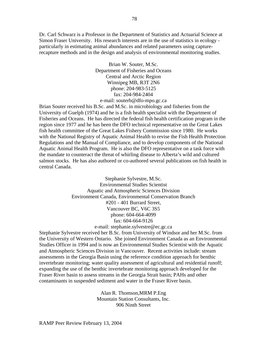Dr. Carl Schwarz is a Professor in the Department of Statistics and Actuarial Science at Simon Fraser University. His research interests are in the use of statistics in ecology particularly in estimating animal abundances and related parameters using capturerecapture methods and in the design and analysis of environmental monitoring studies.

> Brian W. Souter, M.Sc. Department of Fisheries and Oceans Central and Arctic Region Winnipeg MB, R3T 2N6 phone: 204-983-5125 fax: 204-984-2404 e-mail: souterb@dfo-mpo.gc.ca

Brian Souter received his B.Sc. and M.Sc. in microbiology and fisheries from the University of Guelph (1974) and he is a fish health specialist with the Department of Fisheries and Oceans. He has directed the federal fish health certification program in the region since 1977 and he has been the DFO technical representative on the Great Lakes fish health committee of the Great Lakes Fishery Commission since 1980. He works with the National Registry of Aquatic Animal Health to revise the Fish Health Protection Regulations and the Manual of Compliance, and to develop components of the National Aquatic Animal Health Program. He is also the DFO representative on a task force with the mandate to counteract the threat of whirling disease to Alberta's wild and cultured salmon stocks. He has also authored or co-authored several publications on fish health in central Canada.

> Stephanie Sylvestre, M.Sc. Environmental Studies Scientist Aquatic and Atmospheric Sciences Division Environment Canada, Environmental Conservation Branch #201 - 401 Burrard Street, Vancouver BC, V6C 3S5 phone: 604-664-4099 fax: 604-664-9126 e-mail: stephanie.sylvestre@ec.gc.ca

Stephanie Sylvestre received her B.Sc. from University of Windsor and her M.Sc. from the University of Western Ontario. She joined Environment Canada as an Environmental Studies Officer in 1994 and is now an Environmental Studies Scientist with the Aquatic and Atmospheric Sciences Division in Vancouver. Recent activities include: stream assessments in the Georgia Basin using the reference condition approach for benthic invertebrate monitoring; water quality assessment of agricultural and residential runoff; expanding the use of the benthic invertebrate monitoring approach developed for the Fraser River basin to assess streams in the Georgia Strait basin; PAHs and other contaminants in suspended sediment and water in the Fraser River basin.

> Alan R. Thomson,MRM P.Eng Mountain Station Consultants, Inc. 906 Ninth Street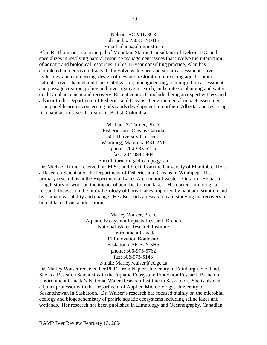Alan R. Thomson, is a principal of Mountain Station Consultants of Nelson, BC, and specializes in resolving natural resource management issues that involve the interaction of aquatic and biological resources. In his 11-year consulting practice, Alan has completed numerous contracts that involve watershed and stream assessments, river hydrology and engineering, design of new and restoration of existing aquatic biota habitats, river channel and bank stabilization, bioengineering, fish migration assessment and passage creation, policy and investigative research, and strategic planning and water quality enhancement and recovery. Recent contracts include: being an expert witness and advisor to the Department of Fisheries and Oceans at environmental impact assessment joint panel hearings concerning oils sands development in northern Alberta, and restoring fish habitats in several streams in British Columbia.

> Michael A. Turner, Ph.D. Fisheries and Oceans Canada 501 University Crescent, Winnipeg, Manitoba R3T 2N6 phone: 204-983-5215 fax: 204-984-2404 e-mail: turnermi@dfo-mpo.gc.ca

Dr. Michael Turner received his M.Sc. and Ph.D. from the University of Manitoba. He is a Research Scientist of the Department of Fisheries and Oceans in Winnipeg. His primary research is at the Experimental Lakes Area in northwestern Ontario. He has a long history of work on the impact of acidification on lakes. His current limnological research focuses on the littoral ecology of boreal lakes impacted by habitat disruption and by climate variability and change. He also leads a research team studying the recovery of boreal lakes from acidification.

> Marley Waiser, Ph.D. Aquatic Ecosystem Impacts Research Branch National Water Research Institute Environment Canada 11 Innovation Boulevard Saskatoon, SK S7N 3H5 phone: 306-975-5762 fax: 306-975-5143 e-mail: Marley.waiser@ec.gc.ca

Dr. Marley Waiser received her Ph.D. from Napier University in Edinburgh, Scotland. She is a Research Scientist with the Aquatic Ecosystem Protection Research Branch of Environment Canada's National Water Research Institute in Saskatoon. She is also an adjunct professor with the Department of Applied Microbiology, University of Saskatchewan in Saskatoon. Dr. Waiser's research has focused mainly on the microbial ecology and biogeochemistry of prairie aquatic ecosystems including saline lakes and wetlands. Her research has been published in Limnology and Oceanography, Canadian

RAMP Peer Review February 13, 2004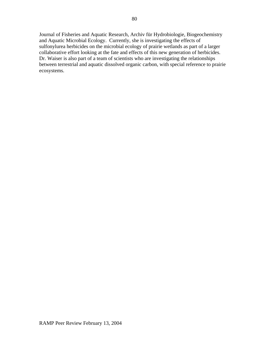Journal of Fisheries and Aquatic Research, Archiv für Hydrobiologie, Biogeochemistry and Aquatic Microbial Ecology. Currently, she is investigating the effects of sulfonylurea herbicides on the microbial ecology of prairie wetlands as part of a larger collaborative effort looking at the fate and effects of this new generation of herbicides. Dr. Waiser is also part of a team of scientists who are investigating the relationships between terrestrial and aquatic dissolved organic carbon, with special reference to prairie ecosystems.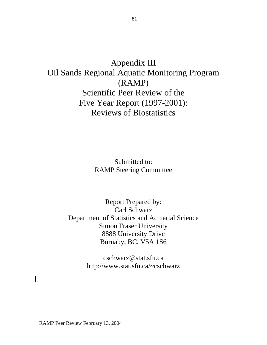# Appendix III Oil Sands Regional Aquatic Monitoring Program (RAMP) Scientific Peer Review of the Five Year Report (1997-2001): Reviews of Biostatistics

Submitted to: RAMP Steering Committee

Report Prepared by: Carl Schwarz Department of Statistics and Actuarial Science Simon Fraser University 8888 University Drive Burnaby, BC, V5A 1S6

> cschwarz@stat.sfu.ca http://www.stat.sfu.ca/~cschwarz

RAMP Peer Review February 13, 2004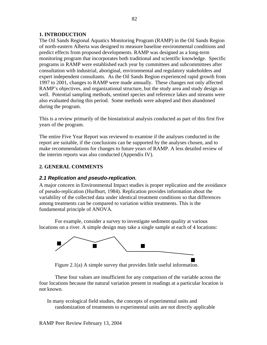## **1. INTRODUCTION**

The Oil Sands Regional Aquatics Monitoring Program (RAMP) in the Oil Sands Region of north-eastern Alberta was designed to measure baseline environmental conditions and predict effects from proposed developments. RAMP was designed as a long-term monitoring program that incorporates both traditional and scientific knowledge. Specific programs in RAMP were established each year by committees and subcommittees after consultation with industrial, aboriginal, environmental and regulatory stakeholders and expert independent consultants. As the Oil Sands Region experienced rapid growth from 1997 to 2001, changes to RAMP were made annually. These changes not only affected RAMP's objectives, and organizational structure, but the study area and study design as well. Potential sampling methods, sentinel species and reference lakes and streams were also evaluated during this period. Some methods were adopted and then abandoned during the program.

This is a review primarily of the biostatistical analysis conducted as part of this first five years of the program.

The entire Five Year Report was reviewed to examine if the analyses conducted in the report are suitable, if the conclusions can be supported by the analyses chosen, and to make recommendations for changes to future years of RAMP. A less detailed review of the interim reports was also conducted (Appendix IV).

## **2. GENERAL COMMENTS**

## *2.1 Replication and pseudo-replication.*

A major concern in Environmental Impact studies is proper replication and the avoidance of pseudo-replication (Hurlburt, 1984). Replication provides information about the variability of the collected data under identical treatment conditions so that differences among treatments can be compared to variation within treatments. This is the fundamental principle of ANOVA.

For example, consider a survey to investigate sediment quality at various locations on a river. A simple design may take a single sample at each of 4 locations:



Figure 2.1(a) A simple survey that provides little useful information.

These four values are insufficient for any comparison of the variable across the four locations because the natural variation present in readings at a particular location is not known.

In many ecological field studies, the concepts of experimental units and randomization of treatments to experimental units are not directly applicable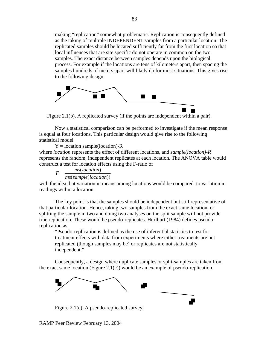making "replication" somewhat problematic. Replication is consequently defined as the taking of multiple INDEPENDENT samples from a particular location. The replicated samples should be located sufficiently far from the first location so that local influences that are site specific do not operate in common on the two samples. The exact distance between samples depends upon the biological process. For example if the locations are tens of kilometers apart, then spacing the samples hundreds of meters apart will likely do for most situations. This gives rise to the following design:



Figure 2.1(b). A replicated survey (if the points are independent within a pair).

Now a statistical comparison can be performed to investigate if the mean response is equal at four locations. This particular design would give rise to the following statistical model

 $Y =$ location sample(location)-R where *location* represents the effect of different locations, and *sample(location)-R* represents the random, independent replicates at each location. The ANOVA table would construct a test for location effects using the F-ratio of

 $F = \frac{ms(location)}{ms(bcation)}$ *ms*(*sample*(*location*))

with the idea that variation in means among locations would be compared to variation in readings within a location.

The key point is that the samples should be independent but still representative of that particular location. Hence, taking two samples from the exact same location, or splitting the sample in two and doing two analyses on the split sample will not provide true replication. These would be pseudo-replicates. Hurlburt (1984) defines pseudoreplication as

"Pseudo-replication is defined as the use of inferential statistics to test for treatment effects with data from experiments where either treatments are not replicated (though samples may be) or replicates are not statistically independent."

Consequently, a design where duplicate samples or split-samples are taken from the exact same location (Figure 2.1(c)) would be an example of pseudo-replication.



Figure 2.1(c). A pseudo-replicated survey.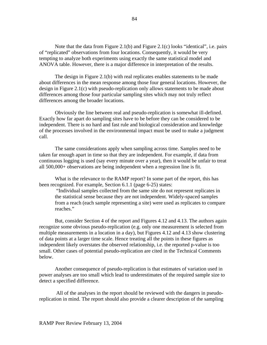Note that the data from Figure 2.1(b) and Figure 2.1(c) looks "identical", i.e. pairs of "replicated" observations from four locations. Consequently, it would be very tempting to analyze both experiments using exactly the same statistical model and ANOVA table. However, there is a major difference in interpretation of the results.

The design in Figure 2.1(b) with real replicates enables statements to be made about differences in the mean response among those four general locations. However, the design in Figure 2.1(c) with pseudo-replication only allows statements to be made about differences among those four particular sampling sites which may not truly reflect differences among the broader locations.

Obviously the line between real and pseudo-replication is somewhat ill-defined. Exactly how far apart do sampling sites have to be before they can be considered to be independent. There is no hard and fast rule and biological consideration and knowledge of the processes involved in the environmental impact must be used to make a judgment call.

The same considerations apply when sampling across time. Samples need to be taken far enough apart in time so that they are independent. For example, if data from continuous logging is used (say every minute over a year), then it would be unfair to treat all 500,000+ observations are being independent when a regression line is fit.

What is the relevance to the RAMP report? In some part of the report, this has been recognized. For example, Section 6.1.1 (page 6-25) states:

 "Individual samples collected from the same site do not represent replicates in the statistical sense because they are not independent. Widely-spaced samples from a reach (each sample representing a site) were used as replicates to compare reaches."

But, consider Section 4 of the report and Figures 4.12 and 4.13. The authors again recognize some obvious pseudo-replication (e.g. only one measurement is selected from multiple measurements in a location in a day), but Figures 4.12 and 4.13 show clustering of data points at a larger time scale. Hence treating all the points in these figures as independent likely overstates the observed relationship, i.e. the reported p-value is too small. Other cases of potential pseudo-replication are cited in the Technical Comments below.

Another consequence of pseudo-replication is that estimates of variation used in power analyses are too small which lead to underestimates of the required sample size to detect a specified difference.

 All of the analyses in the report should be reviewed with the dangers in pseudoreplication in mind. The report should also provide a clearer description of the sampling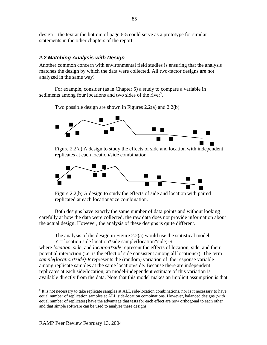design – the text at the bottom of page 6-5 could serve as a prototype for similar statements in the other chapters of the report.

## *2.2 Matching Analysis with Design*

Another common concern with environmental field studies is ensuring that the analysis matches the design by which the data were collected. All two-factor designs are not analyzed in the same way!

For example, consider (as in Chapter 5) a study to compare a variable in sediments among four locations and two sides of the river<sup>5</sup>.

Two possible design are shown in Figures 2.2(a) and 2.2(b)



Figure 2.2(a) A design to study the effects of side and location with independent replicates at each location/side combination.



Figure 2.2(b) A design to study the effects of side and location with paired replicated at each location/size combination.

Both designs have exactly the same number of data points and without looking carefully at how the data were collected, the raw data does not provide information about the actual design. However, the analysis of these designs is quite different.

The analysis of the design in Figure 2.2(a) would use the statistical model  $Y = location side location * side sample (location * side) - R$ 

where *location*, *side*, and *location\*side* represent the effects of location, side, and their potential interaction (i.e. is the effect of side consistent among all locations?). The term *sample(location\*side)-R* represents the (random) variation of the response variable among replicate samples at the same location/side. Because there are independent replicates at each side/location, an model-independent estimate of this variation is available directly from the data. Note that this model makes an implicit assumption is that

 $\overline{a}$ 

<sup>&</sup>lt;sup>5</sup> It is not necessary to take replicate samples at ALL side-location combinations, nor is it necessary to have equal number of replication samples at ALL side-location combinations. However, balanced designs (with equal number of replicates) have the advantage that tests for each effect are now orthogonal to each other and that simple software can be used to analyze these designs.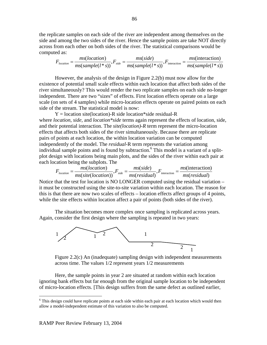the replicate samples on each side of the river are independent among themselves on the side and among the two sides of the river. Hence the sample points are take NOT directly across from each other on both sides of the river. The statistical comparisons would be computed as:

$$
F_{location} = \frac{ms(location)}{ms(sample(1*s))}, F_{side} = \frac{ms(side)}{ms(sample(1*s))}, F_{interaction} = \frac{ms(intreaction)}{ms(sample(1*s))}
$$

However, the analysis of the design in Figure 2.2(b) must now allow for the existence of potential small scale effects within each location that affect both sides of the river simultaneously? This would render the two replicate samples on each side no-longer independent. There are two "sizes" of effects. First location effects operate on a large scale (on sets of 4 samples) while micro-location effects operate on paired points on each side of the stream. The statistical model is now:

 $Y =$  location site(location)-R side location\*side residual-R where *location*, *side,* and *location\*side* terms again represent the effects of location, side, and their potential interaction. The *site(location)-R* term represent the micro-location effects that affects both sides of the river simultaneously. Because there are replicate pairs of points at each location, the within location variation can be computed independently of the model. The *residual-*R term represents the variation among individual sample points and is found by subtraction.<sup>6</sup> This model is a variant of a splitplot design with locations being main plots, and the sides of the river within each pair at each location being the subplots. The

$$
F_{location} = \frac{ms(location)}{ms(size(location))}, F_{side} = \frac{ms(side)}{ms(residual)}, F_{interaction} = \frac{ms(intreaction)}{ms(residual)}
$$

Notice that the test for location is NO LONGER computed using the residual variation – it must be constructed using the site-to-site variation within each location. The reason for this is that there are now two scales of effects – location effects affect groups of 4 points, while the site effects within location affect a pair of points (both sides of the river).

The situation becomes more complex once sampling is replicated across years. Again, consider the first design where the sampling is repeated in two years:



Figure 2.2(c) An (inadequate) sampling design with independent measurements across time. The values 1/2 represent years 1/2 measurements

Here, the sample points in year 2 are situated at random within each location ignoring bank effects but far enough from the original sample location to be independent of micro-location effects. [This design suffers from the same defect as outlined earlier,

1

<sup>&</sup>lt;sup>6</sup> This design could have replicate points at each side within each pair at each location which would then allow a model-independent estimate of this variation to also be computed.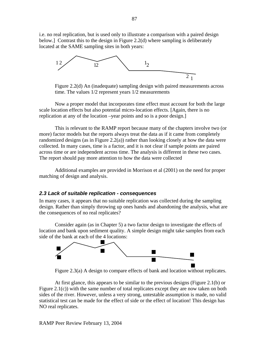i.e. no real replication, but is used only to illustrate a comparison with a paired design below.] Contrast this to the design in Figure 2.2(d) where sampling is deliberately located at the SAME sampling sites in both years:



Figure 2.2(d) An (inadequate) sampling design with paired measurements across time. The values 1/2 represent years 1/2 measurements

Now a proper model that incorporates time effect must account for both the large scale location effects but also potential micro-location effects. [Again, there is no replication at any of the location –year points and so is a poor design.]

 This is relevant to the RAMP report because many of the chapters involve two (or more) factor models but the reports always treat the data as if it came from completely randomized designs (as in Figure 2.2(a)) rather than looking closely at how the data were collected. In many cases, time is a factor, and it is not clear if sample points are paired across time or are independent across time. The analysis is different in these two cases. The report should pay more attention to how the data were collected

 Additional examples are provided in Morrison et al (2001) on the need for proper matching of design and analysis.

#### *2.3 Lack of suitable replication - consequences*

In many cases, it appears that no suitable replication was collected during the sampling design. Rather than simply throwing up ones hands and abandoning the analysis, what are the consequences of no real replicates?

Consider again (as in Chapter 5) a two factor design to investigate the effects of location and bank upon sediment quality. A simple design might take samples from each side of the bank at each of the 4 locations:



Figure 2.3(a) A design to compare effects of bank and location without replicates.

At first glance, this appears to be similar to the previous designs (Figure 2.1(b) or Figure  $2.1(c)$ ) with the same number of total replicates except they are now taken on both sides of the river. However, unless a very strong, untestable assumption is made, no valid statistical test can be made for the effect of side or the effect of location! This design has NO real replicates.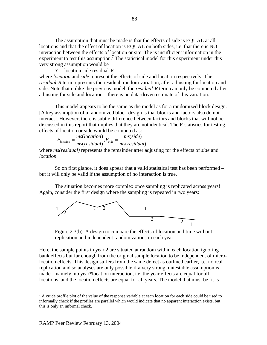The assumption that must be made is that the effects of side is EQUAL at all locations and that the effect of location is EQUAL on both sides, i.e. that there is NO interaction between the effects of location or site. The is insufficient information in the experiment to test this assumption.<sup>7</sup> The statistical model for this experiment under this very strong assumption would be

 $Y =$ location side residual-R where *location* and *side* represent the effects of side and location respectively. The *residual-R* term represents the residual, random variation, after adjusting for location and side. Note that unlike the previous model, the *residual-R* term can only be computed after adjusting for side and location – there is no data-driven estimate of this variation.

This model appears to be the same as the model as for a randomized block design. [A key assumption of a randomized block design is that blocks and factors also do not interact]. However, there is subtle difference between factors and blocks that will not be discussed in this report that implies that they are not identical. The F-statistics for testing effects of location or side would be computed as:

$$
F_{location} = \frac{ms(location)}{ms(residual)}, F_{side} = \frac{ms(side)}{ms(residual)}
$$

where *ms(residual)* represents the remainder after adjusting for the effects of *side* and *location.*

 So on first glance, it does appear that a valid statistical test has been performed – but it will only be valid if the assumption of no interaction is true.

The situation becomes more complex once sampling is replicated across years! Again, consider the first design where the sampling is repeated in two years:



Figure 2.3(b). A design to compare the effects of location and time without replication and independent randomizations in each year.

Here, the sample points in year 2 are situated at random within each location ignoring bank effects but far enough from the original sample location to be independent of microlocation effects. This design suffers from the same defect as outlined earlier, i.e. no real replication and so analyses are only possible if a very strong, untestable assumption is made – namely, no year\*location interaction, i.e. the year effects are equal for all locations, and the location effects are equal for all years. The model that must be fit is

<u>.</u>

 $<sup>7</sup>$  A crude profile plot of the value of the response variable at each location for each side could be used to</sup> informally check if the profiles are parallel which would indicate that no apparent interaction exists, but this is only an informal check.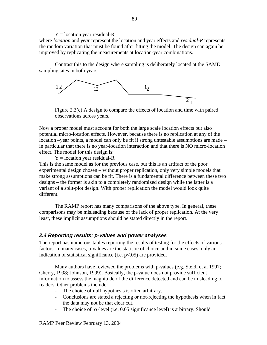#### $Y =$ location year residual-R

where *location* and *year* represent the location and year effects and *residual-R* represents the random variation that must be found after fitting the model. The design can again be improved by replicating the measurements at location-year combinations.

Contrast this to the design where sampling is deliberately located at the SAME sampling sites in both years:



2 Figure 2.3(c) A design to compare the effects of location and time with paired observations across years.

Now a proper model must account for both the large scale location effects but also potential micro-location effects. However, because there is no replication at any of the location –year points, a model can only be fit if strong untestable assumptions are made – in particular that there is no year-location interaction and that there is NO micro-location effect. The model for this design is:

 $Y =$ location year residual-R

This is the same model as for the previous case, but this is an artifact of the poor experimental design chosen – without proper replication, only very simple models that make strong assumptions can be fit. There is a fundamental difference between these two designs – the former is akin to a completely randomized design while the latter is a variant of a split-plot design. With proper replication the model would look quite different.

The RAMP report has many comparisons of the above type. In general, these comparisons may be misleading because of the lack of proper replication. At the very least, these implicit assumptions should be stated directly in the report.

## *2.4 Reporting results; p-values and power analyses*

The report has numerous tables reporting the results of testing for the effects of various factors. In many cases, p-values are the statistic of choice and in some cases, only an indication of statistical significance (i.e. p<.05) are provided.

 Many authors have reviewed the problems with p-values (e.g. Steidl et al 1997; Cherry, 1998; Johnson, 1999). Basically, the p-value does not provide sufficient information to assess the magnitude of the difference detected and can be misleading to readers. Other problems include:

- The choice of null hypothesis is often arbitrary.
- Conclusions are stated a rejecting or not-rejecting the hypothesis when in fact the data may not be that clear cut.
- The choice of  $\alpha$ -level (i.e. 0.05 significance level) is arbitrary. Should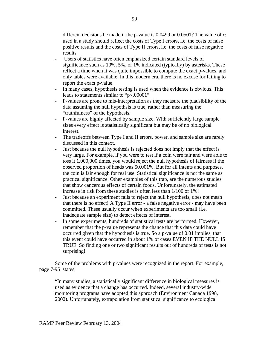different decisions be made if the p-value is 0.0499 or 0.0501? The value of  $\alpha$ used in a study should reflect the costs of Type I errors, i.e. the costs of false positive results and the costs of Type II errors, i.e. the costs of false negative results.

- Users of statistics have often emphasized certain standard levels of significance such as 10%, 5%, or 1% indicated (typically) by asterisks. These reflect a time when it was quite impossible to compute the exact p-values, and only tables were available. In this modern era, there is no excuse for failing to report the exact p-value.
- In many cases, hypothesis testing is used when the evidence is obvious. This leads to statements similar to "p<.00001".
- P-values are prone to mis-interpretation as they measure the plausibility of the data assuming the null hypothsis is true, rather than measuring the "truthfulness" of the hypothesis.
- P-values are highly affected by sample size. With sufficiently large sample sizes every effect is statistically significant but may be of no biological interest.
- The tradeoffs between Type I and II errors, power, and sample size are rarely discussed in this context.
- Just because the null hypothesis is rejected does not imply that the effect is very large. For example, if you were to test if a coin were fair and were able to toss it 1,000,000 times, you would reject the null hypothesis of fairness if the observed proportion of heads was 50.001%. But for all intents and purposes, the coin is fair enough for real use. Statistical significance is not the same as practical significance. Other examples of this trap, are the numerous studies that show cancerous effects of certain foods. Unfortunately, the estimated increase in risk from these studies is often less than 1/100 of 1%!
- Just because an experiment fails to reject the null hypothesis, does not mean that there is no effect! A Type II error - a false negative error - may have been committed. These usually occur when experiments are too small (i.e. inadequate sample size) to detect effects of interest.
- In some experiments, hundreds of statistical tests are performed. However, remember that the p-value represents the chance that this data could have occurred given that the hypothesis is true. So a p-value of 0.01 implies, that this event could have occurred in about 1% of cases EVEN IF THE NULL IS TRUE. So finding one or two significant results out of hundreds of tests is not surprising!

Some of the problems with p-values were recognized in the report. For example, page 7-95 states:

"In many studies, a statistically significant difference in biological measures is used as evidence that a change has occurred. Indeed, several industry-wide monitoring programs have adopted this approach (Environment Canada 1998, 2002). Unfortunately, extrapolation from statistical significance to ecological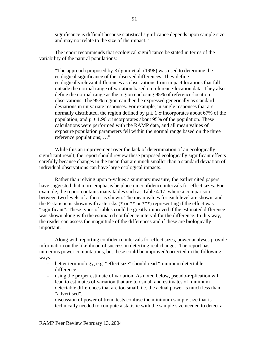significance is difficult because statistical significance depends upon sample size, and may not relate to the size of the impact."

The report recommends that ecological significance be stated in terms of the variability of the natural populations:

"The approach proposed by Kilgour et al*.* (1998) was used to determine the ecological significance of the observed differences. They define ecologicallyrelevant differences as observations from impact locations that fall outside the normal range of variation based on reference-location data. They also define the normal range as the region enclosing 95% of reference-location observations. The 95% region can then be expressed generically as standard deviations in univariate responses. For example, in single responses that are normally distributed, the region defined by  $\mu \pm 1$  σ incorporates about 67% of the population, and  $\mu \pm 1.96 \sigma$  incorporates about 95% of the population. These calculations were performed with the RAMP data, and all mean values of exposure population parameters fell within the normal range based on the three reference populations; …"

While this an improvement over the lack of determination of an ecologically significant result, the report should review these proposed ecologically significant effects carefully because changes in the mean that are much smaller than a standard deviation of individual observations can have large ecological impacts.

Rather than relying upon p-values a summary measure, the earlier cited papers have suggested that more emphasis be place on confidence intervals for effect sizes. For example, the report contains many tables such as Table 4.17, where a comparison between two levels of a factor is shown. The mean values for each level are shown, and the F-statistic is shown with asterisks (\* or \*\*\* or \*\*\*) representing if the effect was "significant". These types of tables could be greatly improved if the estimated difference was shown along with the estimated confidence interval for the difference. In this way, the reader can assess the magnitude of the differences and if these are biologically important.

 Along with reporting confidence intervals for effect sizes, power analyses provide information on the likelihood of success in detecting real changes. The report has numerous power computations, but these could be improved/corrected in the following ways:

- better terminology, e.g. "effect size" should read "minimum detectable difference"
- using the proper estimate of variation. As noted below, pseudo-replication will lead to estimates of variation that are too small and estimates of minimum detectable differences that are too small, i.e. the actual power is much less than "advertised".
- discussion of power of trend tests confuse the minimum sample size that is technically needed to compute a statistic with the sample size needed to detect a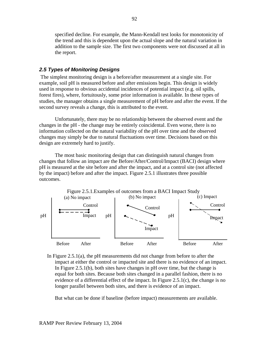specified decline. For example, the Mann-Kendall test looks for monotonicity of the trend and this is dependent upon the actual slope and the natural variation in addition to the sample size. The first two components were not discussed at all in the report.

## *2.5 Types of Monitoring Designs*

 The simplest monitoring design is a before/after measurement at a single site. For example, soil pH is measured before and after emissions begin. This design is widely used in response to obvious accidental incidences of potential impact (e.g. oil spills, forest fires), where, fortuitously, some prior information is available. In these types of studies, the manager obtains a single measurement of pH before and after the event. If the second survey reveals a change, this is attributed to the event.

Unfortunately, there may be no relationship between the observed event and the changes in the pH - the change may be entirely coincidental. Even worse, there is no information collected on the natural variability of the pH over time and the observed changes may simply be due to natural fluctuations over time. Decisions based on this design are extremely hard to justify.

The most basic monitoring design that can distinguish natural changes from changes that follow an impact are the Before/After/Control/Impact (BACI) design where pH is measured at the site before and after the impact, and at a control site (not affected by the impact) before and after the impact. Figure 2.5.1 illustrates three possible outcomes.



In Figure 2.5.1(a), the pH measurements did not change from before to after the impact at either the control or impacted site and there is no evidence of an impact. In Figure 2.5.1(b), both sites have changes in pH over time, but the change is equal for both sites. Because both sites changed in a parallel fashion, there is no evidence of a differential effect of the impact. In Figure 2.5.1(c), the change is no longer parallel between both sites, and there is evidence of an impact.

But what can be done if baseline (before impact) measurements are available.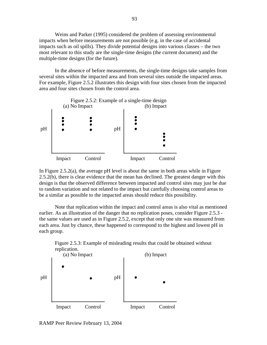Weins and Parker (1995) considered the problem of assessing environmental impacts when before measurements are not possible (e.g. in the case of accidental impacts such as oil spills). They divide potential designs into various classes – the two most relevant to this study are the single-time designs (the current document) and the multiple-time designs (for the future).

In the absence of before measurements, the single-time designs take samples from several sites within the impacted area and from several sites outside the impacted areas. For example, Figure 2.5.2 illustrates this design with four sites chosen from the impacted area and four sites chosen from the control area.



In Figure  $2.5.2(a)$ , the average pH level is about the same in both areas while in Figure 2.5.2(b), there is clear evidence that the mean has declined. The greatest danger with this design is that the observed difference between impacted and control sites may just be due to random variation and not related to the impact but carefully choosing control areas to be a similar as possible to the impacted areas should reduce this possibility.

Note that replication within the impact and control areas is also vital as mentioned earlier. As an illustration of the danger that no replication poses, consider Figure 2.5.3 the same values are used as in Figure 2.5.2, except that only one site was measured from each area. Just by chance, these happened to correspond to the highest and lowest pH in each group.



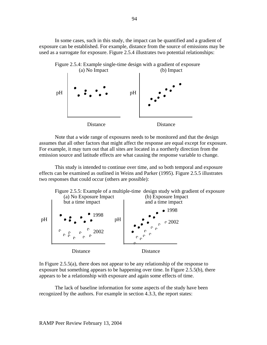In some cases, such in this study, the impact can be quantified and a gradient of exposure can be established. For example, distance from the source of emissions may be used as a surrogate for exposure. Figure 2.5.4 illustrates two potential relationships:



Note that a wide range of exposures needs to be monitored and that the design assumes that all other factors that might affect the response are equal except for exposure. For example, it may turn out that all sites are located in a northerly direction from the emission source and latitude effects are what causing the response variable to change.

This study is intended to continue over time, and so both temporal and exposure effects can be examined as outlined in Weins and Parker (1995). Figure 2.5.5 illustrates two responses that could occur (others are possible):



In Figure 2.5.5(a), there does not appear to be any relationship of the response to exposure but something appears to be happening over time. In Figure 2.5.5(b), there appears to be a relationship with exposure and again some effects of time.

 The lack of baseline information for some aspects of the study have been recognized by the authors. For example in section 4.3.3, the report states: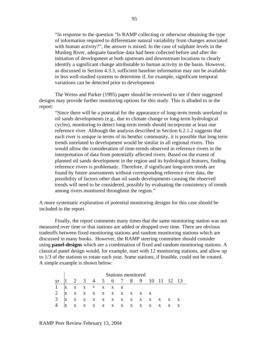"In response to the question "Is RAMP collecting or otherwise obtaining the type of information required to differentiate natural variability from changes associated with human activity?", the answer is mixed. In the case of sulphate levels in the Muskeg River, adequate baseline data had been collected before and after the initiation of development at both upstream and downstream locations to clearly identify a significant change attributable to human activity in the basin. However, as discussed in Section 4.3.3, sufficient baseline information may not be available in less well-studied systems to determine if, for example, significant temporal variations can be detected prior to development.

The Weins and Parker (1995) paper should be reviewed to see if their suggested designs may provide further monitoring options for this study. This is alluded to in the report:

"Since there will be a potential for the appearance of long-term trends unrelated to oil sands developments (e.g., due to climate change or long-term hydrological cycles), monitoring to detect long-term trends should incorporate at least one reference river. Although the analysis described in Section 6.2.1.2 suggests that each river is unique in terms of its benthic community, it is possible that long term trends unrelated to development would be similar in all regional rivers. This would allow the consideration of time-trends observed in reference rivers in the interpretation of data from potentially affected rivers. Based on the extent of planned oil sands development in the region and its hydrological features, finding reference rivers is problematic. Therefore, if significant long-term trends are found by future assessments without corresponding reference river data, the possibility of factors other than oil sands developments causing the observed trends will need to be considered, possibly by evaluating the consistency of trends among rivers monitored throughout the region."

A more systematic exploration of potential monitoring designs for this case should be included in the report.

 Finally, the report comments many times that the same monitoring station was not measured over time or that stations are added or dropped over time. There are obvious tradeoffs between fixed monitoring stations and random monitoring stations which are discussed in many books. However, the RAMP steering committee should consider using **panel-designs** which are a combination of fixed and random monitoring stations. A classical panel design would, for example, start with 12 monitoring stations, and allow up to 1/3 of the stations to rotate each year. Some stations, if feasible, could not be rotated. A simple example is shown below:

|                   | <b>Stations monitored</b> |  |  |  |  |  |  |  |                                   |  |  |  |  |
|-------------------|---------------------------|--|--|--|--|--|--|--|-----------------------------------|--|--|--|--|
|                   |                           |  |  |  |  |  |  |  | yr  1 2 3 4 5 6 7 8 9 10 11 12 13 |  |  |  |  |
| $1$ x x x x x x x |                           |  |  |  |  |  |  |  |                                   |  |  |  |  |
|                   |                           |  |  |  |  |  |  |  |                                   |  |  |  |  |
|                   |                           |  |  |  |  |  |  |  |                                   |  |  |  |  |
|                   |                           |  |  |  |  |  |  |  |                                   |  |  |  |  |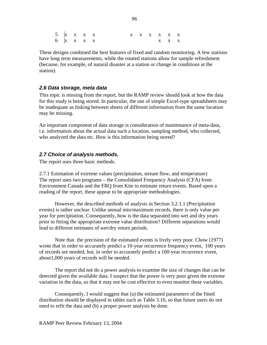5 x x x x x x x x x x x 6 x x x x x x x

These designs combined the best features of fixed and random monitoring. A few stations have long term measurements, while the rotated stations allow for sample refreshment (because, for example, of natural disaster at a station or change in conditions at the station).

## *2.6 Data storage, meta data*

This topic is missing from the report, but the RAMP review should look at how the data for this study is being stored. In particular, the use of simple Excel-type spreadsheets may be inadequate as linking between sheets of different information from the same location may be missing.

An important component of data storage is consideration of maintenance of meta-data, i.e. information about the actual data such a location, sampling method, who collected, who analyzed the data etc. How is this information being stored?

## *2.7 Choice of analysis methods.*

The report uses three basic methods.

2.7.1 Estimation of extreme values (precipitation, stream flow, and temperature) The report uses two programs – the Consolidated Frequency Analysis (CFA) from Environment Canada and the FRQ from Kite to estimate return events. Based upon a reading of the report, these appear to be appropriate methodologies.

However, the described methods of analysis in Section 3.2.1.1 (Precipitation events) is rather unclear. Unlike annual min/maximum records, there is only value per year for precipitation. Consequently, how is the data separated into wet and dry years prior to fitting the appropriate extreme value distribution? Different separations would lead to different estimates of wet/dry return periods.

Note that the precision of the estimated events is lively very poor. Chow (1977) wrote that in order to accurately predict a 10-year recurrence frequency event, 100 years of records are needed, but, in order to accurately predict a 100-year recurrence event, about1,000 years of records will be needed.

The report did not do a power analysis to examine the size of changes that can be detected given the available data. I suspect that the power is very poor given the extreme variation in the data, so that it may not be cost effective to even monitor these variables.

Consequently, I would suggest that (a) the estimated parameters of the fitted distribution should be displayed in tables such as Table 3.10, so that future users do not need to refit the data and (b) a proper power analysis be done.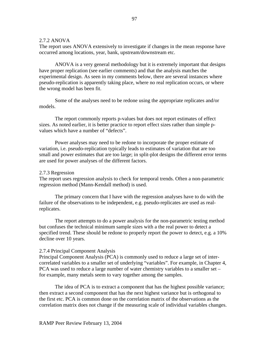#### 2.7.2 ANOVA

The report uses ANOVA extensively to investigate if changes in the mean response have occurred among locations, year, bank, upstream/downstream etc.

ANOVA is a very general methodology but it is extremely important that designs have proper replication (see earlier comments) and that the analysis matches the experimental design. As seen in my comments below, there are several instances where pseudo-replication is apparently taking place, where no real replication occurs, or where the wrong model has been fit.

Some of the analyses need to be redone using the appropriate replicates and/or models.

The report commonly reports p-values but does not report estimates of effect sizes. As noted earlier, it is better practice to report effect sizes rather than simple pvalues which have a number of "defects".

Power analyses may need to be redone to incorporate the proper estimate of variation, i.e. pseudo-replication typically leads to estimates of variation that are too small and power estimates that are too large; in split-plot designs the different error terms are used for power analyses of the different factors.

#### 2.7.3 Regression

The report uses regression analysis to check for temporal trends. Often a non-parametric regression method (Mann-Kendall method) is used.

The primary concern that I have with the regression analyses have to do with the failure of the observations to be independent, e.g. pseudo-replicates are used as realreplicates.

The report attempts to do a power analysis for the non-parametric testing method but confuses the technical minimum sample sizes with a the real power to detect a specified trend. These should be redone to properly report the power to detect, e.g. a 10% decline over 10 years.

#### 2.7.4 Principal Component Analysis

Principal Component Analysis (PCA) is commonly used to reduce a large set of intercorrelated variables to a smaller set of underlying "variables". For example, in Chapter 4, PCA was used to reduce a large number of water chemistry variables to a smaller set – for example, many metals seem to vary together among the samples.

The idea of PCA is to extract a component that has the highest possible variance; then extract a second component that has the next highest variance but is orthogonal to the first etc. PCA is common done on the correlation matrix of the observations as the correlation matrix does not change if the measuring scale of individual variables changes.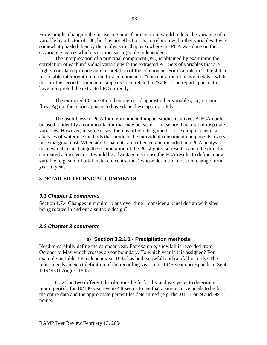For example, changing the measuring units from cm to m would reduce the variance of a variable by a factor of 100, but has not effect on its correlation with other variables. I was somewhat puzzled then by the analysis in Chapter 6 where the PCA was done on the covariance matrix which is not measuring-scale independent.

The interpretation of a principal component (PC) is obtained by examining the correlation of each individual variable with the extracted PC. Sets of variables that are highly correlated provide an interpretation of the component. For example in Table 4.9, a reasonable interpretation of the first component is "concentration of heavy metals", while that for the second components appears to be related to "salts". The report appears to have interpreted the extracted PC correctly.

The extracted PC are often then regressed against other variables, e.g. stream flow. Again, the report appears to have done these appropriately.

The usefulness of PCA for environmental impact studies is mixed. A PCA could be used to identify a common factor that may be easier to measure than a set of disparate variables. However, in some cases, there is little to be gained – for example, chemical analyses of water use methods that produce the individual constituent components a very little marginal cost. When additional data are collected and included in a PCA analysis, the new data can change the computation of the PC slightly so results cannot be directly compared across years. It would be advantageous to use the PCA results to define a new variable (e.g. sum of total metal concentrations) whose definition does not change from year to year.

## **3 DETAILED TECHNICAL COMMENTS**

#### *3.1 Chapter 1 comments*

Section 1.7.4 Changes in monitor plans over time – consider a panel design with sites being rotated in and out a suitable design?

#### *3.2 Chapter 3 comments*

#### **a) Section 3.2.1.1 - Precipitation methods**

Need to carefully define the calendar year. For example, snowfall is recorded from October to May which crosses a year boundary. To which year is this assigned? For example in Table 3.6, calendar year 1945 has both snowfall and rainfall records? The report needs an exact definition of the recording year., e.g. 1945 year corresponds to Sept 1 1944-31 August 1945.

How can two different distributions be fit for dry and wet years to determine return periods for 10/100 year events? It seems to me that a single curve needs to be fit to the entire data and the appropriate percentiles determined (e.g. the .01, .1 or .9 and .99 points.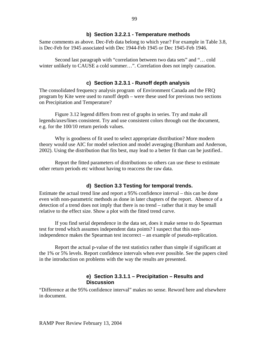#### **b) Section 3.2.2.1 - Temperature methods**

Same comments as above. Dec-Feb data belong to which year? For example in Table 3.8, is Dec-Feb for 1945 associated with Dec 1944-Feb 1945 or Dec 1945-Feb 1946.

Second last paragraph with "correlation between two data sets" and "… cold winter unlikely to CAUSE a cold summer...". Correlation does not imply causation.

#### **c) Section 3.2.3.1 - Runoff depth analysis**

The consolidated frequency analysis program of Environment Canada and the FRQ program by Kite were used to runoff depth – were these used for previous two sections on Precipitation and Temperature?

Figure 3.12 legend differs from rest of graphs in series. Try and make all legends/axes/lines consistent. Try and use consistent colors through out the document, e.g. for the 100/10 return periods values.

Why is goodness of fit used to select appropriate distribution? More modern theory would use AIC for model selection and model averaging (Burnham and Anderson, 2002). Using the distribution that fits best, may lead to a better fit than can be justified..

Report the fitted parameters of distributions so others can use these to estimate other return periods etc without having to reaccess the raw data.

#### **d) Section 3.3 Testing for temporal trends.**

Estimate the actual trend line and report a 95% confidence interval – this can be done even with non-parametric methods as done in later chapters of the report. Absence of a detection of a trend does not imply that there is no trend – rather that it may be small relative to the effect size. Show a plot with the fitted trend curve.

If you find serial dependence in the data set, does it make sense to do Spearman test for trend which assumes independent data points? I suspect that this nonindependence makes the Spearman test incorrect – an example of pseudo-replication.

Report the actual p-value of the test statistics rather than simple if significant at the 1% or 5% levels. Report confidence intervals when ever possible. See the papers cited in the introduction on problems with the way the results are presented.

## **e) Section 3.3.1.1 – Precipitation – Results and Discussion**

"Difference at the 95% confidence interval" makes no sense. Reword here and elsewhere in document.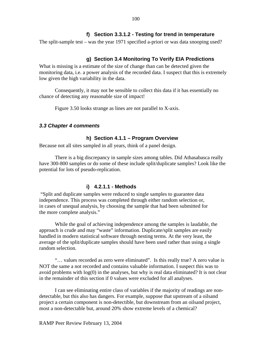The split-sample test – was the year 1971 specified a-priori or was data snooping used?

## **g) Section 3.4 Monitoring To Verify EIA Predictions**

What is missing is a estimate of the size of change than can be detected given the monitoring data, i.e. a power analysis of the recorded data. I suspect that this is extremely low given the high variability in the data.

Consequently, it may not be sensible to collect this data if it has essentially no chance of detecting any reasonable size of impact!

Figure 3.50 looks strange as lines are not parallel to X-axis.

#### *3.3 Chapter 4 comments*

#### **h) Section 4.1.1 – Program Overview**

Because not all sites sampled in all years, think of a panel design.

There is a big discrepancy in sample sizes among tables. Did Athasabasca really have 300-800 samples or do some of these include split/duplicate samples? Look like the potential for lots of pseudo-replication.

## **i) 4.2.1.1 - Methods**

 "Split and duplicate samples were reduced to single samples to guarantee data independence. This process was completed through either random selection or, in cases of unequal analysis, by choosing the sample that had been submitted for the more complete analysis."

While the goal of achieving independence among the samples is laudable, the approach is crude and may "waste" information. Duplicate/split samples are easily handled in modern statistical software through nesting terms. At the very least, the average of the split/duplicate samples should have been used rather than using a single random selection.

"… values recorded as zero were eliminated". Is this really true? A zero value is NOT the same a not recorded and contains valuable information. I suspect this was to avoid problems with  $log(0)$  in the analyses, but why is real data eliminated? It is not clear in the remainder of this section if 0 values were excluded for all analyses.

I can see eliminating entire class of variables if the majority of readings are nondetectable, but this also has dangers. For example, suppose that upstream of a oilsand project a certain component is non-detectible, but downstream from an oilsand project, most a non-detectable but, around 20% show extreme levels of a chemical?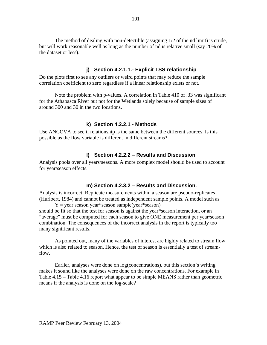The method of dealing with non-detectible (assigning 1/2 of the nd limit) is crude, but will work reasonable well as long as the number of nd is relative small (say 20% of the dataset or less).

## **j) Section 4.2.1.1.- Explicit TSS relationship**

Do the plots first to see any outliers or weird points that may reduce the sample correlation coefficient to zero regardless if a linear relationship exists or not.

Note the problem with p-values. A correlation in Table 410 of .33 was significant for the Athabasca River but not for the Wetlands solely because of sample sizes of around 300 and 30 in the two locations.

#### **k) Section 4.2.2.1 - Methods**

Use ANCOVA to see if relationship is the same between the different sources. Is this possible as the flow variable is different in different streams?

#### **l) Section 4.2.2.2 – Results and Discussion**

Analysis pools over all years/seasons. A more complex model should be used to account for year/season effects.

#### **m) Section 4.2.3.2 – Results and Discussion.**

Analysis is incorrect. Replicate measurements within a season are pseudo-replicates (Hurlbert, 1984) and cannot be treated as independent sample points. A model such as  $Y = year$  season year\*season sample(year\*season)

should be fit so that the test for season is against the year\*season interaction, or an "average" must be computed for each season to give ONE measurement per year/season combination. The consequences of the incorrect analysis in the report is typically too many significant results.

As pointed out, many of the variables of interest are highly related to stream flow which is also related to season. Hence, the test of season is essentially a test of streamflow.

Earlier, analyses were done on log(concentrations), but this section's writing makes it sound like the analyses were done on the raw concentrations. For example in Table 4.15 – Table 4.16 report what appear to be simple MEANS rather than geometric means if the analysis is done on the log-scale?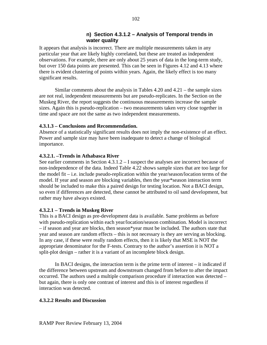## **n) Section 4.3.1.2 – Analysis of Temporal trends in water quality**

It appears that analysis is incorrect. There are multiple measurements taken in any particular year that are likely highly correlated, but these are treated as independent observations. For example, there are only about 25 years of data in the long-term study, but over 150 data points are presented. This can be seen in Figures 4.12 and 4.13 where there is evident clustering of points within years. Again, the likely effect is too many significant results.

Similar comments about the analysis in Tables 4.20 and 4.21 – the sample sizes are not real, independent measurements but are pseudo-replicates. In the Section on the Muskeg River, the report suggests the continuous measurements increase the sample sizes. Again this is pseudo-replication – two measurements taken very close together in time and space are not the same as two independent measurements.

## **4.3.1.3 – Conclusions and Recommendation.**

Absence of a statistically significant results does not imply the non-existence of an effect. Power and sample size may have been inadequate to detect a change of biological importance.

# **4.3.2.1. –Trends in Athabasca River**

See earlier comments in Section 4.3.1.2 – I suspect the analyses are incorrect because of non-independence of the data. Indeed Table 4.22 shows sample sizes that are too large for the model fit – i.e. include pseudo-replication within the year/season/location terms of the model. If year and season are blocking variables, then the year\*season interaction term should be included to make this a paired design for testing location. Not a BACI design, so even if differences are detected, these cannot be attributed to oil sand development, but rather may have always existed.

# **4.3.2.1 – Trends in Muskeg River**

This is a BACI design as pre-development data is available. Same problems as before with pseudo-replication within each year/location/season combination. Model is incorrect – if season and year are blocks, then season\*year must be included. The authors state that year and season are random effects – this is not necessary is they are serving as blocking. In any case, if these were really random effects, then it is likely that MSE is NOT the appropriate denominator for the F-tests. Contrary to the author's assertion it is NOT a split-plot design – rather it is a variant of an incomplete block design.

In BACI designs, the interaction term is the prime term of interest – it indicated if the difference between upstream and downstream changed from before to after the impact occurred. The authors used a multiple comparison procedure if interaction was detected – but again, there is only one contrast of interest and this is of interest regardless if interaction was detected.

## **4.3.2.2 Results and Discussion**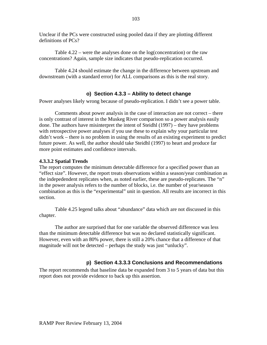Unclear if the PCs were constructed using pooled data if they are plotting different definitions of PCs?

Table 4.22 – were the analyses done on the log(concentration) or the raw concentrations? Again, sample size indicates that pseudo-replication occurred.

Table 4.24 should estimate the change in the difference between upstream and downstream (with a standard error) for ALL comparisons as this is the real story.

# **o) Section 4.3.3 – Ability to detect change**

Power analyses likely wrong because of pseudo-replication. I didn't see a power table.

Comments about power analysis in the case of interaction are not correct – there is only contrast of interest in the Muskeg River comparison so a power analysis easily done. The authors have misinterpret the intent of Steidhl (1997) – they have problems with retrospective power analyses if you use these to explain why your particular test didn't work – there is no problem in using the results of an existing experiment to predict future power. As well, the author should take Steidhl (1997) to heart and produce far more point estimates and confidence intervals.

## **4.3.3.2 Spatial Trends**

The report computes the minimum detectable difference for a specified power than an "effect size". However, the report treats observations within a season/year combination as the indepedendent replicates when, as noted earlier, these are pseudo-replicates. The "n" in the power analysis refers to the number of blocks, i.e. the number of year/season combination as this is the "experimental" unit in question. All results are incorrect in this section.

Table 4.25 legend talks about "abundance" data which are not discussed in this chapter.

The author are surprised that for one variable the observed difference was less than the minimum detectable difference but was no declared statistically significant. However, even with an 80% power, there is still a 20% chance that a difference of that magnitude will not be detected – perhaps the study was just "unlucky".

# **p) Section 4.3.3.3 Conclusions and Recommendations**

The report recommends that baseline data be expanded from 3 to 5 years of data but this report does not provide evidence to back up this assertion.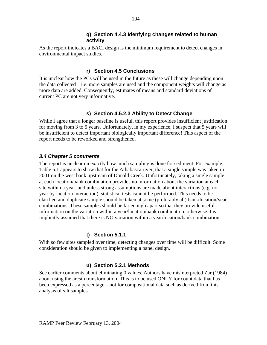## **q) Section 4.4.3 Idenfying changes related to human activity**

As the report indicates a BACI design is the minimum requirement to detect changes in environmental impact studies.

# **r) Section 4.5 Conclusions**

It is unclear how the PCs will be used in the future as these will change depending upon the data collected – i.e. more samples are used and the component weights will change as more data are added. Consequently, estimates of means and standard deviations of current PC are not very informative.

# **s) Section 4.5.2.3 Ability to Detect Change**

While I agree that a longer baseline is useful, this report provides insufficient justification for moving from 3 to 5 years. Unfortunately, in my experience, I suspect that 5 years will be insufficient to detect important biologically important difference! This aspect of the report needs to be reworked and strengthened.

# *3.4 Chapter 5 comments*

The report is unclear on exactly how much sampling is done for sediment. For example, Table 5.1 appears to show that for the Athabasca river, that a single sample was taken in 2001 on the west bank upstream of Donald Creek. Unfortunately, taking a single sample at each location/bank combination provides no information about the variation at each site within a year, and unless strong assumptions are made about interactions (e.g. no year by location interaction), statistical tests cannot be performed. This needs to be clarified and duplicate sample should be taken at some (preferably all) bank/location/year combinations. These samples should be far enough apart so that they provide useful information on the variation within a year/location/bank combination, otherwise it is implicitly assumed that there is NO variation within a year/location/bank combination.

# **t) Section 5.1.1**

With so few sites sampled over time, detecting changes over time will be difficult. Some consideration should be given to implementing a panel design.

# **u) Section 5.2.1 Methods**

See earlier comments about eliminating 0 values. Authors have misinterpreted Zar (1984) about using the arcsin transformation. This is to be used ONLY for count data that has been expressed as a percentage – not for compositional data such as derived from this analysis of silt samples.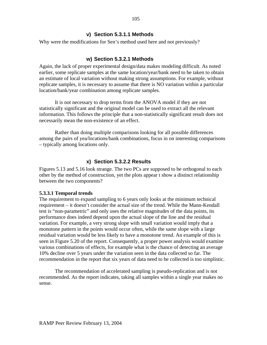## **v) Section 5.3.1.1 Methods**

Why were the modifications for Sen's method used here and not previously?

## **w) Section 5.3.2.1 Methods**

Again, the lack of proper experimental design/data makes modeling difficult. As noted earlier, some replicate samples at the same location/year/bank need to be taken to obtain an estimate of local variation without making strong assumptions. For example, without replicate samples, it is necessary to assume that there is NO variation within a particular location/bank/year combination among replicate samples.

It is not necessary to drop terms from the ANOVA model if they are not statistically significant and the original model can be used to extract all the relevant information. This follows the principle that a non-statistically significant result does not necessarily mean the non-existence of an effect.

Rather than doing multiple comparisons looking for all possible differences among the pairs of yea/locations/bank combinations, focus in on interesting comparisons – typically among locations only.

## **x) Section 5.3.2.2 Results**

Figures 5.13 and 5.16 look strange. The two PCs are supposed to be orthogonal to each other by the method of construction, yet the plots appear t show a distinct relationship between the two components?

## **5.3.3.1 Temporal trends**

The requirement to expand sampling to 6 years only looks at the minimum technical requirement – it doesn't consider the actual size of the trend. While the Mann-Kendall test is "non-parametric" and only uses the relative magnitudes of the data points, its performance does indeed depend upon the actual slope of the line and the residual variation. For example, a very strong slope with small variation would imply that a monotone pattern in the points would occur often, while the same slope with a large residual variation would be less likely to have a monotone trend. An example of this is seen in Figure 5.20 of the report. Consequently, a proper power analysis would examine various combinations of effects, for example what is the chance of detecting an average 10% decline over 5 years under the variation seen in the data collected so far. The recommendation in the report that six years of data need to be collected is too simplistic.

The recommendation of accelerated sampling is pseudo-replication and is not recommended. As the report indicates, taking all samples within a single year makes no sense.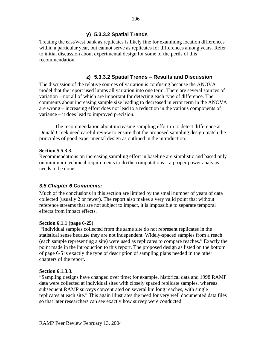# **y) 5.3.3.2 Spatial Trends**

Treating the east/west bank as replicates is likely fine for examining location differences within a particular year, but cannot serve as replicates for differences among years. Refer to initial discussion about experimental design for some of the perils of this recommendation.

# **z) 5.3.3.2 Spatial Trends – Results and Discussion**

The discussion of the relative sources of variation is confusing because the ANOVA model that the report used lumps all variation into one term. There are several sources of variation – not all of which are important for detecting each type of difference. The comments about increasing sample size leading to decreased in error term in the ANOVA are wrong – increasing effort does not lead to a reduction in the various components of variance – it does lead to improved precision.

The recommendation about increasing sampling effort in to detect difference at Donald Creek need careful review to ensure that the proposed sampling design match the principles of good experimental design as outlined in the introduction.

## **Section 5.5.3.3.**

Recommendations on increasing sampling effort in baseline are simplistic and based only on minimum technical requirements to do the computations – a proper power analysis needs to be done.

# *3.5 Chapter 6 Comments:*

Much of the conclusions in this section are limited by the small number of years of data collected (usually 2 or fewer). The report also makes a very valid point that without reference streams that are not subject to impact, it is impossible to separate temporal effects from impact effects.

## **Section 6.1.1 (page 6-25)**

 "Individual samples collected from the same site do not represent replicates in the statistical sense because they are not independent. Widely-spaced samples from a reach (each sample representing a site) were used as replicates to compare reaches." Exactly the point made in the introduction to this report. The proposed design as listed on the bottom of page 6-5 is exactly the type of description of sampling plans needed in the other chapters of the report.

## **Section 6.1.3.3.**

"Sampling designs have changed over time; for example, historical data and 1998 RAMP data were collected at individual sites with closely spaced replicate samples, whereas subsequent RAMP surveys concentrated on several km long reaches, with single replicates at each site." This again illustrates the need for very well documented data files so that later researchers can see exactly how survey were conducted.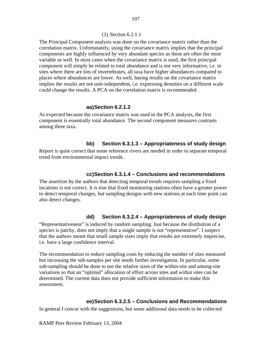#### (1) Section 6.2.1.1

The Principal Component analysis was done on the covariance matrix rather than the correlation matrix. Unfortunately, using the covariance matrix implies that the principal components are highly influenced by very abundant species as these are often the most variable as well. In most cases when the covariance matrix is used, the first principal component will simply be related to total abundance and is not very informative, i.e. in sites where there are lots of invertebrates, all taxa have higher abundances compared to places where abundances are lower. As well, basing results on the covariance matrix implies the results are not unit-independent, i.e. expressing densities on a different scale could change the results. A PCA on the correlation matrix is recommended.

#### **aa) Section 6.2.1.2**

As expected because the covariance matrix was used in the PCA analysis, the first component is essentially total abundance. The second component measures contrasts among three taxa.

## **bb) Section 6.3.1.3 – Appropriateness of study design**

Report is quite correct that some reference rivers are needed in order to separate temporal trend from environmental impact trends.

#### **cc) Section 6.3.1.4 – Conclusions and recommendations**

The assertion by the authors that detecting temporal trends requires sampling a fixed locations is not correct. It is true that fixed monitoring stations often have a greater power to detect temporal changes, but sampling designs with new stations at each time point can also detect changes.

### **dd) Section 6.3.2.4 – Appropriateness of study design**

"Representativeness" is induced by random sampling. Just because the distibution of a species is patchy, does not imply that a single sample is not "representative". I suspect that the authors meant that small sample sizes imply that results are extremely imprecise, i.e. have a large confidence interval.

The recommendation to reduce sampling costs by reducing the number of sites measured but increasing the sub-samples per site needs further investigation. In particular, some sub-sampling should be done to see the relative sizes of the within-site and among-site variations so that an "optimal" allocation of effort across sites and within sites can be determined. The current data does not provide sufficient information to make this assessment.

#### **ee) Section 6.3.2.5 – Conclusions and Recommendations**

In general I concur with the suggestions, but some additional data needs to be collected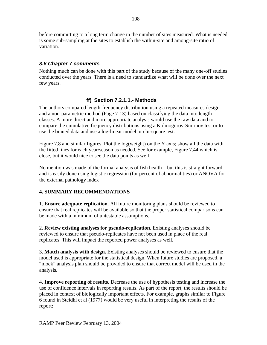before committing to a long term change in the number of sites measured. What is needed is some sub-sampling at the sites to establish the within-site and among-site ratio of variation.

# *3.6 Chapter 7 comments*

Nothing much can be done with this part of the study because of the many one-off studies conducted over the years. There is a need to standardize what will be done over the next few years.

# **ff) Section 7.2.1.1.- Methods**

The authors compared length-frequency distribution using a repeated measures design and a non-parametric method (Page 7-13) based on classifying the data into length classes. A more direct and more appropriate analysis would use the raw data and to compare the cumulative frequency distributions using a Kolmogorov-Smirnov test or to use the binned data and use a log-linear model or chi-square test.

Figure 7.8 and similar figures. Plot the log(weight) on the Y axis; show all the data with the fitted lines for each year/season as needed. See for example, Figure 7.44 which is close, but it would nice to see the data points as well.

No mention was made of the formal analysis of fish health – but this is straight forward and is easily done using logistic regression (for percent of abnormalities) or ANOVA for the external pathology index

# **4. SUMMARY RECOMMENDATIONS**

1. **Ensure adequate replication**. All future monitoring plans should be reviewed to ensure that real replicates will be available so that the proper statistical comparisons can be made with a minimum of untestable assumptions.

2. **Review existing analyses for pseudo-replication.** Existing analyses should be reviewed to ensure that pseudo-replicates have not been used in place of the real replicates. This will impact the reported power analyses as well.

3. **Match analysis with design.** Existing analyses should be reviewed to ensure that the model used is appropriate for the statistical design. When future studies are proposed, a "mock" analysis plan should be provided to ensure that correct model will be used in the analysis.

4. **Improve reporting of results.** Decrease the use of hypothesis testing and increase the use of confidence intervals in reporting results. As part of the report, the results should be placed in context of biologically important effects. For example, graphs similar to Figure 6 found in Steidhl et al (1977) would be very useful in interpreting the results of the report: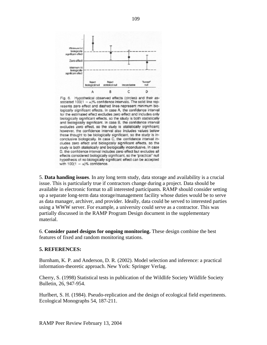

Fig. 6. Hypothetical observed effects (circles) and their associated  $100(1 - a)\%$  confidence intervals. The solid line represents zero effect and dashed lines represent minimum biologically significant effects. In case A, the confidence interval for the estimated effect excludes zero effect and includes only biologically significant effects, so the study is both statistically and biologically significant. In case B, the confidence interval excludes zero effect, so the study is statistically significant; however, the confidence interval also includes values below those thought to be biologically significant, so the study is inconclusive biologically. In case C, the confidence interval includes zero effect and biologically significant effects, so the study is both statistically and biologically inconclusive. In case D, the confidence interval includes zero effect but excludes all effects considered biologically significant, so the "practical" null hypothesis of no biologically significant effect can be accepted with  $100(1 - \alpha)\%$  confidence.

5. **Data handing issues**. In any long term study, data storage and availability is a crucial issue. This is particularly true if contractors change during a project. Data should be available in electronic format to all interested participants. RAMP should consider setting up a separate long-term data storage/management facility whose duties would be to serve as data manager, archiver, and provider. Ideally, data could be served to interested parties using a WWW server. For example, a university could serve as a contractor. This was partially discussed in the RAMP Program Design document in the supplementary material.

6. **Consider panel designs for ongoing monitoring.** These design combine the best features of fixed and random monitoring stations.

## **5. REFERENCES:**

Burnham, K. P. and Anderson, D. R. (2002). Model selection and inference: a practical information-theoretic approach. New York: Springer Verlag.

Cherry, S. (1998) Statistical tests in publication of the Wildlife Society Wildlife Society Bulletin, 26, 947-954.

Hurlbert, S. H. (1984). Pseudo-replication and the design of ecological field experiments. Ecological Monographs 54, 187-211.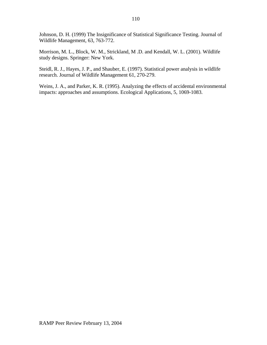Johnson, D. H. (1999) The Insignificance of Statistical Significance Testing. Journal of Wildlife Management, 63, 763-772.

Morrison, M. L., Block, W. M., Strickland, M .D. and Kendall, W. L. (2001). Wildlife study designs. Springer: New York.

Steidl, R. J., Hayes, J. P., and Shauber, E. (1997). Statistical power analysis in wildlife research. Journal of Wildlife Management 61, 270-279.

Weins, J. A., and Parker, K. R. (1995). Analyzing the effects of accidental environmental impacts: approaches and assumptions. Ecological Applications, 5, 1069-1083.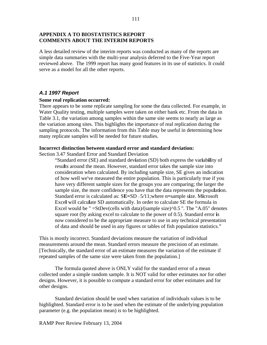### **APPENDIX A TO BIOSTATISTICS REPORT COMMENTS ABOUT THE INTERIM REPORTS**

A less detailed review of the interim reports was conducted as many of the reports are simple data summaries with the multi-year analysis deferred to the Five-Year report reviewed above. The 1999 report has many good features in its use of statistics. It could serve as a model for all the other reports.

## *A.1 1997 Report*

#### **Some real replication occurred:**

There appears to be some replicate sampling for some the data collected. For example, in Water Quality testing, multiple samples were taken on either bank etc. From the data in Table 3.1, the variation among samples within the same site seems to nearly as large as the variation among sites. This highlights the importance of real replication during the sampling protocols. The information from this Table may be useful in determining how many replicate samples will be needed for future studies.

#### **Incorrect distinction between standard error and standard deviation:**

Section 3.47 Standard Error and Standard Deviation

"Standard error (SE) and standard dev**i**ation (SD) both express the var**i**ab**il**ity of resu**l**ts around the mean. However, standard error takes the sample size into consideration when calculated. By including sample size, SE gives an indication of how well we've measured the entire population. This is particularly true if you have very different sample sizes for the groups you are comparing; the larger the sample size, the more confidence you have that the data represents the popu**l**at**i**on. Standard error is calculated as: S**E=**SD + 5*/*11;where n**=**sample s**i**ze. M**i**crosoft Exce**l** will calcu**l**ate SD automatically. In order to calculate SE the formula in Excel would be " =StDev(cells with data)/(sample size)<sup>^0.5</sup> ". The "A.05" denotes square root (by asking excel to calculate to the power of 0.5). Standard error **i**s now considered to be the appropriate measure to use in any technical presentation of data and should be used in any figures or tables of fish population statistics."

This is mostly incorrect. Standard deviations measure the variation of individual measurements around the mean. Standard errors measure the precision of an estimate. [Technically, the standard error of an estimate measures the variation of the estimate if repeated samples of the same size were taken from the population.]

The formula quoted above is ONLY valid for the standard error of a mean collected under a simple random sample. It is NOT valid for other estimates nor for other designs. However, it is possible to compute a standard error for other estimates and for other designs.

Standard deviation should be used when variation of individuals values is to be highlighted. Standard error is to be used when the estimate of the underlying population parameter (e.g. the population mean) is to be highlighted.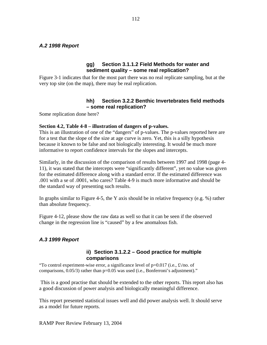## *A.2 1998 Report*

## **gg) Section 3.1.1.2 Field Methods for water and sediment quality – some real replication?**

Figure 3-1 indicates that for the most part there was no real replicate sampling, but at the very top site (on the map), there may be real replication.

## **hh) Section 3.2.2 Benthic Invertebrates field methods – some real replication?**

Some replication done here?

#### **Section 4.2, Table 4-8 – illustration of dangers of p-values.**

This is an illustration of one of the "dangers" of p-values. The p-values reported here are for a test that the slope of the size at age curve is zero. Yet, this is a silly hypothesis because it known to be false and not biologically interesting. It would be much more informative to report confidence intervals for the slopes and intercepts.

Similarly, in the discussion of the comparison of results between 1997 and 1998 (page 4- 11), it was stated that the intercepts were "significantly different", yet no value was given for the estimated difference along with a standard error. If the estimated difference was .001 with a se of .0001, who cares? Table 4-9 is much more informative and should be the standard way of presenting such results.

In graphs similar to Figure 4-5, the Y axis should be in relative frequency (e.g.  $\%$ ) rather than absolute frequency.

Figure 4-12, please show the raw data as well so that it can be seen if the observed change in the regression line is "caused" by a few anomalous fish.

# *A.3 1999 Report*

## **ii) Section 3.1.2.2 – Good practice for multiple comparisons**

"To control experiment-wise error, a significance level of  $p=0.017$  (i.e.,  $\text{\pounds}/no$ . of comparisons, 0.05/3) rather than p=0.05 was used (i.e., Bonferroni's adjustment)."

This is a good practise that should be extended to the other reports. This report also has a good discussion of power analysis and biologically meaningful difference.

This report presented statistical issues well and did power analysis well. It should serve as a model for future reports.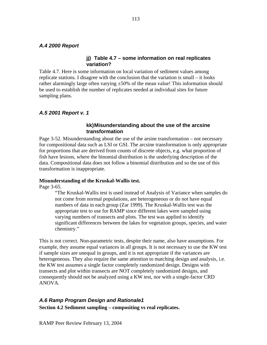## *A.4 2000 Report*

## **jj) Table 4.7 – some information on real replicates variation?**

Table 4.7. Here is some information on local variation of sediment values among replicate stations. I disagree with the conclusion that the variation is small – it looks rather alarmingly large often varying  $\pm 50\%$  of the mean value! This information should be used to establish the number of replicates needed at individual sites for future sampling plans.

## *A.5 2001 Report v. 1*

## **kk) Misunderstanding about the use of the arcsine transformation**

Page 3-52. Misunderstanding about the use of the arsine transformation – not necessary for compositional data such as LSI or GSI. The arcsine transformation is only appropriate for proportions that are derived from counts of discrete objects, e.g. what proportion of fish have lesions, where the binomial distribution is the underlying description of the data. Compositional data does not follow a binomial distribution and so the use of this transformation is inappropriate.

#### **Misunderstanding of the Kruskal-Wallis test.**

Page 3-65.

"The Kruskal-Wallis test is used instead of Analysis of Variance when samples do not come from normal populations, are heterogeneous or do not have equal numbers of data in each group (Zar 1999). The Kruskal-Wallis test was the appropriate test to use for RAMP since different lakes were sampled using varying numbers of transects and plots. The test was applied to identify significant differences between the lakes for vegetation groups, species, and water chemistry."

This is not correct. Non-parametric tests, despite their name, also have assumptions. For example, they assume equal variances in all groups. It is not necessary to use the KW test if sample sizes are unequal in groups, and it is not appropriate if the variances are heterogeneous. They also require the same attention to matching design and analysis, i.e. the KW test assumes a single factor completely randomized design. Designs with transects and plot within transects are NOT completely randomized designs, and consequently should not be analyzed using a KW test, nor with a single-factor CRD ANOVA.

# *A.6 Ramp Program Design and Rationale1*

**Section 4.2 Sediment sampling – compositing vs real replicates.**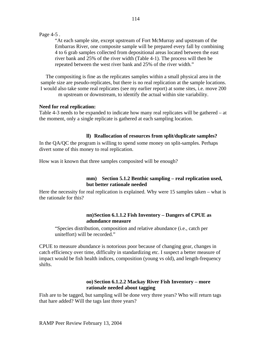#### Page 4-5 .

"At each sample site, except upstream of Fort McMurray and upstream of the Embarras River, one composite sample will be prepared every fall by combining 4 to 6 grab samples collected from depositional areas located between the east river bank and 25% of the river width (Table 4-1). The process will then be repeated between the west river bank and 25% of the river width."

The compositing is fine as the replicates samples within a small physical area in the sample size are pseudo-replicates, but there is no real replication at the sample locations. I would also take some real replicates (see my earlier report) at some sites, i.e. move 200 m upstream or downstream, to identify the actual within site variability.

## **Need for real replication:**

Table 4-3 needs to be expanded to indicate how many real replicates will be gathered – at the moment, only a single replicate is gathered at each sampling location.

## **ll) Reallocation of resources from split/duplicate samples?**

In the QA/QC the program is willing to spend some money on split-samples. Perhaps divert some of this money to real replication.

How was it known that three samples composited will be enough?

## **mm) Section 5.1.2 Benthic sampling – real replication used, but better rationale needed**

Here the necessity for real replication is explained. Why were 15 samples taken – what is the rationale for this?

## **nn)Section 6.1.1.2 Fish Inventory – Dangers of CPUE as adundance measure**

"Species distribution, composition and relative abundance (i.e., catch per uniteffort) will be recorded."

CPUE to measure abundance is notorious poor because of changing gear, changes in catch efficiency over time, difficulty in standardizing etc. I suspect a better measure of impact would be fish health indices, composition (young vs old), and length-frequency shifts.

## **oo) Section 6.1.2.2 Mackay River Fish Inventory – more rationale needed about tagging**

Fish are to be tagged, but sampling will be done very three years? Who will return tags that hare added? Will the tags last three years?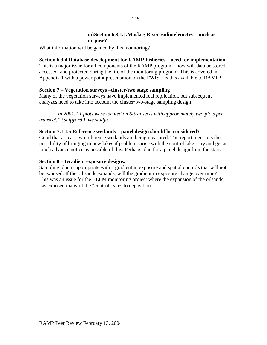## **pp)Section 6.3.1.1.Muskeg River radiotelemetry – unclear purpose?**

What information will be gained by this monitoring?

# **Section 6.3.4 Database development for RAMP Fisheries – need for implementation**

This is a major issue for all components of the RAMP program – how will data be stored, accessed, and protected during the life of the monitoring program? This is covered in Appendix 1 with a power point presentation on the FWIS – is this available to RAMP?

# **Section 7 – Vegetation surveys –cluster/two stage sampling**

Many of the vegetation surveys have implemented real replication, but subsequent analyzes need to take into account the cluster/two-stage sampling design:

*"In 2001, 11 plots were located on 6-transects with approximately two plots per transect." (Shipyard Lake study).* 

# **Section 7.1.1.5 Reference wetlands – panel design should be considered?**

Good that at least two reference wetlands are being measured. The report mentions the possibility of bringing in new lakes if problem sarise with the control lake – try and get as much advance notice as possible of this. Perhaps plan for a panel design from the start.

# **Section 8 – Gradient exposure designs.**

Sampling plan is appropriate with a gradient in exposure and spatial controls that will not be exposed. If the oil sands expands, will the gradient in exposure change over time? This was an issue for the TEEM monitoring project where the expansion of the oilsands has exposed many of the "control" sites to deposition.